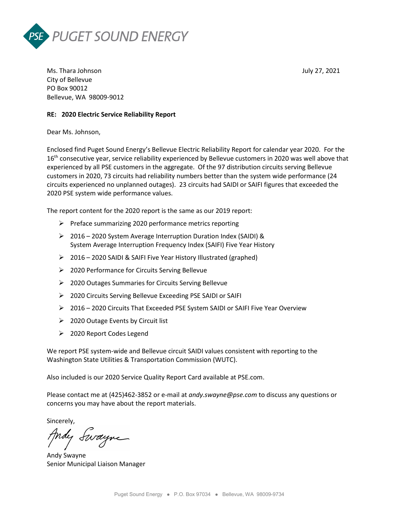



Ms. Thara Johnson July 27, 2021 City of Bellevue PO Box 90012 Bellevue, WA 98009-9012

#### **RE: 2020 Electric Service Reliability Report**

Dear Ms. Johnson,

Enclosed find Puget Sound Energy's Bellevue Electric Reliability Report for calendar year 2020. For the 16<sup>th</sup> consecutive year, service reliability experienced by Bellevue customers in 2020 was well above that experienced by all PSE customers in the aggregate. Of the 97 distribution circuits serving Bellevue customers in 2020, 73 circuits had reliability numbers better than the system wide performance (24 circuits experienced no unplanned outages). 23 circuits had SAIDI or SAIFI figures that exceeded the 2020 PSE system wide performance values.

The report content for the 2020 report is the same as our 2019 report:

- $\triangleright$  Preface summarizing 2020 performance metrics reporting
- 2016 2020 System Average Interruption Duration Index (SAIDI) & System Average Interruption Frequency Index (SAIFI) Five Year History
- 2016 2020 SAIDI & SAIFI Five Year History Illustrated (graphed)
- 2020 Performance for Circuits Serving Bellevue
- 2020 Outages Summaries for Circuits Serving Bellevue
- ▶ 2020 Circuits Serving Bellevue Exceeding PSE SAIDI or SAIFI
- 2016 2020 Circuits That Exceeded PSE System SAIDI or SAIFI Five Year Overview
- $\geq$  2020 Outage Events by Circuit list
- 2020 Report Codes Legend

We report PSE system-wide and Bellevue circuit SAIDI values consistent with reporting to the Washington State Utilities & Transportation Commission (WUTC).

Also included is our 2020 Service Quality Report Card available at PSE.com.

Please contact me at (425)462-3852 or e-mail at *andy.swayne@pse.com* to discuss any questions or concerns you may have about the report materials.

Sincerely,

Andy Swayne

Andy Swayne Senior Municipal Liaison Manager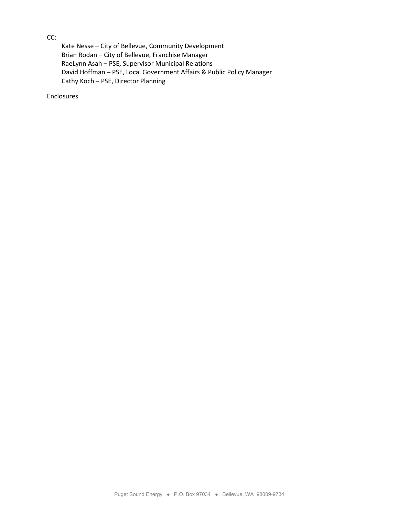### CC:

Kate Nesse – City of Bellevue, Community Development Brian Rodan – City of Bellevue, Franchise Manager RaeLynn Asah – PSE, Supervisor Municipal Relations David Hoffman – PSE, Local Government Affairs & Public Policy Manager Cathy Koch – PSE, Director Planning

Enclosures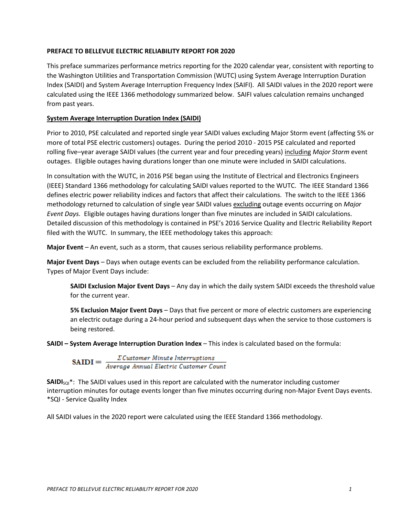#### **PREFACE TO BELLEVUE ELECTRIC RELIABILITY REPORT FOR 2020**

This preface summarizes performance metrics reporting for the 2020 calendar year, consistent with reporting to the Washington Utilities and Transportation Commission (WUTC) using System Average Interruption Duration Index (SAIDI) and System Average Interruption Frequency Index (SAIFI). All SAIDI values in the 2020 report were calculated using the IEEE 1366 methodology summarized below. SAIFI values calculation remains unchanged from past years.

#### **System Average Interruption Duration Index (SAIDI)**

Prior to 2010, PSE calculated and reported single year SAIDI values excluding Major Storm event (affecting 5% or more of total PSE electric customers) outages. During the period 2010 - 2015 PSE calculated and reported rolling five–year average SAIDI values (the current year and four preceding years) including *Major Storm* event outages. Eligible outages having durations longer than one minute were included in SAIDI calculations.

In consultation with the WUTC, in 2016 PSE began using the Institute of Electrical and Electronics Engineers (IEEE) Standard 1366 methodology for calculating SAIDI values reported to the WUTC. The IEEE Standard 1366 defines electric power reliability indices and factors that affect their calculations. The switch to the IEEE 1366 methodology returned to calculation of single year SAIDI values excluding outage events occurring on *Major Event Days.* Eligible outages having durations longer than five minutes are included in SAIDI calculations. Detailed discussion of this methodology is contained in PSE's 2016 Service Quality and Electric Reliability Report filed with the WUTC. In summary, the IEEE methodology takes this approach:

**Major Event** – An event, such as a storm, that causes serious reliability performance problems.

**Major Event Days** – Days when outage events can be excluded from the reliability performance calculation. Types of Major Event Days include:

**SAIDI Exclusion Major Event Days** – Any day in which the daily system SAIDI exceeds the threshold value for the current year.

**5% Exclusion Major Event Days** – Days that five percent or more of electric customers are experiencing an electric outage during a 24-hour period and subsequent days when the service to those customers is being restored.

**SAIDI – System Average Interruption Duration Index** – This index is calculated based on the formula:

 $\textbf{SAIDI} = \frac{\sum \textit{Customer Minute Interruptions}}{\textit{Average Annual Electric Customer Count}}$ 

**SAIDI**<sub>SOI</sub><sup>\*</sup>: The SAIDI values used in this report are calculated with the numerator including customer interruption minutes for outage events longer than five minutes occurring during non-Major Event Days events. \*SQI - Service Quality Index

All SAIDI values in the 2020 report were calculated using the IEEE Standard 1366 methodology.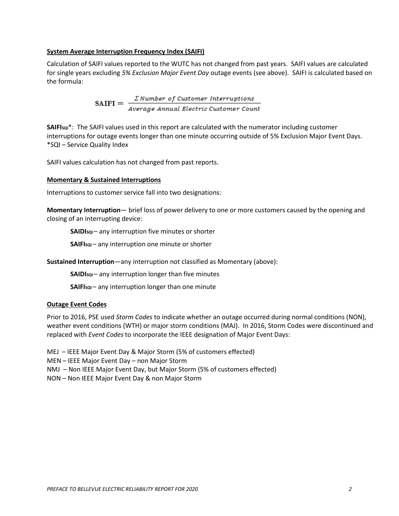#### **System Average Interruption Frequency Index (SAIFI)**

Calculation of SAIFI values reported to the WUTC has not changed from past years. SAIFI values are calculated for single years excluding *5% Exclusion Major Event Day* outage events (see above). SAIFI is calculated based on the formula:

SAIFI =  $\frac{\sum Number\ of\ Customer\ Interuptions}{Average\ Annual\ Electric\ Customer\ Count}$ 

**SAIFISQI**\*: The SAIFI values used in this report are calculated with the numerator including customer interruptions for outage events longer than one minute occurring outside of 5% Exclusion Major Event Days. \*SQI – Service Quality Index

SAIFI values calculation has not changed from past reports.

#### **Momentary & Sustained Interruptions**

Interruptions to customer service fall into two designations:

**Momentary Interruption**— brief loss of power delivery to one or more customers caused by the opening and closing of an interrupting device:

**SAIDIsqi** – any interruption five minutes or shorter

**SAIFIsqI** – any interruption one minute or shorter

**Sustained Interruption**—any interruption not classified as Momentary (above):

**SAIDIsqi** – any interruption longer than five minutes

**SAIFIsqI** – any interruption longer than one minute

#### **Outage Event Codes**

Prior to 2016, PSE used *Storm Codes* to indicate whether an outage occurred during normal conditions (NON), weather event conditions (WTH) or major storm conditions (MAJ). In 2016, Storm Codes were discontinued and replaced with *Event Codes* to incorporate the IEEE designation of Major Event Days:

MEJ – IEEE Major Event Day & Major Storm (5% of customers effected)

MEN – IEEE Major Event Day – non Major Storm

NMJ – Non IEEE Major Event Day, but Major Storm (5% of customers effected)

NON – Non IEEE Major Event Day & non Major Storm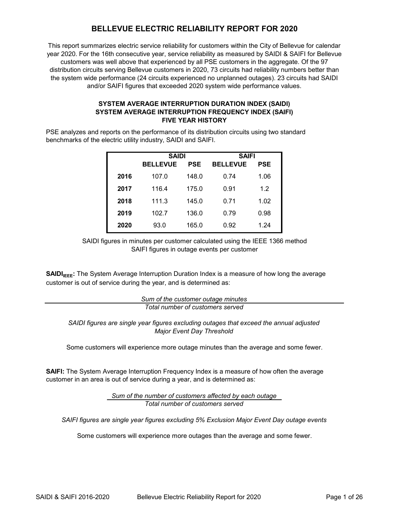# **BELLEVUE ELECTRIC RELIABILITY REPORT FOR 2020**

This report summarizes electric service reliability for customers within the City of Bellevue for calendar year 2020. For the 16th consecutive year, service reliability as measured by SAIDI & SAIFI for Bellevue customers was well above that experienced by all PSE customers in the aggregate. Of the 97 distribution circuits serving Bellevue customers in 2020, 73 circuits had reliability numbers better than the system wide performance (24 circuits experienced no unplanned outages). 23 circuits had SAIDI and/or SAIFI figures that exceeded 2020 system wide performance values.

#### **SYSTEM AVERAGE INTERRUPTION DURATION INDEX (SAIDI) SYSTEM AVERAGE INTERRUPTION FREQUENCY INDEX (SAIFI) FIVE YEAR HISTORY**

PSE analyzes and reports on the performance of its distribution circuits using two standard benchmarks of the electric utility industry, SAIDI and SAIFI.

|      | <b>SAIDI</b>    |       | SAIFI           |            |  |  |
|------|-----------------|-------|-----------------|------------|--|--|
|      | <b>BELLEVUE</b> | PSE   | <b>BELLEVUE</b> | <b>PSE</b> |  |  |
| 2016 | 107.0           | 148.0 | 0.74            | 1.06       |  |  |
| 2017 | 116.4           | 175.0 | 0.91            | 1.2        |  |  |
| 2018 | 111.3           | 145.0 | 0.71            | 1.02       |  |  |
| 2019 | 102.7           | 136.0 | 0.79            | 0.98       |  |  |
| 2020 | 93.0            | 165.0 | 0.92            | 1.24       |  |  |

SAIFI figures in outage events per customer SAIDI figures in minutes per customer calculated using the IEEE 1366 method

**SAIDI<sub>IEEE</sub>:** The System Average Interruption Duration Index is a measure of how long the average customer is out of service during the year, and is determined as:

> *Total number of customers served Sum of the customer outage minutes*

*SAIDI figures are single year figures excluding outages that exceed the annual adjusted Major Event Day Threshold*

Some customers will experience more outage minutes than the average and some fewer.

**SAIFI:** The System Average Interruption Frequency Index is a measure of how often the average customer in an area is out of service during a year, and is determined as:

> *Sum of the number of customers affected by each outage Total number of customers served*

*SAIFI figures are single year figures excluding 5% Exclusion Major Event Day outage events*

Some customers will experience more outages than the average and some fewer.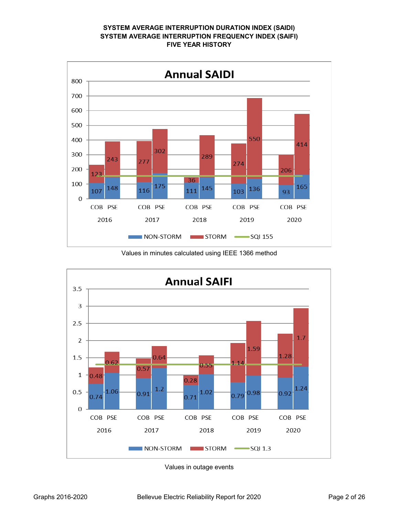#### **SYSTEM AVERAGE INTERRUPTION DURATION INDEX (SAIDI) SYSTEM AVERAGE INTERRUPTION FREQUENCY INDEX (SAIFI) FIVE YEAR HISTORY**



Values in minutes calculated using IEEE 1366 method



Values in outage events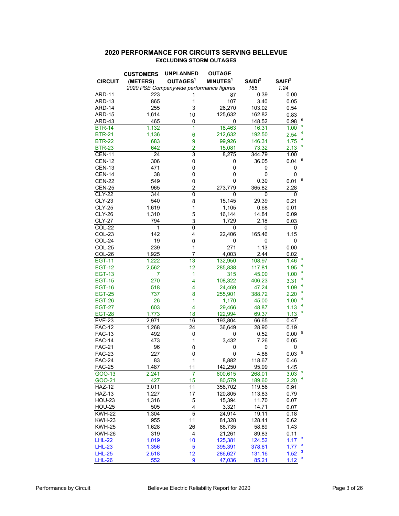#### **2020 PERFORMANCE FOR CIRCUITS SERVING BELLEVUE EXCLUDING STORM OUTAGES**

| OUTAGES <sup>1</sup><br>MINUTES <sup>1</sup><br>SAIDI <sup>2</sup><br>SAIFI <sup>2</sup><br>(METERS)<br><b>CIRCUIT</b><br>2020 PSE Companywide performance figures<br>1.24<br>165<br><b>ARD-11</b><br>223<br>87<br>0.39<br>0.00<br>1<br>865<br>1<br>107<br>3.40<br>ARD-13<br>0.05<br>3<br>26,270<br>ARD-14<br>255<br>103.02<br>0.54<br>1,614<br>ARD-15<br>125,632<br>162.82<br>0.83<br>10<br>5<br>465<br>ARD-43<br>0<br>148.52<br>0.98<br>0<br>4<br>1<br>18,463<br><b>BTR-14</b><br>1,132<br>16.31<br>1.00<br>1,136<br>6<br>212,632<br>2.54<br><b>BTR-21</b><br>192.50<br>4<br><b>BTR-22</b><br>9<br>99,926<br>683<br>146.31<br>1.75<br>4<br>642<br>$\overline{2}$<br><b>BTR-23</b><br>15,081<br>73.32<br>2.13<br>3<br><b>CEN-11</b><br>24<br>8,275<br>344.79<br>1.00<br>5<br>306<br>0<br>0.04<br><b>CEN-12</b><br>36.05<br>0<br><b>CEN-13</b><br>471<br>0<br>0<br>0<br>0<br><b>CEN-14</b><br>38<br>0<br>0<br>0<br>0<br>5<br><b>CEN-22</b><br>549<br>0<br>0.30<br>0<br>0.01<br>965<br>2<br>365.82<br><b>CEN-25</b><br>273,779<br>2.28<br><b>CLY-22</b><br>344<br>0<br>0<br>0<br>0<br>540<br>15,145<br>29.39<br><b>CLY-23</b><br>8<br>0.21<br>1,619<br>0.68<br><b>CLY-25</b><br>1<br>1,105<br>0.01<br><b>CLY-26</b><br>1,310<br>5<br>16,144<br>14.84<br>0.09<br><b>CLY-27</b><br>794<br>3<br>1,729<br>2.18<br>0.03<br>0<br>COL-22<br>1<br>0<br>0<br>0<br>142<br>4<br>22,406<br>165.46<br>1.15<br>COL-23<br>19<br>0<br>COL-24<br>0<br>0<br>0<br>239<br>271<br>1.13<br>COL-25<br>1<br>0.00<br>$\overline{7}$<br>COL-26<br>1,925<br>4,003<br>2.44<br>0.02<br>$\overline{13}$<br>132,950<br><b>EGT-11</b><br>1,222<br>108.97<br>1.46<br><b>EGT-12</b><br>2,562<br>285,838<br>117.81<br>12<br>1.95<br>4<br><b>EGT-13</b><br>7<br>1<br>315<br>45.00<br>1.00<br>4<br><b>EGT-15</b><br>270<br>4<br>108,322<br>406.23<br>3.31<br>4<br>47.24<br>1.09<br><b>EGT-16</b><br>518<br>4<br>24,469<br>4<br>737<br>8<br>255,901<br><b>EGT-25</b><br>388.72<br>2.20<br>4<br><b>EGT-26</b><br>26<br>1<br>1,170<br>45.00<br>1.00<br>4<br><b>EGT-27</b><br>603<br>4<br>29,466<br>48.87<br>1.13<br>4<br><b>EGT-28</b><br>1,773<br>18<br>122,994<br>69.37<br>1.13<br>2,971<br>16<br><b>EVE-23</b><br>193,804<br>66.65<br>0.47<br>24<br>0.19<br><b>FAC-12</b><br>1,268<br>36,649<br>28.90<br>5<br>492<br><b>FAC-13</b><br>0.52<br>0.00<br>0<br>0<br><b>FAC-14</b><br>473<br>1<br>3,432<br>7.26<br>0.05<br><b>FAC-21</b><br>96<br>0<br>0<br>0<br>0<br>5<br><b>FAC-23</b><br>227<br>0<br>4.88<br>0.03<br>0<br>83<br>8,882<br>118.67<br><b>FAC-24</b><br>1<br>0.46<br>1,487<br>142,250<br><b>FAC-25</b><br>11<br>95.99<br>1.45<br>7<br>3.03<br>GOO-13<br>2,241<br>600,615<br>268.01<br>4<br>15<br>GOO-21<br>427<br>80,579<br>189.60<br>2.20<br>$\overline{11}$<br>3,011<br>358,702<br><b>HAZ-12</b><br>$\overline{0.91}$<br>119.56<br>1,227<br><b>HAZ-13</b><br>120,805<br>17<br>113.83<br>0.79<br>5<br><b>HOU-23</b><br>1,316<br>15,394<br>11.70<br>0.07<br>505<br>4<br>3,321<br><b>HOU-25</b><br>14.71<br>0.07<br>5<br>19.11<br><b>KWH-22</b><br>1,304<br>24,914<br>0.18<br>955<br>11<br><b>KWH-23</b><br>81,328<br>128.41<br>0.62<br><b>KWH-25</b><br>1,628<br>26<br>88,735<br>58.89<br>1.43<br><b>KWH-26</b><br>319<br>4<br>21,261<br>89.83<br>0.11<br>$\overline{\mathbf{3}}$<br>10<br><b>LHL-22</b><br>1,019<br>125,381<br>124.52<br>1.17<br>3<br>5<br>1,356<br>395,391<br>1.77<br><b>LHL-23</b><br>378.61<br>3<br>12<br><b>LHL-25</b><br>2,518<br>286,627<br>131.16<br>1.52<br>3<br>552<br>85.21<br><b>LHL-26</b><br>9<br>47,036<br>1.12 | <b>CUSTOMERS</b> | <b>UNPLANNED</b> | <b>OUTAGE</b> |  |
|--------------------------------------------------------------------------------------------------------------------------------------------------------------------------------------------------------------------------------------------------------------------------------------------------------------------------------------------------------------------------------------------------------------------------------------------------------------------------------------------------------------------------------------------------------------------------------------------------------------------------------------------------------------------------------------------------------------------------------------------------------------------------------------------------------------------------------------------------------------------------------------------------------------------------------------------------------------------------------------------------------------------------------------------------------------------------------------------------------------------------------------------------------------------------------------------------------------------------------------------------------------------------------------------------------------------------------------------------------------------------------------------------------------------------------------------------------------------------------------------------------------------------------------------------------------------------------------------------------------------------------------------------------------------------------------------------------------------------------------------------------------------------------------------------------------------------------------------------------------------------------------------------------------------------------------------------------------------------------------------------------------------------------------------------------------------------------------------------------------------------------------------------------------------------------------------------------------------------------------------------------------------------------------------------------------------------------------------------------------------------------------------------------------------------------------------------------------------------------------------------------------------------------------------------------------------------------------------------------------------------------------------------------------------------------------------------------------------------------------------------------------------------------------------------------------------------------------------------------------------------------------------------------------------------------------------------------------------------------------------------------------------------------------------------------------------------------------------------------------------------------------------------------------------------------------------------------------------------------------------------------------------------------------------------------------------------------------------------------------------------------------------------------------------------------------------------------------------------------------------------------------------|------------------|------------------|---------------|--|
|                                                                                                                                                                                                                                                                                                                                                                                                                                                                                                                                                                                                                                                                                                                                                                                                                                                                                                                                                                                                                                                                                                                                                                                                                                                                                                                                                                                                                                                                                                                                                                                                                                                                                                                                                                                                                                                                                                                                                                                                                                                                                                                                                                                                                                                                                                                                                                                                                                                                                                                                                                                                                                                                                                                                                                                                                                                                                                                                                                                                                                                                                                                                                                                                                                                                                                                                                                                                                                                                                                                    |                  |                  |               |  |
|                                                                                                                                                                                                                                                                                                                                                                                                                                                                                                                                                                                                                                                                                                                                                                                                                                                                                                                                                                                                                                                                                                                                                                                                                                                                                                                                                                                                                                                                                                                                                                                                                                                                                                                                                                                                                                                                                                                                                                                                                                                                                                                                                                                                                                                                                                                                                                                                                                                                                                                                                                                                                                                                                                                                                                                                                                                                                                                                                                                                                                                                                                                                                                                                                                                                                                                                                                                                                                                                                                                    |                  |                  |               |  |
|                                                                                                                                                                                                                                                                                                                                                                                                                                                                                                                                                                                                                                                                                                                                                                                                                                                                                                                                                                                                                                                                                                                                                                                                                                                                                                                                                                                                                                                                                                                                                                                                                                                                                                                                                                                                                                                                                                                                                                                                                                                                                                                                                                                                                                                                                                                                                                                                                                                                                                                                                                                                                                                                                                                                                                                                                                                                                                                                                                                                                                                                                                                                                                                                                                                                                                                                                                                                                                                                                                                    |                  |                  |               |  |
|                                                                                                                                                                                                                                                                                                                                                                                                                                                                                                                                                                                                                                                                                                                                                                                                                                                                                                                                                                                                                                                                                                                                                                                                                                                                                                                                                                                                                                                                                                                                                                                                                                                                                                                                                                                                                                                                                                                                                                                                                                                                                                                                                                                                                                                                                                                                                                                                                                                                                                                                                                                                                                                                                                                                                                                                                                                                                                                                                                                                                                                                                                                                                                                                                                                                                                                                                                                                                                                                                                                    |                  |                  |               |  |
|                                                                                                                                                                                                                                                                                                                                                                                                                                                                                                                                                                                                                                                                                                                                                                                                                                                                                                                                                                                                                                                                                                                                                                                                                                                                                                                                                                                                                                                                                                                                                                                                                                                                                                                                                                                                                                                                                                                                                                                                                                                                                                                                                                                                                                                                                                                                                                                                                                                                                                                                                                                                                                                                                                                                                                                                                                                                                                                                                                                                                                                                                                                                                                                                                                                                                                                                                                                                                                                                                                                    |                  |                  |               |  |
|                                                                                                                                                                                                                                                                                                                                                                                                                                                                                                                                                                                                                                                                                                                                                                                                                                                                                                                                                                                                                                                                                                                                                                                                                                                                                                                                                                                                                                                                                                                                                                                                                                                                                                                                                                                                                                                                                                                                                                                                                                                                                                                                                                                                                                                                                                                                                                                                                                                                                                                                                                                                                                                                                                                                                                                                                                                                                                                                                                                                                                                                                                                                                                                                                                                                                                                                                                                                                                                                                                                    |                  |                  |               |  |
|                                                                                                                                                                                                                                                                                                                                                                                                                                                                                                                                                                                                                                                                                                                                                                                                                                                                                                                                                                                                                                                                                                                                                                                                                                                                                                                                                                                                                                                                                                                                                                                                                                                                                                                                                                                                                                                                                                                                                                                                                                                                                                                                                                                                                                                                                                                                                                                                                                                                                                                                                                                                                                                                                                                                                                                                                                                                                                                                                                                                                                                                                                                                                                                                                                                                                                                                                                                                                                                                                                                    |                  |                  |               |  |
|                                                                                                                                                                                                                                                                                                                                                                                                                                                                                                                                                                                                                                                                                                                                                                                                                                                                                                                                                                                                                                                                                                                                                                                                                                                                                                                                                                                                                                                                                                                                                                                                                                                                                                                                                                                                                                                                                                                                                                                                                                                                                                                                                                                                                                                                                                                                                                                                                                                                                                                                                                                                                                                                                                                                                                                                                                                                                                                                                                                                                                                                                                                                                                                                                                                                                                                                                                                                                                                                                                                    |                  |                  |               |  |
|                                                                                                                                                                                                                                                                                                                                                                                                                                                                                                                                                                                                                                                                                                                                                                                                                                                                                                                                                                                                                                                                                                                                                                                                                                                                                                                                                                                                                                                                                                                                                                                                                                                                                                                                                                                                                                                                                                                                                                                                                                                                                                                                                                                                                                                                                                                                                                                                                                                                                                                                                                                                                                                                                                                                                                                                                                                                                                                                                                                                                                                                                                                                                                                                                                                                                                                                                                                                                                                                                                                    |                  |                  |               |  |
|                                                                                                                                                                                                                                                                                                                                                                                                                                                                                                                                                                                                                                                                                                                                                                                                                                                                                                                                                                                                                                                                                                                                                                                                                                                                                                                                                                                                                                                                                                                                                                                                                                                                                                                                                                                                                                                                                                                                                                                                                                                                                                                                                                                                                                                                                                                                                                                                                                                                                                                                                                                                                                                                                                                                                                                                                                                                                                                                                                                                                                                                                                                                                                                                                                                                                                                                                                                                                                                                                                                    |                  |                  |               |  |
|                                                                                                                                                                                                                                                                                                                                                                                                                                                                                                                                                                                                                                                                                                                                                                                                                                                                                                                                                                                                                                                                                                                                                                                                                                                                                                                                                                                                                                                                                                                                                                                                                                                                                                                                                                                                                                                                                                                                                                                                                                                                                                                                                                                                                                                                                                                                                                                                                                                                                                                                                                                                                                                                                                                                                                                                                                                                                                                                                                                                                                                                                                                                                                                                                                                                                                                                                                                                                                                                                                                    |                  |                  |               |  |
|                                                                                                                                                                                                                                                                                                                                                                                                                                                                                                                                                                                                                                                                                                                                                                                                                                                                                                                                                                                                                                                                                                                                                                                                                                                                                                                                                                                                                                                                                                                                                                                                                                                                                                                                                                                                                                                                                                                                                                                                                                                                                                                                                                                                                                                                                                                                                                                                                                                                                                                                                                                                                                                                                                                                                                                                                                                                                                                                                                                                                                                                                                                                                                                                                                                                                                                                                                                                                                                                                                                    |                  |                  |               |  |
|                                                                                                                                                                                                                                                                                                                                                                                                                                                                                                                                                                                                                                                                                                                                                                                                                                                                                                                                                                                                                                                                                                                                                                                                                                                                                                                                                                                                                                                                                                                                                                                                                                                                                                                                                                                                                                                                                                                                                                                                                                                                                                                                                                                                                                                                                                                                                                                                                                                                                                                                                                                                                                                                                                                                                                                                                                                                                                                                                                                                                                                                                                                                                                                                                                                                                                                                                                                                                                                                                                                    |                  |                  |               |  |
|                                                                                                                                                                                                                                                                                                                                                                                                                                                                                                                                                                                                                                                                                                                                                                                                                                                                                                                                                                                                                                                                                                                                                                                                                                                                                                                                                                                                                                                                                                                                                                                                                                                                                                                                                                                                                                                                                                                                                                                                                                                                                                                                                                                                                                                                                                                                                                                                                                                                                                                                                                                                                                                                                                                                                                                                                                                                                                                                                                                                                                                                                                                                                                                                                                                                                                                                                                                                                                                                                                                    |                  |                  |               |  |
|                                                                                                                                                                                                                                                                                                                                                                                                                                                                                                                                                                                                                                                                                                                                                                                                                                                                                                                                                                                                                                                                                                                                                                                                                                                                                                                                                                                                                                                                                                                                                                                                                                                                                                                                                                                                                                                                                                                                                                                                                                                                                                                                                                                                                                                                                                                                                                                                                                                                                                                                                                                                                                                                                                                                                                                                                                                                                                                                                                                                                                                                                                                                                                                                                                                                                                                                                                                                                                                                                                                    |                  |                  |               |  |
|                                                                                                                                                                                                                                                                                                                                                                                                                                                                                                                                                                                                                                                                                                                                                                                                                                                                                                                                                                                                                                                                                                                                                                                                                                                                                                                                                                                                                                                                                                                                                                                                                                                                                                                                                                                                                                                                                                                                                                                                                                                                                                                                                                                                                                                                                                                                                                                                                                                                                                                                                                                                                                                                                                                                                                                                                                                                                                                                                                                                                                                                                                                                                                                                                                                                                                                                                                                                                                                                                                                    |                  |                  |               |  |
|                                                                                                                                                                                                                                                                                                                                                                                                                                                                                                                                                                                                                                                                                                                                                                                                                                                                                                                                                                                                                                                                                                                                                                                                                                                                                                                                                                                                                                                                                                                                                                                                                                                                                                                                                                                                                                                                                                                                                                                                                                                                                                                                                                                                                                                                                                                                                                                                                                                                                                                                                                                                                                                                                                                                                                                                                                                                                                                                                                                                                                                                                                                                                                                                                                                                                                                                                                                                                                                                                                                    |                  |                  |               |  |
|                                                                                                                                                                                                                                                                                                                                                                                                                                                                                                                                                                                                                                                                                                                                                                                                                                                                                                                                                                                                                                                                                                                                                                                                                                                                                                                                                                                                                                                                                                                                                                                                                                                                                                                                                                                                                                                                                                                                                                                                                                                                                                                                                                                                                                                                                                                                                                                                                                                                                                                                                                                                                                                                                                                                                                                                                                                                                                                                                                                                                                                                                                                                                                                                                                                                                                                                                                                                                                                                                                                    |                  |                  |               |  |
|                                                                                                                                                                                                                                                                                                                                                                                                                                                                                                                                                                                                                                                                                                                                                                                                                                                                                                                                                                                                                                                                                                                                                                                                                                                                                                                                                                                                                                                                                                                                                                                                                                                                                                                                                                                                                                                                                                                                                                                                                                                                                                                                                                                                                                                                                                                                                                                                                                                                                                                                                                                                                                                                                                                                                                                                                                                                                                                                                                                                                                                                                                                                                                                                                                                                                                                                                                                                                                                                                                                    |                  |                  |               |  |
|                                                                                                                                                                                                                                                                                                                                                                                                                                                                                                                                                                                                                                                                                                                                                                                                                                                                                                                                                                                                                                                                                                                                                                                                                                                                                                                                                                                                                                                                                                                                                                                                                                                                                                                                                                                                                                                                                                                                                                                                                                                                                                                                                                                                                                                                                                                                                                                                                                                                                                                                                                                                                                                                                                                                                                                                                                                                                                                                                                                                                                                                                                                                                                                                                                                                                                                                                                                                                                                                                                                    |                  |                  |               |  |
|                                                                                                                                                                                                                                                                                                                                                                                                                                                                                                                                                                                                                                                                                                                                                                                                                                                                                                                                                                                                                                                                                                                                                                                                                                                                                                                                                                                                                                                                                                                                                                                                                                                                                                                                                                                                                                                                                                                                                                                                                                                                                                                                                                                                                                                                                                                                                                                                                                                                                                                                                                                                                                                                                                                                                                                                                                                                                                                                                                                                                                                                                                                                                                                                                                                                                                                                                                                                                                                                                                                    |                  |                  |               |  |
|                                                                                                                                                                                                                                                                                                                                                                                                                                                                                                                                                                                                                                                                                                                                                                                                                                                                                                                                                                                                                                                                                                                                                                                                                                                                                                                                                                                                                                                                                                                                                                                                                                                                                                                                                                                                                                                                                                                                                                                                                                                                                                                                                                                                                                                                                                                                                                                                                                                                                                                                                                                                                                                                                                                                                                                                                                                                                                                                                                                                                                                                                                                                                                                                                                                                                                                                                                                                                                                                                                                    |                  |                  |               |  |
|                                                                                                                                                                                                                                                                                                                                                                                                                                                                                                                                                                                                                                                                                                                                                                                                                                                                                                                                                                                                                                                                                                                                                                                                                                                                                                                                                                                                                                                                                                                                                                                                                                                                                                                                                                                                                                                                                                                                                                                                                                                                                                                                                                                                                                                                                                                                                                                                                                                                                                                                                                                                                                                                                                                                                                                                                                                                                                                                                                                                                                                                                                                                                                                                                                                                                                                                                                                                                                                                                                                    |                  |                  |               |  |
|                                                                                                                                                                                                                                                                                                                                                                                                                                                                                                                                                                                                                                                                                                                                                                                                                                                                                                                                                                                                                                                                                                                                                                                                                                                                                                                                                                                                                                                                                                                                                                                                                                                                                                                                                                                                                                                                                                                                                                                                                                                                                                                                                                                                                                                                                                                                                                                                                                                                                                                                                                                                                                                                                                                                                                                                                                                                                                                                                                                                                                                                                                                                                                                                                                                                                                                                                                                                                                                                                                                    |                  |                  |               |  |
|                                                                                                                                                                                                                                                                                                                                                                                                                                                                                                                                                                                                                                                                                                                                                                                                                                                                                                                                                                                                                                                                                                                                                                                                                                                                                                                                                                                                                                                                                                                                                                                                                                                                                                                                                                                                                                                                                                                                                                                                                                                                                                                                                                                                                                                                                                                                                                                                                                                                                                                                                                                                                                                                                                                                                                                                                                                                                                                                                                                                                                                                                                                                                                                                                                                                                                                                                                                                                                                                                                                    |                  |                  |               |  |
|                                                                                                                                                                                                                                                                                                                                                                                                                                                                                                                                                                                                                                                                                                                                                                                                                                                                                                                                                                                                                                                                                                                                                                                                                                                                                                                                                                                                                                                                                                                                                                                                                                                                                                                                                                                                                                                                                                                                                                                                                                                                                                                                                                                                                                                                                                                                                                                                                                                                                                                                                                                                                                                                                                                                                                                                                                                                                                                                                                                                                                                                                                                                                                                                                                                                                                                                                                                                                                                                                                                    |                  |                  |               |  |
|                                                                                                                                                                                                                                                                                                                                                                                                                                                                                                                                                                                                                                                                                                                                                                                                                                                                                                                                                                                                                                                                                                                                                                                                                                                                                                                                                                                                                                                                                                                                                                                                                                                                                                                                                                                                                                                                                                                                                                                                                                                                                                                                                                                                                                                                                                                                                                                                                                                                                                                                                                                                                                                                                                                                                                                                                                                                                                                                                                                                                                                                                                                                                                                                                                                                                                                                                                                                                                                                                                                    |                  |                  |               |  |
|                                                                                                                                                                                                                                                                                                                                                                                                                                                                                                                                                                                                                                                                                                                                                                                                                                                                                                                                                                                                                                                                                                                                                                                                                                                                                                                                                                                                                                                                                                                                                                                                                                                                                                                                                                                                                                                                                                                                                                                                                                                                                                                                                                                                                                                                                                                                                                                                                                                                                                                                                                                                                                                                                                                                                                                                                                                                                                                                                                                                                                                                                                                                                                                                                                                                                                                                                                                                                                                                                                                    |                  |                  |               |  |
|                                                                                                                                                                                                                                                                                                                                                                                                                                                                                                                                                                                                                                                                                                                                                                                                                                                                                                                                                                                                                                                                                                                                                                                                                                                                                                                                                                                                                                                                                                                                                                                                                                                                                                                                                                                                                                                                                                                                                                                                                                                                                                                                                                                                                                                                                                                                                                                                                                                                                                                                                                                                                                                                                                                                                                                                                                                                                                                                                                                                                                                                                                                                                                                                                                                                                                                                                                                                                                                                                                                    |                  |                  |               |  |
|                                                                                                                                                                                                                                                                                                                                                                                                                                                                                                                                                                                                                                                                                                                                                                                                                                                                                                                                                                                                                                                                                                                                                                                                                                                                                                                                                                                                                                                                                                                                                                                                                                                                                                                                                                                                                                                                                                                                                                                                                                                                                                                                                                                                                                                                                                                                                                                                                                                                                                                                                                                                                                                                                                                                                                                                                                                                                                                                                                                                                                                                                                                                                                                                                                                                                                                                                                                                                                                                                                                    |                  |                  |               |  |
|                                                                                                                                                                                                                                                                                                                                                                                                                                                                                                                                                                                                                                                                                                                                                                                                                                                                                                                                                                                                                                                                                                                                                                                                                                                                                                                                                                                                                                                                                                                                                                                                                                                                                                                                                                                                                                                                                                                                                                                                                                                                                                                                                                                                                                                                                                                                                                                                                                                                                                                                                                                                                                                                                                                                                                                                                                                                                                                                                                                                                                                                                                                                                                                                                                                                                                                                                                                                                                                                                                                    |                  |                  |               |  |
|                                                                                                                                                                                                                                                                                                                                                                                                                                                                                                                                                                                                                                                                                                                                                                                                                                                                                                                                                                                                                                                                                                                                                                                                                                                                                                                                                                                                                                                                                                                                                                                                                                                                                                                                                                                                                                                                                                                                                                                                                                                                                                                                                                                                                                                                                                                                                                                                                                                                                                                                                                                                                                                                                                                                                                                                                                                                                                                                                                                                                                                                                                                                                                                                                                                                                                                                                                                                                                                                                                                    |                  |                  |               |  |
|                                                                                                                                                                                                                                                                                                                                                                                                                                                                                                                                                                                                                                                                                                                                                                                                                                                                                                                                                                                                                                                                                                                                                                                                                                                                                                                                                                                                                                                                                                                                                                                                                                                                                                                                                                                                                                                                                                                                                                                                                                                                                                                                                                                                                                                                                                                                                                                                                                                                                                                                                                                                                                                                                                                                                                                                                                                                                                                                                                                                                                                                                                                                                                                                                                                                                                                                                                                                                                                                                                                    |                  |                  |               |  |
|                                                                                                                                                                                                                                                                                                                                                                                                                                                                                                                                                                                                                                                                                                                                                                                                                                                                                                                                                                                                                                                                                                                                                                                                                                                                                                                                                                                                                                                                                                                                                                                                                                                                                                                                                                                                                                                                                                                                                                                                                                                                                                                                                                                                                                                                                                                                                                                                                                                                                                                                                                                                                                                                                                                                                                                                                                                                                                                                                                                                                                                                                                                                                                                                                                                                                                                                                                                                                                                                                                                    |                  |                  |               |  |
|                                                                                                                                                                                                                                                                                                                                                                                                                                                                                                                                                                                                                                                                                                                                                                                                                                                                                                                                                                                                                                                                                                                                                                                                                                                                                                                                                                                                                                                                                                                                                                                                                                                                                                                                                                                                                                                                                                                                                                                                                                                                                                                                                                                                                                                                                                                                                                                                                                                                                                                                                                                                                                                                                                                                                                                                                                                                                                                                                                                                                                                                                                                                                                                                                                                                                                                                                                                                                                                                                                                    |                  |                  |               |  |
|                                                                                                                                                                                                                                                                                                                                                                                                                                                                                                                                                                                                                                                                                                                                                                                                                                                                                                                                                                                                                                                                                                                                                                                                                                                                                                                                                                                                                                                                                                                                                                                                                                                                                                                                                                                                                                                                                                                                                                                                                                                                                                                                                                                                                                                                                                                                                                                                                                                                                                                                                                                                                                                                                                                                                                                                                                                                                                                                                                                                                                                                                                                                                                                                                                                                                                                                                                                                                                                                                                                    |                  |                  |               |  |
|                                                                                                                                                                                                                                                                                                                                                                                                                                                                                                                                                                                                                                                                                                                                                                                                                                                                                                                                                                                                                                                                                                                                                                                                                                                                                                                                                                                                                                                                                                                                                                                                                                                                                                                                                                                                                                                                                                                                                                                                                                                                                                                                                                                                                                                                                                                                                                                                                                                                                                                                                                                                                                                                                                                                                                                                                                                                                                                                                                                                                                                                                                                                                                                                                                                                                                                                                                                                                                                                                                                    |                  |                  |               |  |
|                                                                                                                                                                                                                                                                                                                                                                                                                                                                                                                                                                                                                                                                                                                                                                                                                                                                                                                                                                                                                                                                                                                                                                                                                                                                                                                                                                                                                                                                                                                                                                                                                                                                                                                                                                                                                                                                                                                                                                                                                                                                                                                                                                                                                                                                                                                                                                                                                                                                                                                                                                                                                                                                                                                                                                                                                                                                                                                                                                                                                                                                                                                                                                                                                                                                                                                                                                                                                                                                                                                    |                  |                  |               |  |
|                                                                                                                                                                                                                                                                                                                                                                                                                                                                                                                                                                                                                                                                                                                                                                                                                                                                                                                                                                                                                                                                                                                                                                                                                                                                                                                                                                                                                                                                                                                                                                                                                                                                                                                                                                                                                                                                                                                                                                                                                                                                                                                                                                                                                                                                                                                                                                                                                                                                                                                                                                                                                                                                                                                                                                                                                                                                                                                                                                                                                                                                                                                                                                                                                                                                                                                                                                                                                                                                                                                    |                  |                  |               |  |
|                                                                                                                                                                                                                                                                                                                                                                                                                                                                                                                                                                                                                                                                                                                                                                                                                                                                                                                                                                                                                                                                                                                                                                                                                                                                                                                                                                                                                                                                                                                                                                                                                                                                                                                                                                                                                                                                                                                                                                                                                                                                                                                                                                                                                                                                                                                                                                                                                                                                                                                                                                                                                                                                                                                                                                                                                                                                                                                                                                                                                                                                                                                                                                                                                                                                                                                                                                                                                                                                                                                    |                  |                  |               |  |
|                                                                                                                                                                                                                                                                                                                                                                                                                                                                                                                                                                                                                                                                                                                                                                                                                                                                                                                                                                                                                                                                                                                                                                                                                                                                                                                                                                                                                                                                                                                                                                                                                                                                                                                                                                                                                                                                                                                                                                                                                                                                                                                                                                                                                                                                                                                                                                                                                                                                                                                                                                                                                                                                                                                                                                                                                                                                                                                                                                                                                                                                                                                                                                                                                                                                                                                                                                                                                                                                                                                    |                  |                  |               |  |
|                                                                                                                                                                                                                                                                                                                                                                                                                                                                                                                                                                                                                                                                                                                                                                                                                                                                                                                                                                                                                                                                                                                                                                                                                                                                                                                                                                                                                                                                                                                                                                                                                                                                                                                                                                                                                                                                                                                                                                                                                                                                                                                                                                                                                                                                                                                                                                                                                                                                                                                                                                                                                                                                                                                                                                                                                                                                                                                                                                                                                                                                                                                                                                                                                                                                                                                                                                                                                                                                                                                    |                  |                  |               |  |
|                                                                                                                                                                                                                                                                                                                                                                                                                                                                                                                                                                                                                                                                                                                                                                                                                                                                                                                                                                                                                                                                                                                                                                                                                                                                                                                                                                                                                                                                                                                                                                                                                                                                                                                                                                                                                                                                                                                                                                                                                                                                                                                                                                                                                                                                                                                                                                                                                                                                                                                                                                                                                                                                                                                                                                                                                                                                                                                                                                                                                                                                                                                                                                                                                                                                                                                                                                                                                                                                                                                    |                  |                  |               |  |
|                                                                                                                                                                                                                                                                                                                                                                                                                                                                                                                                                                                                                                                                                                                                                                                                                                                                                                                                                                                                                                                                                                                                                                                                                                                                                                                                                                                                                                                                                                                                                                                                                                                                                                                                                                                                                                                                                                                                                                                                                                                                                                                                                                                                                                                                                                                                                                                                                                                                                                                                                                                                                                                                                                                                                                                                                                                                                                                                                                                                                                                                                                                                                                                                                                                                                                                                                                                                                                                                                                                    |                  |                  |               |  |
|                                                                                                                                                                                                                                                                                                                                                                                                                                                                                                                                                                                                                                                                                                                                                                                                                                                                                                                                                                                                                                                                                                                                                                                                                                                                                                                                                                                                                                                                                                                                                                                                                                                                                                                                                                                                                                                                                                                                                                                                                                                                                                                                                                                                                                                                                                                                                                                                                                                                                                                                                                                                                                                                                                                                                                                                                                                                                                                                                                                                                                                                                                                                                                                                                                                                                                                                                                                                                                                                                                                    |                  |                  |               |  |
|                                                                                                                                                                                                                                                                                                                                                                                                                                                                                                                                                                                                                                                                                                                                                                                                                                                                                                                                                                                                                                                                                                                                                                                                                                                                                                                                                                                                                                                                                                                                                                                                                                                                                                                                                                                                                                                                                                                                                                                                                                                                                                                                                                                                                                                                                                                                                                                                                                                                                                                                                                                                                                                                                                                                                                                                                                                                                                                                                                                                                                                                                                                                                                                                                                                                                                                                                                                                                                                                                                                    |                  |                  |               |  |
|                                                                                                                                                                                                                                                                                                                                                                                                                                                                                                                                                                                                                                                                                                                                                                                                                                                                                                                                                                                                                                                                                                                                                                                                                                                                                                                                                                                                                                                                                                                                                                                                                                                                                                                                                                                                                                                                                                                                                                                                                                                                                                                                                                                                                                                                                                                                                                                                                                                                                                                                                                                                                                                                                                                                                                                                                                                                                                                                                                                                                                                                                                                                                                                                                                                                                                                                                                                                                                                                                                                    |                  |                  |               |  |
|                                                                                                                                                                                                                                                                                                                                                                                                                                                                                                                                                                                                                                                                                                                                                                                                                                                                                                                                                                                                                                                                                                                                                                                                                                                                                                                                                                                                                                                                                                                                                                                                                                                                                                                                                                                                                                                                                                                                                                                                                                                                                                                                                                                                                                                                                                                                                                                                                                                                                                                                                                                                                                                                                                                                                                                                                                                                                                                                                                                                                                                                                                                                                                                                                                                                                                                                                                                                                                                                                                                    |                  |                  |               |  |
|                                                                                                                                                                                                                                                                                                                                                                                                                                                                                                                                                                                                                                                                                                                                                                                                                                                                                                                                                                                                                                                                                                                                                                                                                                                                                                                                                                                                                                                                                                                                                                                                                                                                                                                                                                                                                                                                                                                                                                                                                                                                                                                                                                                                                                                                                                                                                                                                                                                                                                                                                                                                                                                                                                                                                                                                                                                                                                                                                                                                                                                                                                                                                                                                                                                                                                                                                                                                                                                                                                                    |                  |                  |               |  |
|                                                                                                                                                                                                                                                                                                                                                                                                                                                                                                                                                                                                                                                                                                                                                                                                                                                                                                                                                                                                                                                                                                                                                                                                                                                                                                                                                                                                                                                                                                                                                                                                                                                                                                                                                                                                                                                                                                                                                                                                                                                                                                                                                                                                                                                                                                                                                                                                                                                                                                                                                                                                                                                                                                                                                                                                                                                                                                                                                                                                                                                                                                                                                                                                                                                                                                                                                                                                                                                                                                                    |                  |                  |               |  |
|                                                                                                                                                                                                                                                                                                                                                                                                                                                                                                                                                                                                                                                                                                                                                                                                                                                                                                                                                                                                                                                                                                                                                                                                                                                                                                                                                                                                                                                                                                                                                                                                                                                                                                                                                                                                                                                                                                                                                                                                                                                                                                                                                                                                                                                                                                                                                                                                                                                                                                                                                                                                                                                                                                                                                                                                                                                                                                                                                                                                                                                                                                                                                                                                                                                                                                                                                                                                                                                                                                                    |                  |                  |               |  |
|                                                                                                                                                                                                                                                                                                                                                                                                                                                                                                                                                                                                                                                                                                                                                                                                                                                                                                                                                                                                                                                                                                                                                                                                                                                                                                                                                                                                                                                                                                                                                                                                                                                                                                                                                                                                                                                                                                                                                                                                                                                                                                                                                                                                                                                                                                                                                                                                                                                                                                                                                                                                                                                                                                                                                                                                                                                                                                                                                                                                                                                                                                                                                                                                                                                                                                                                                                                                                                                                                                                    |                  |                  |               |  |
|                                                                                                                                                                                                                                                                                                                                                                                                                                                                                                                                                                                                                                                                                                                                                                                                                                                                                                                                                                                                                                                                                                                                                                                                                                                                                                                                                                                                                                                                                                                                                                                                                                                                                                                                                                                                                                                                                                                                                                                                                                                                                                                                                                                                                                                                                                                                                                                                                                                                                                                                                                                                                                                                                                                                                                                                                                                                                                                                                                                                                                                                                                                                                                                                                                                                                                                                                                                                                                                                                                                    |                  |                  |               |  |
|                                                                                                                                                                                                                                                                                                                                                                                                                                                                                                                                                                                                                                                                                                                                                                                                                                                                                                                                                                                                                                                                                                                                                                                                                                                                                                                                                                                                                                                                                                                                                                                                                                                                                                                                                                                                                                                                                                                                                                                                                                                                                                                                                                                                                                                                                                                                                                                                                                                                                                                                                                                                                                                                                                                                                                                                                                                                                                                                                                                                                                                                                                                                                                                                                                                                                                                                                                                                                                                                                                                    |                  |                  |               |  |
|                                                                                                                                                                                                                                                                                                                                                                                                                                                                                                                                                                                                                                                                                                                                                                                                                                                                                                                                                                                                                                                                                                                                                                                                                                                                                                                                                                                                                                                                                                                                                                                                                                                                                                                                                                                                                                                                                                                                                                                                                                                                                                                                                                                                                                                                                                                                                                                                                                                                                                                                                                                                                                                                                                                                                                                                                                                                                                                                                                                                                                                                                                                                                                                                                                                                                                                                                                                                                                                                                                                    |                  |                  |               |  |
|                                                                                                                                                                                                                                                                                                                                                                                                                                                                                                                                                                                                                                                                                                                                                                                                                                                                                                                                                                                                                                                                                                                                                                                                                                                                                                                                                                                                                                                                                                                                                                                                                                                                                                                                                                                                                                                                                                                                                                                                                                                                                                                                                                                                                                                                                                                                                                                                                                                                                                                                                                                                                                                                                                                                                                                                                                                                                                                                                                                                                                                                                                                                                                                                                                                                                                                                                                                                                                                                                                                    |                  |                  |               |  |
|                                                                                                                                                                                                                                                                                                                                                                                                                                                                                                                                                                                                                                                                                                                                                                                                                                                                                                                                                                                                                                                                                                                                                                                                                                                                                                                                                                                                                                                                                                                                                                                                                                                                                                                                                                                                                                                                                                                                                                                                                                                                                                                                                                                                                                                                                                                                                                                                                                                                                                                                                                                                                                                                                                                                                                                                                                                                                                                                                                                                                                                                                                                                                                                                                                                                                                                                                                                                                                                                                                                    |                  |                  |               |  |
|                                                                                                                                                                                                                                                                                                                                                                                                                                                                                                                                                                                                                                                                                                                                                                                                                                                                                                                                                                                                                                                                                                                                                                                                                                                                                                                                                                                                                                                                                                                                                                                                                                                                                                                                                                                                                                                                                                                                                                                                                                                                                                                                                                                                                                                                                                                                                                                                                                                                                                                                                                                                                                                                                                                                                                                                                                                                                                                                                                                                                                                                                                                                                                                                                                                                                                                                                                                                                                                                                                                    |                  |                  |               |  |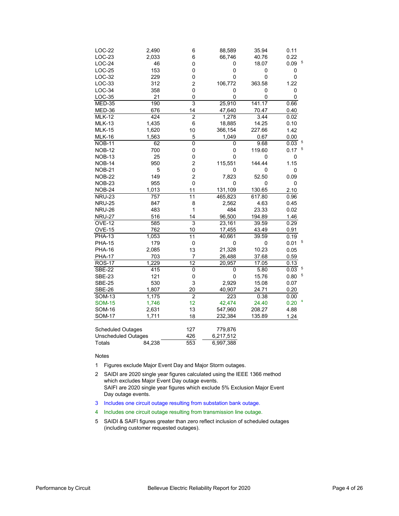| LOC-22                     | 2,490            | 6               | 88,589    | 35.94     | 0.11                   |
|----------------------------|------------------|-----------------|-----------|-----------|------------------------|
| $LOC-23$                   | 2,033            | 6               | 66,746    | 40.76     | 0.22                   |
| $LOC-24$                   | 46               | 0               | 0         | 18.07     | 5<br>0.09              |
| $LOC-25$                   | 153              | 0               | 0         | 0         | 0                      |
| LOC-32                     | 229              | 0               | 0         | $\pmb{0}$ | $\pmb{0}$              |
| $LOC-33$                   | 312              | 2               | 106,772   | 363.58    | 1.22                   |
| $LOC-34$                   | 358              | 0               | 0         | 0         | 0                      |
| <b>LOC-35</b>              | 21               | 0               | $\Omega$  | $\Omega$  | 0                      |
| <b>MED-35</b>              | 190              | 3               | 25,910    | 141.17    | 0.66                   |
| MED-36                     | 676              | 14              | 47,640    | 70.47     | 0.40                   |
| <b>MLK-12</b>              | 424              | $\overline{2}$  | 1,278     | 3.44      | 0.02                   |
| <b>MLK-13</b>              | 1,435            | 6               | 18,885    | 14.25     | 0.10                   |
| <b>MLK-15</b>              | 1,620            | 10              | 366,154   | 227.66    | 1.42                   |
| <b>MLK-16</b>              | 1,563            | 5               | 1,049     | 0.67      | 0.00                   |
| <b>NOB-11</b>              | 62               | $\overline{0}$  | 0         | 9.68      | 0.03 <sup>5</sup>      |
| <b>NOB-12</b>              | 700              | 0               | 0         | 119.60    | $\overline{5}$<br>0.17 |
| <b>NOB-13</b>              | 25               | 0               | 0         | 0         | 0                      |
| <b>NOB-14</b>              | 950              | $\overline{c}$  | 115,551   | 144.44    | 1.15                   |
| <b>NOB-21</b>              | 5                | 0               | 0         | 0         | 0                      |
| <b>NOB-22</b>              | 149              | $\overline{c}$  | 7,823     | 52.50     | 0.09                   |
| <b>NOB-23</b>              | 955              | 0               | 0         | 0         | 0                      |
| <b>NOB-24</b>              | 1,013            | 11              | 131,109   | 130.65    | 2.10                   |
| <b>NRU-23</b>              | $\overline{757}$ | $\overline{11}$ | 465,823   | 617.80    | 0.96                   |
| <b>NRU-25</b>              | 847              | 8               | 2,562     | 4.63      | 0.45                   |
| <b>NRU-26</b>              | 483              | $\mathbf 1$     | 484       | 23.33     | 0.02                   |
| <b>NRU-27</b>              | 516              | 14              | 96,500    | 194.89    | 1.46                   |
| <b>OVE-12</b>              | 585              | 3               | 23,161    | 39.59     | 0.29                   |
| <b>OVE-15</b>              | 762              | 10              | 17,455    | 43.49     | 0.91                   |
| <b>PHA-13</b>              | 1,053            | $\overline{11}$ | 40,661    | 39.59     | 0.19                   |
| <b>PHA-15</b>              | 179              | $\pmb{0}$       | 0         | 0         | 5<br>0.01              |
| <b>PHA-16</b>              | 2,085            | 13              | 21,328    | 10.23     | 0.05                   |
| <b>PHA-17</b>              | 703              | $\overline{7}$  | 26,488    | 37.68     | 0.59                   |
| <b>ROS-17</b>              | 1,229            | $\overline{12}$ | 20,957    | 17.05     | 0.13                   |
| <b>SBE-22</b>              | 415              | 0               | 0         | 5.80      | 5<br>0.03              |
| <b>SBE-23</b>              | 121              | 0               | 0         | 15.76     | 5<br>0.80              |
| <b>SBE-25</b>              | 530              | 3               | 2,929     | 15.08     | 0.07                   |
| <b>SBE-26</b>              | 1,807            | 20              | 40,907    | 24.71     | 0.20                   |
| <b>SOM-13</b>              | 1,175            | $\overline{2}$  | 223       | 0.38      | 0.00                   |
| <b>SOM-15</b>              | 1,746            | 12              | 42,474    | 24.40     | 0.20                   |
| <b>SOM-16</b>              | 2,631            | 13              | 547,960   | 208.27    | 4.88                   |
| <b>SOM-17</b>              | 1,711            | 18              | 232,384   | 135.89    | 1.24                   |
| <b>Scheduled Outages</b>   |                  | 127             | 779,876   |           |                        |
| <b>Unscheduled Outages</b> |                  | 426             | 6,217,512 |           |                        |
| Totals                     | 84.238           | 553             | 6.997.388 |           |                        |

Notes

- 1 Figures exclude Major Event Day and Major Storm outages.
- 2 SAIDI are 2020 single year figures calculated using the IEEE 1366 method which excludes Major Event Day outage events. SAIFI are 2020 single year figures which exclude 5% Exclusion Major Event Day outage events.
- 3 Includes one circuit outage resulting from substation bank outage.
- 4 Includes one circuit outage resulting from transmission line outage.
- 5 SAIDI & SAIFI figures greater than zero reflect inclusion of scheduled outages (including customer requested outages).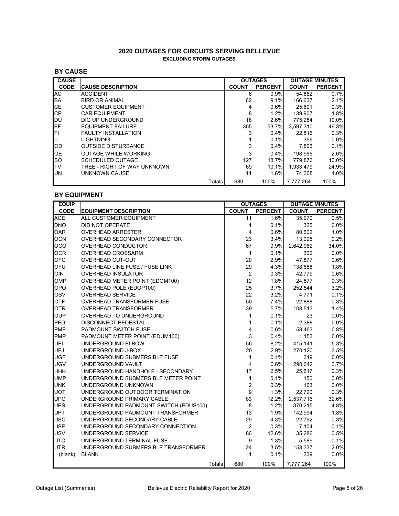#### **2020 OUTAGES FOR CIRCUITS SERVING BELLEVUE EXCLUDING STORM OUTAGES**

#### **BY CAUSE**

| <b>CAUSE</b> |                             |        |              | <b>OUTAGES</b> | <b>OUTAGE MINUTES</b> |                |
|--------------|-----------------------------|--------|--------------|----------------|-----------------------|----------------|
| <b>CODE</b>  | <b>CAUSE DESCRIPTION</b>    |        | <b>COUNT</b> | <b>PERCENT</b> | <b>COUNT</b>          | <b>PERCENT</b> |
| AC           | <b>ACCIDENT</b>             |        | 6            | 0.9%           | 54.862                | 0.7%           |
| <b>BA</b>    | <b>BIRD OR ANIMAL</b>       |        | 62           | 9.1%           | 166.637               | 2.1%           |
| <b>CE</b>    | <b>CUSTOMER EQUIPMENT</b>   |        | 4            | 0.6%           | 25.601                | 0.3%           |
| <b>CP</b>    | <b>CAR EQUIPMENT</b>        |        | 8            | 1.2%           | 139.907               | 1.8%           |
| IDU          | DIG UP UNDERGROUND          |        | 18           | 2.6%           | 775.284               | 10.0%          |
| <b>IEF</b>   | <b>EQUIPMENT FAILURE</b>    |        | 365          | 53.7%          | 3.597.310             | 46.3%          |
| FI           | <b>FAULTY INSTALLATION</b>  |        | 3            | 0.4%           | 22.816                | 0.3%           |
| LI           | <b>LIGHTNING</b>            |        |              | 0.1%           | 356                   | $0.0\%$        |
| OD           | <b>OUTSIDE DISTURBANCE</b>  |        | 3            | 0.4%           | 7.803                 | 0.1%           |
| <b>OE</b>    | <b>OUTAGE WHILE WORKING</b> |        | 3            | $0.4\%$        | 198.966               | 2.6%           |
| <b>SO</b>    | <b>SCHEDULED OUTAGE</b>     |        | 127          | 18.7%          | 779.876               | 10.0%          |
| ITV          | TREE - RIGHT OF WAY UNKNOWN |        | 69           | 10.1%          | 1.933.479             | 24.9%          |
| <b>UN</b>    | UNKNOWN CAUSE               |        | 11           | 1.6%           | 74.368                | 1.0%           |
|              |                             | Totals | 680          | 100%           | 7.777.264             | 100%           |

#### **BY EQUIPMENT**

| <b>EQUIP</b> |                                       |        |                | <b>OUTAGES</b> | <b>OUTAGE MINUTES</b> |                |
|--------------|---------------------------------------|--------|----------------|----------------|-----------------------|----------------|
| <b>CODE</b>  | <b>EQUIPMENT DESCRIPTION</b>          |        | <b>COUNT</b>   | <b>PERCENT</b> | <b>COUNT</b>          | <b>PERCENT</b> |
| <b>ACE</b>   | ALL CUSTOMER EQUIPMENT                |        | 11             | 1.6%           | 35,970                | 0.5%           |
| <b>DNO</b>   | DID NOT OPERATE                       |        | 1              | 0.1%           | 325                   | 0.0%           |
| <b>OAR</b>   | <b>OVERHEAD ARRESTER</b>              |        | 4              | 0.6%           | 80,602                | 1.0%           |
| <b>OCN</b>   | OVERHEAD SECONDARY CONNECTOR          |        | 23             | 3.4%           | 13,095                | 0.2%           |
| <b>OCO</b>   | OVERHEAD CONDUCTOR                    |        | 67             | 9.9%           | 2,642,062             | 34.0%          |
| <b>OCR</b>   | <b>OVERHEAD CROSSARM</b>              |        | $\mathbf{1}$   | 0.1%           | 302                   | 0.0%           |
| <b>OFC</b>   | <b>OVERHEAD CUT-OUT</b>               |        | 20             | 2.9%           | 47,877                | 0.6%           |
| OFU          | <b>OVERHEAD LINE FUSE / FUSE LINK</b> |        | 29             | 4.3%           | 138,688               | 1.8%           |
| OIN          | <b>OVERHEAD INSULATOR</b>             |        | $\overline{c}$ | 0.3%           | 42,779                | 0.6%           |
| <b>OMP</b>   | OVERHEAD METER POINT (EDOM100)        |        | 12             | 1.8%           | 24,577                | 0.3%           |
| <b>OPO</b>   | OVERHEAD POLE (EDOP100)               |        | 25             | 3.7%           | 252,544               | 3.2%           |
| <b>OSV</b>   | <b>OVERHEAD SERVICE</b>               |        | 22             | 3.2%           | 4,771                 | 0.1%           |
| <b>OTF</b>   | <b>OVERHEAD TRANSFORMER FUSE</b>      |        | 50             | 7.4%           | 22,888                | 0.3%           |
| <b>OTR</b>   | <b>OVERHEAD TRANSFORMER</b>           |        | 39             | 5.7%           | 108,513               | 1.4%           |
| <b>OUP</b>   | OVERHEAD TO UNDERGROUND               |        | 1              | 0.1%           | 23                    | 0.0%           |
| <b>PED</b>   | <b>DISCONNECT PEDESTAL</b>            |        | 1              | 0.1%           | 2,388                 | 0.0%           |
| <b>PMF</b>   | PADMOUNT SWITCH FUSE                  |        | 4              | 0.6%           | 58,463                | 0.8%           |
| <b>PMP</b>   | PADMOUNT METER POINT (EDUM100)        |        | 3              | 0.4%           | 1,153                 | 0.0%           |
| <b>UEL</b>   | UNDERGROUND ELBOW                     |        | 56             | 8.2%           | 415,141               | 5.3%           |
| <b>UFJ</b>   | UNDERGROUND J-BOX                     |        | 20             | 2.9%           | 270,120               | 3.5%           |
| <b>UGF</b>   | UNDERGROUND SUBMERSIBLE FUSE          |        | $\mathbf{1}$   | 0.1%           | 319                   | 0.0%           |
| <b>UGV</b>   | UNDERGROUND VAULT                     |        | 4              | 0.6%           | 290,642               | 3.7%           |
| <b>UHH</b>   | UNDERGROUND HANDHOLE - SECONDARY      |        | 17             | 2.5%           | 25,617                | 0.3%           |
| <b>UMP</b>   | UNDERGROUND SUBMERSIBLE METER POINT   |        | $\mathbf{1}$   | 0.1%           | 150                   | 0.0%           |
| <b>UNK</b>   | UNDERGROUND UNKNOWN                   |        | $\overline{c}$ | 0.3%           | 163                   | 0.0%           |
| <b>UOT</b>   | UNDERGROUND OUTDOOR TERMINATION       |        | 9              | 1.3%           | 22,720                | 0.3%           |
| <b>UPC</b>   | UNDERGROUND PRIMARY CABLE             |        | 83             | 12.2%          | 2,537,716             | 32.6%          |
| <b>UPS</b>   | UNDERGROUND PADMOUNT SWITCH (EDUS100) |        | 8              | 1.2%           | 370,215               | 4.8%           |
| <b>UPT</b>   | UNDERGROUND PADMOUNT TRANSFORMER      |        | 13             | 1.9%           | 142.994               | 1.8%           |
| <b>USC</b>   | UNDERGROUND SECONDARY CABLE           |        | 29             | 4.3%           | 22,792                | 0.3%           |
| <b>USE</b>   | UNDERGROUND SECONDARY CONNECTION      |        | 2              | 0.3%           | 7,104                 | 0.1%           |
| <b>USV</b>   | UNDERGROUND SERVICE                   |        | 86             | 12.6%          | 35,286                | 0.5%           |
| <b>UTC</b>   | UNDERGROUND TERMINAL FUSE             |        | 9              | 1.3%           | 5,589                 | 0.1%           |
| <b>UTR</b>   | UNDERGROUND SUBMERSIBLE TRANSFORMER   |        | 24             | 3.5%           | 153,337               | 2.0%           |
| (blank)      | <b>BLANK</b>                          |        | 1              | 0.1%           | 339                   | 0.0%           |
|              |                                       | Totals | 680            | 100%           | 7,777,264             | 100%           |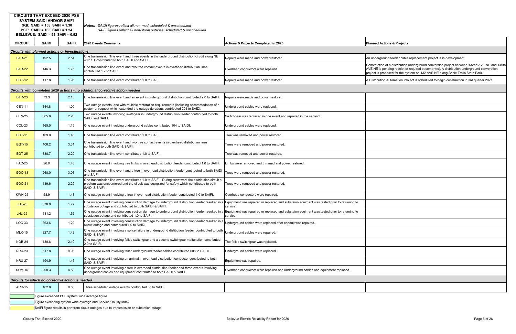Construction of a distribution underground conversion project between 132nd AVE NE and 140th AVE NE is pending receipt of required easement(s). A distribution underground converstion project is proposed for the system on 132 AVE NE along Bridle Trails State Park.

Ition Automation Project is scheduled to begin construction in 3rd quarter 2021.

|                | <b>SYSTEM SAIDI AND/OR SAIFI</b><br>$SQL: SAIDI = 155: SAIFI = 1.30$<br>PSE: SAIDI = 165 SAIFI = 1.24<br>BELLEVUE: SAIDI = 93 SAIFI = $0.92$ |              | Notes: SAIDI figures reflect all non-med, scheduled & unscheduled<br>SAIFI figures reflect all non-storm outages, scheduled & unscheduled                                                                         |                                                                                                        |                                                                                                  |  |  |  |  |
|----------------|----------------------------------------------------------------------------------------------------------------------------------------------|--------------|-------------------------------------------------------------------------------------------------------------------------------------------------------------------------------------------------------------------|--------------------------------------------------------------------------------------------------------|--------------------------------------------------------------------------------------------------|--|--|--|--|
| <b>CIRCUIT</b> | <b>SAIDI</b>                                                                                                                                 | <b>SAIFI</b> | <b>2020 Events Comments</b>                                                                                                                                                                                       | Actions & Projects Completed in 2020                                                                   | <b>Planned Actions &amp; Projects</b>                                                            |  |  |  |  |
|                | <b>Circuits with planned actions or investigations</b>                                                                                       |              |                                                                                                                                                                                                                   |                                                                                                        |                                                                                                  |  |  |  |  |
| <b>BTR-21</b>  | 192.5                                                                                                                                        | 2.54         | One transmission line event and three events in the underground distribution circuit along NE<br>40th ST contributed to both SAIDI and SAIFI.                                                                     | Repairs were made and power restored.                                                                  | An underground feeder cable                                                                      |  |  |  |  |
| <b>BTR-22</b>  | 146.3                                                                                                                                        | 1.75         | One transmission line event and two tree contact events in overhead distribution lines<br>contributed 1.2 to SAIFI.                                                                                               | Overhead conductors were repaired.                                                                     | Construction of a distribution<br>AVE NE is pending receipt of<br>project is proposed for the sy |  |  |  |  |
| <b>EGT-12</b>  | 117.8                                                                                                                                        | 1.95         | One transmission line event contributed 1.0 to SAIFI.                                                                                                                                                             | Repairs were made and power restored.                                                                  | A Distribution Automation Pro                                                                    |  |  |  |  |
|                |                                                                                                                                              |              | Circuits with completed 2020 actions - no additional corrective action needed                                                                                                                                     |                                                                                                        |                                                                                                  |  |  |  |  |
| <b>BTR-23</b>  | 73.3                                                                                                                                         | 2.13         | One transmission line event and an event in underground distribution contributed 2.0 to SAIFI.                                                                                                                    | Repairs were made and power restored.                                                                  |                                                                                                  |  |  |  |  |
| <b>CEN-11</b>  | 344.8                                                                                                                                        | 1.00         | Two outage events, one with multiple restoration requirements (including accommodation of a<br>customer request which extended the outage duration), contributed 294 to SAIDI.                                    | Underground cables were replaced.                                                                      |                                                                                                  |  |  |  |  |
| <b>CEN-25</b>  | 365.8                                                                                                                                        | 2.28         | Two outage events involving swithgear in underground distribution feeder contributed to both<br>SAIDI and SAIFI.                                                                                                  | Switchgear was replaced in one event and repaired in the second.                                       |                                                                                                  |  |  |  |  |
| COL-23         | 165.5                                                                                                                                        | 1.15         | One outage event involving underground cables contributed 104 to SAIDI.                                                                                                                                           | Underground cables were replaced.                                                                      |                                                                                                  |  |  |  |  |
| <b>EGT-11</b>  | 109.0                                                                                                                                        | 1.46         | One transmission line event contributed 1.0 to SAIFI.                                                                                                                                                             | Tree was removed and power restored.                                                                   |                                                                                                  |  |  |  |  |
| <b>EGT-15</b>  | 406.2                                                                                                                                        | 3.31         | One transmission line event and two tree contact events in overhead distribution lines<br>contributed to both SAIDI & SAIFI.                                                                                      | Trees were removed and power restored.                                                                 |                                                                                                  |  |  |  |  |
| <b>EGT-25</b>  | 388.7                                                                                                                                        | 2.20         | One transmission line event contributed 1.0 to SAIFI.                                                                                                                                                             | Tree was removed and power restored.                                                                   |                                                                                                  |  |  |  |  |
| <b>FAC-25</b>  | 96.0                                                                                                                                         | 1.45         | One outage event involving tree limbs in overhead distribution feeder contributed 1.0 to SAIFI.                                                                                                                   | Limbs were removed and trimmed and power restored.                                                     |                                                                                                  |  |  |  |  |
| GOO-13         | 268.0                                                                                                                                        | 3.03         | One transmission line event and a tree in overhead distribution feeder contributed to both SAIDI<br>and SAIFI.                                                                                                    | Trees were removed and power restored.                                                                 |                                                                                                  |  |  |  |  |
| GOO-21         | 189.6                                                                                                                                        | 2.20         | One transmission line event contributed 1.0 to SAIFI. During crew work the distribution circuit a<br>problem was encountered and the circuit was deergized for safety which contributed to both<br>SAIDI & SAIFI. | Trees were removed and power restored.                                                                 |                                                                                                  |  |  |  |  |
| <b>KWH-25</b>  | 58.9                                                                                                                                         | 1.43         | One outage event involving a tree in overhead distribution feeder contributed 1.0 to SAIFI.                                                                                                                       | Overhead conductors were repaired.                                                                     |                                                                                                  |  |  |  |  |
| <b>LHL-23</b>  | 378.6                                                                                                                                        | 1.77         | One outage event involving construction damage to underground distribution feeder resulted in a<br>substation outage and contributed to both SAIDI & SAIFI.                                                       | Equipment was repaired or replaced and substaion equiment was tested prior to returning to<br>service. |                                                                                                  |  |  |  |  |
| <b>LHL-25</b>  | 131.2                                                                                                                                        | 1.52         | One outage event involving construction damage to underground distribution feeder resulted in a<br>substation outage and contributed 1.0 to SAIFI.                                                                | Equipment was repaired or replaced and substaion equiment was tested prior to returning to<br>service. |                                                                                                  |  |  |  |  |
| $LOC-33$       | 363.6                                                                                                                                        | 1.22         | One outage event involving construction damage to underground distribution feeder resulted in a<br>circuit outage and contributed 1.0 to SAIDI.                                                                   | Underground cables were replaced after conduit was repaired.                                           |                                                                                                  |  |  |  |  |
| <b>MLK-15</b>  | 227.7                                                                                                                                        | 1.42         | One outage event involving a splice failure in underground distibution feeder contributed to both<br>SAIDI & SAIFI.                                                                                               | Underground cables were repaired.                                                                      |                                                                                                  |  |  |  |  |
| NOB-24         | 130.6                                                                                                                                        | 2.10         | One outage event involving failed switchgear and a second switchgear malfunction contributed<br>2.0 to SAIFI.                                                                                                     | The failed switchgear was replaced.                                                                    |                                                                                                  |  |  |  |  |
| <b>NRU-23</b>  | 617.8                                                                                                                                        | 0.96         | One outage event involving failed underground feeder cables contributed 608 to SAIDI.                                                                                                                             | Underground cables were replaced.                                                                      |                                                                                                  |  |  |  |  |
| <b>NRU-27</b>  | 194.9                                                                                                                                        | 1.46         | One outage event involving an animal in overhead distribution conductor contributed to both<br>SAIDI & SAIFI.                                                                                                     | Equipment was repaired.                                                                                |                                                                                                  |  |  |  |  |
| SOM-16         | 208.3                                                                                                                                        | 4.88         | One outage event involving a tree in overhead distribution feeder and three events involving<br>underground cables and equipment contributed to both SAIDI & SAIFI.                                               | Overhead conductors were repaired and underground cables and equipment replaced.                       |                                                                                                  |  |  |  |  |
|                | Circuits for which no corrective action is needed                                                                                            |              |                                                                                                                                                                                                                   |                                                                                                        |                                                                                                  |  |  |  |  |
| ARD-15         | 162.8                                                                                                                                        | 0.83         | Three scheduled outage events contributed 85 to SAIDI.                                                                                                                                                            |                                                                                                        |                                                                                                  |  |  |  |  |
|                |                                                                                                                                              |              | Figure exceeded PSE system wide average figure                                                                                                                                                                    |                                                                                                        |                                                                                                  |  |  |  |  |
|                |                                                                                                                                              |              | Figure exceeding system wide average and Service Qaulity Index                                                                                                                                                    |                                                                                                        |                                                                                                  |  |  |  |  |
|                |                                                                                                                                              |              | SAIFI figure results in part from circuit outages due to transmission or substation outage                                                                                                                        |                                                                                                        |                                                                                                  |  |  |  |  |

**CIRCUITS THAT EXCEED 2020 PSE**

rground feeder cable replacement project is in development.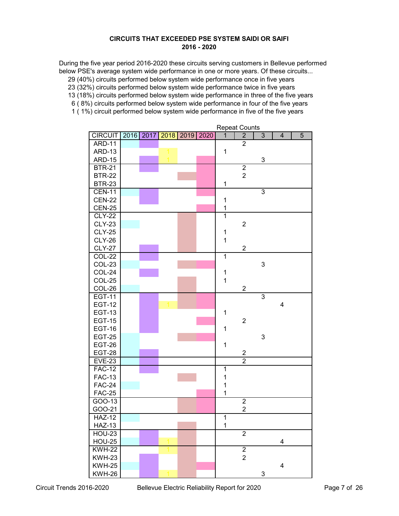#### **CIRCUITS THAT EXCEEDED PSE SYSTEM SAIDI OR SAIFI 2016 - 2020**

During the five year period 2016-2020 these circuits serving customers in Bellevue performed below PSE's average system wide performance in one or more years. Of these circuits...

29 (40%) circuits performed below system wide performance once in five years

23 (32%) circuits performed below system wide performance twice in five years

13 (18%) circuits performed below system wide performance in three of the five years

6 ( 8%) circuits performed below system wide performance in four of the five years

1 ( 1%) circuit performed below system wide performance in five of the five years

| <b>CIRCUIT</b> | 2016 2017 | 2018 | 2019 | 2020 | $\overline{1}$          | $\overline{2}$   | $\overline{3}$ | $\overline{\mathbf{4}}$ | 5 |
|----------------|-----------|------|------|------|-------------------------|------------------|----------------|-------------------------|---|
| <b>ARD-11</b>  |           |      |      |      |                         | $\overline{2}$   |                |                         |   |
| <b>ARD-13</b>  |           |      |      |      | $\mathbf{1}$            |                  |                |                         |   |
| <b>ARD-15</b>  |           |      |      |      |                         |                  | 3              |                         |   |
| <b>BTR-21</b>  |           |      |      |      |                         | $\boldsymbol{2}$ |                |                         |   |
| <b>BTR-22</b>  |           |      |      |      |                         | $\overline{2}$   |                |                         |   |
| <b>BTR-23</b>  |           |      |      |      | 1                       |                  |                |                         |   |
| <b>CEN-11</b>  |           |      |      |      |                         |                  | $\overline{3}$ |                         |   |
| <b>CEN-22</b>  |           |      |      |      | $\mathbf 1$             |                  |                |                         |   |
| <b>CEN-25</b>  |           |      |      |      | $\mathbf 1$             |                  |                |                         |   |
| <b>CLY-22</b>  |           |      |      |      | $\overline{\mathbf{1}}$ |                  |                |                         |   |
| <b>CLY-23</b>  |           |      |      |      |                         | $\overline{2}$   |                |                         |   |
| <b>CLY-25</b>  |           |      |      |      | 1                       |                  |                |                         |   |
| <b>CLY-26</b>  |           |      |      |      | $\overline{1}$          |                  |                |                         |   |
| <b>CLY-27</b>  |           |      |      |      |                         | $\overline{c}$   |                |                         |   |
| <b>COL-22</b>  |           |      |      |      | $\overline{1}$          |                  |                |                         |   |
| COL-23         |           |      |      |      |                         |                  | 3              |                         |   |
| COL-24         |           |      |      |      | $\mathbf 1$             |                  |                |                         |   |
| COL-25         |           |      |      |      | $\mathbf{1}$            |                  |                |                         |   |
| COL-26         |           |      |      |      |                         | $\boldsymbol{2}$ |                |                         |   |
| <b>EGT-11</b>  |           |      |      |      |                         |                  | $\overline{3}$ |                         |   |
| <b>EGT-12</b>  |           |      |      |      |                         |                  |                | $\overline{\mathbf{4}}$ |   |
| <b>EGT-13</b>  |           |      |      |      | $\mathbf 1$             |                  |                |                         |   |
| <b>EGT-15</b>  |           |      |      |      |                         | $\overline{2}$   |                |                         |   |
| <b>EGT-16</b>  |           |      |      |      | 1                       |                  |                |                         |   |
| <b>EGT-25</b>  |           |      |      |      |                         |                  | 3              |                         |   |
| <b>EGT-26</b>  |           |      |      |      | $\mathbf 1$             |                  |                |                         |   |
| <b>EGT-28</b>  |           |      |      |      |                         | $\overline{c}$   |                |                         |   |
| <b>EVE-23</b>  |           |      |      |      |                         | $\overline{2}$   |                |                         |   |
| <b>FAC-12</b>  |           |      |      |      | 1                       |                  |                |                         |   |
| <b>FAC-13</b>  |           |      |      |      | 1                       |                  |                |                         |   |
| <b>FAC-24</b>  |           |      |      |      | 1                       |                  |                |                         |   |
| <b>FAC-25</b>  |           |      |      |      | 1                       |                  |                |                         |   |
| GOO-13         |           |      |      |      |                         | $\overline{2}$   |                |                         |   |
| GOO-21         |           |      |      |      |                         | $\overline{c}$   |                |                         |   |
| <b>HAZ-12</b>  |           |      |      |      | $\overline{1}$          |                  |                |                         |   |
| <b>HAZ-13</b>  |           |      |      |      | 1                       |                  |                |                         |   |
| <b>HOU-23</b>  |           |      |      |      |                         | $\overline{2}$   |                |                         |   |
| <b>HOU-25</b>  |           |      |      |      |                         |                  |                | $\overline{4}$          |   |
| <b>KWH-22</b>  |           |      |      |      |                         | $\overline{2}$   |                |                         |   |
| <b>KWH-23</b>  |           |      |      |      |                         | $\overline{2}$   |                |                         |   |
| <b>KWH-25</b>  |           |      |      |      |                         |                  |                | $\overline{\mathbf{4}}$ |   |
| <b>KWH-26</b>  |           |      |      |      |                         |                  | 3              |                         |   |

Repeat Counts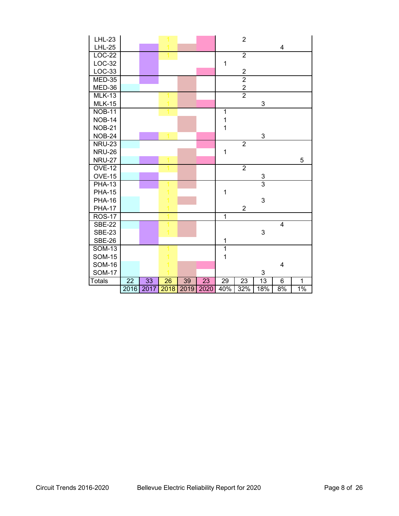| <b>LHL-23</b> |      |      |      |      |                 |                | $\overline{2}$ |                |                |              |  |
|---------------|------|------|------|------|-----------------|----------------|----------------|----------------|----------------|--------------|--|
| <b>LHL-25</b> |      |      |      |      |                 |                |                |                | 4              |              |  |
| $LOC-22$      |      |      |      |      |                 |                | $\overline{2}$ |                |                |              |  |
| $LOC-32$      |      |      |      |      |                 | $\mathbf 1$    |                |                |                |              |  |
| $LOC-33$      |      |      |      |      |                 |                | $\frac{2}{2}$  |                |                |              |  |
| $MED-35$      |      |      |      |      |                 |                |                |                |                |              |  |
| MED-36        |      |      |      |      |                 |                | $\frac{2}{2}$  |                |                |              |  |
| <b>MLK-13</b> |      |      |      |      |                 |                |                |                |                |              |  |
| <b>MLK-15</b> |      |      |      |      |                 |                |                | 3              |                |              |  |
| <b>NOB-11</b> |      |      |      |      |                 | 1              |                |                |                |              |  |
| <b>NOB-14</b> |      |      |      |      |                 | $\mathbf 1$    |                |                |                |              |  |
| <b>NOB-21</b> |      |      |      |      |                 | $\mathbf{1}$   |                |                |                |              |  |
| <b>NOB-24</b> |      |      |      |      |                 |                |                | 3              |                |              |  |
| <b>NRU-23</b> |      |      |      |      |                 |                | $\overline{2}$ |                |                |              |  |
| <b>NRU-26</b> |      |      |      |      |                 | $\mathbf 1$    |                |                |                |              |  |
| <b>NRU-27</b> |      |      |      |      |                 |                |                |                |                | 5            |  |
| <b>OVE-12</b> |      |      |      |      |                 |                | $\overline{2}$ |                |                |              |  |
| <b>OVE-15</b> |      |      |      |      |                 |                |                | 3              |                |              |  |
| <b>PHA-13</b> |      |      |      |      |                 |                |                | $\overline{3}$ |                |              |  |
| <b>PHA-15</b> |      |      |      |      |                 | 1              |                |                |                |              |  |
| <b>PHA-16</b> |      |      |      |      |                 |                |                | 3              |                |              |  |
| <b>PHA-17</b> |      |      |      |      |                 |                | $\overline{2}$ |                |                |              |  |
| <b>ROS-17</b> |      |      |      |      |                 | $\overline{1}$ |                |                |                |              |  |
| <b>SBE-22</b> |      |      |      |      |                 |                |                |                | $\overline{4}$ |              |  |
| <b>SBE-23</b> |      |      |      |      |                 |                |                | 3              |                |              |  |
| <b>SBE-26</b> |      |      |      |      |                 | 1              |                |                |                |              |  |
| <b>SOM-13</b> |      |      |      |      |                 | $\overline{1}$ |                |                |                |              |  |
| <b>SOM-15</b> |      |      |      |      |                 | $\overline{1}$ |                |                |                |              |  |
| <b>SOM-16</b> |      |      |      |      |                 |                |                |                | 4              |              |  |
| <b>SOM-17</b> |      |      |      |      |                 |                |                | 3              |                |              |  |
| <b>Totals</b> | 22   | 33   | 26   | 39   | $\overline{23}$ | 29             | 23             | 13             | 6              | $\mathbf{1}$ |  |
|               | 2016 | 2017 | 2018 | 2019 | 2020            | 40%            | 32%            | 18%            | 8%             | 1%           |  |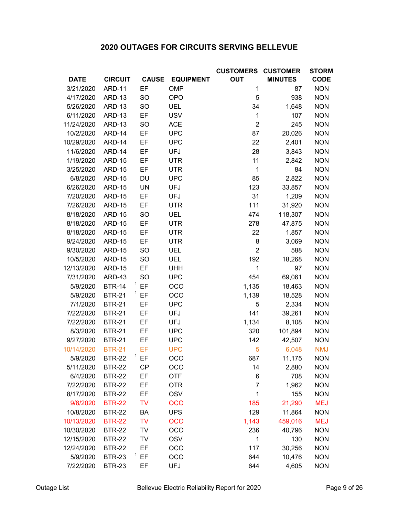# **2020 OUTAGES FOR CIRCUITS SERVING BELLEVUE**

|             |                |              |                  | <b>CUSTOMERS</b> | <b>CUSTOMER</b> | <b>STORM</b> |
|-------------|----------------|--------------|------------------|------------------|-----------------|--------------|
| <b>DATE</b> | <b>CIRCUIT</b> | <b>CAUSE</b> | <b>EQUIPMENT</b> | <b>OUT</b>       | <b>MINUTES</b>  | <b>CODE</b>  |
| 3/21/2020   | <b>ARD-11</b>  | EF           | <b>OMP</b>       | 1                | 87              | <b>NON</b>   |
| 4/17/2020   | ARD-13         | <b>SO</b>    | <b>OPO</b>       | 5                | 938             | <b>NON</b>   |
| 5/26/2020   | <b>ARD-13</b>  | SO           | <b>UEL</b>       | 34               | 1,648           | <b>NON</b>   |
| 6/11/2020   | ARD-13         | EF           | <b>USV</b>       | 1                | 107             | <b>NON</b>   |
| 11/24/2020  | ARD-13         | <b>SO</b>    | <b>ACE</b>       | $\overline{2}$   | 245             | <b>NON</b>   |
| 10/2/2020   | ARD-14         | EF           | <b>UPC</b>       | 87               | 20,026          | <b>NON</b>   |
| 10/29/2020  | ARD-14         | EF           | <b>UPC</b>       | 22               | 2,401           | <b>NON</b>   |
| 11/6/2020   | ARD-14         | EF           | <b>UFJ</b>       | 28               | 3,843           | <b>NON</b>   |
| 1/19/2020   | <b>ARD-15</b>  | EF           | <b>UTR</b>       | 11               | 2,842           | <b>NON</b>   |
| 3/25/2020   | <b>ARD-15</b>  | EF           | <b>UTR</b>       | $\mathbf 1$      | 84              | <b>NON</b>   |
| 6/8/2020    | <b>ARD-15</b>  | DU           | <b>UPC</b>       | 85               | 2,822           | <b>NON</b>   |
| 6/26/2020   | <b>ARD-15</b>  | <b>UN</b>    | <b>UFJ</b>       | 123              | 33,857          | <b>NON</b>   |
| 7/20/2020   | <b>ARD-15</b>  | EF           | <b>UFJ</b>       | 31               | 1,209           | <b>NON</b>   |
| 7/26/2020   | <b>ARD-15</b>  | EF           | <b>UTR</b>       | 111              | 31,920          | <b>NON</b>   |
| 8/18/2020   | <b>ARD-15</b>  | <b>SO</b>    | <b>UEL</b>       | 474              | 118,307         | <b>NON</b>   |
| 8/18/2020   | <b>ARD-15</b>  | EF           | <b>UTR</b>       | 278              | 47,875          | <b>NON</b>   |
| 8/18/2020   | <b>ARD-15</b>  | EF           | <b>UTR</b>       | 22               | 1,857           | <b>NON</b>   |
| 9/24/2020   | <b>ARD-15</b>  | EF           | <b>UTR</b>       | 8                | 3,069           | <b>NON</b>   |
| 9/30/2020   | <b>ARD-15</b>  | <b>SO</b>    | UEL              | $\overline{2}$   | 588             | <b>NON</b>   |
| 10/5/2020   | <b>ARD-15</b>  | <b>SO</b>    | <b>UEL</b>       | 192              | 18,268          | <b>NON</b>   |
| 12/13/2020  | <b>ARD-15</b>  | EF           | <b>UHH</b>       | 1                | 97              | <b>NON</b>   |
| 7/31/2020   | ARD-43         | <b>SO</b>    | <b>UPC</b>       | 454              | 69,061          | <b>NON</b>   |
| 5/9/2020    | <b>BTR-14</b>  | $1$ EF       | OCO              | 1,135            | 18,463          | <b>NON</b>   |
| 5/9/2020    | <b>BTR-21</b>  | $1$ EF       | <b>OCO</b>       | 1,139            | 18,528          | <b>NON</b>   |
| 7/1/2020    | <b>BTR-21</b>  | EF           | <b>UPC</b>       | 5                | 2,334           | <b>NON</b>   |
| 7/22/2020   | <b>BTR-21</b>  | EF           | <b>UFJ</b>       | 141              | 39,261          | <b>NON</b>   |
| 7/22/2020   | <b>BTR-21</b>  | EF           | <b>UFJ</b>       | 1,134            | 8,108           | <b>NON</b>   |
| 8/3/2020    | <b>BTR-21</b>  | EF           | <b>UPC</b>       | 320              | 101,894         | <b>NON</b>   |
| 9/27/2020   | <b>BTR-21</b>  | EF           | <b>UPC</b>       | 142              | 42,507          | <b>NON</b>   |
| 10/14/2020  | <b>BTR-21</b>  | EF           | <b>UPC</b>       | 5                | 6,048           | <b>NMJ</b>   |
| 5/9/2020    | <b>BTR-22</b>  | $1$ EF       | <b>OCO</b>       | 687              | 11,175          | <b>NON</b>   |
| 5/11/2020   | <b>BTR-22</b>  | СP           | <b>OCO</b>       | 14               | 2,880           | <b>NON</b>   |
| 6/4/2020    | <b>BTR-22</b>  | EF           | <b>OTF</b>       | 6                | 708             | <b>NON</b>   |
| 7/22/2020   | <b>BTR-22</b>  | EF           | <b>OTR</b>       | 7                | 1,962           | <b>NON</b>   |
| 8/17/2020   | <b>BTR-22</b>  | EF           | <b>OSV</b>       | 1                | 155             | <b>NON</b>   |
| 9/8/2020    | <b>BTR-22</b>  | <b>TV</b>    | <b>OCO</b>       | 185              | 21,290          | <b>MEJ</b>   |
| 10/8/2020   | <b>BTR-22</b>  | BA           | <b>UPS</b>       | 129              | 11,864          | <b>NON</b>   |
| 10/13/2020  | <b>BTR-22</b>  | <b>TV</b>    | <b>OCO</b>       | 1,143            | 459,016         | <b>MEJ</b>   |
| 10/30/2020  | <b>BTR-22</b>  | TV           | OCO              | 236              | 40,796          | <b>NON</b>   |
| 12/15/2020  | <b>BTR-22</b>  | TV           | <b>OSV</b>       | 1                | 130             | <b>NON</b>   |
| 12/24/2020  | <b>BTR-22</b>  | EF           | OCO              | 117              | 30,256          | <b>NON</b>   |
| 5/9/2020    | <b>BTR-23</b>  | $^1$ EF      | OCO              | 644              | 10,476          | <b>NON</b>   |
| 7/22/2020   | <b>BTR-23</b>  | EF           | UFJ              | 644              | 4,605           | <b>NON</b>   |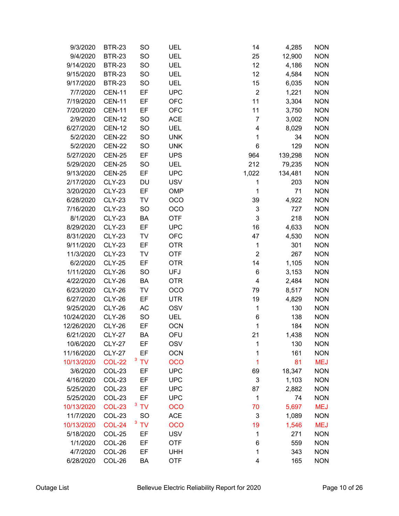| 9/3/2020   | <b>BTR-23</b> | SO        | UEL        | 14               | 4,285   | <b>NON</b> |
|------------|---------------|-----------|------------|------------------|---------|------------|
| 9/4/2020   | <b>BTR-23</b> | <b>SO</b> | <b>UEL</b> | 25               | 12,900  | <b>NON</b> |
| 9/14/2020  | <b>BTR-23</b> | <b>SO</b> | <b>UEL</b> | 12               | 4,186   | <b>NON</b> |
| 9/15/2020  | <b>BTR-23</b> | <b>SO</b> | UEL        | 12               | 4,584   | <b>NON</b> |
| 9/17/2020  | <b>BTR-23</b> | <b>SO</b> | <b>UEL</b> | 15               | 6,035   | <b>NON</b> |
| 7/7/2020   | <b>CEN-11</b> | EF        | <b>UPC</b> | $\boldsymbol{2}$ | 1,221   | <b>NON</b> |
| 7/19/2020  | <b>CEN-11</b> | EF        | <b>OFC</b> | 11               | 3,304   | <b>NON</b> |
| 7/20/2020  | <b>CEN-11</b> | EF        | <b>OFC</b> | 11               | 3,750   | <b>NON</b> |
| 2/9/2020   | <b>CEN-12</b> | <b>SO</b> | <b>ACE</b> | $\overline{7}$   | 3,002   | <b>NON</b> |
| 6/27/2020  | <b>CEN-12</b> | <b>SO</b> | <b>UEL</b> | 4                | 8,029   | <b>NON</b> |
| 5/2/2020   | <b>CEN-22</b> | <b>SO</b> | <b>UNK</b> | 1                | 34      | <b>NON</b> |
| 5/2/2020   | <b>CEN-22</b> | <b>SO</b> | <b>UNK</b> | 6                | 129     | <b>NON</b> |
| 5/27/2020  | <b>CEN-25</b> | EF        | <b>UPS</b> | 964              | 139,298 | <b>NON</b> |
| 5/29/2020  | <b>CEN-25</b> | SO        | UEL        | 212              | 79,235  | <b>NON</b> |
| 9/13/2020  | <b>CEN-25</b> | EF        | <b>UPC</b> | 1,022            | 134,481 | <b>NON</b> |
| 2/17/2020  | <b>CLY-23</b> | DU        | <b>USV</b> | 1                | 203     | <b>NON</b> |
| 3/20/2020  | <b>CLY-23</b> | EF        | OMP        | 1                | 71      | <b>NON</b> |
| 6/28/2020  | <b>CLY-23</b> | TV        | OCO        | 39               | 4,922   | <b>NON</b> |
| 7/16/2020  | <b>CLY-23</b> | <b>SO</b> | <b>OCO</b> | 3                | 727     | <b>NON</b> |
| 8/1/2020   | <b>CLY-23</b> | BA        | <b>OTF</b> | 3                | 218     | <b>NON</b> |
| 8/29/2020  | <b>CLY-23</b> | EF        | <b>UPC</b> | 16               | 4,633   | <b>NON</b> |
| 8/31/2020  | <b>CLY-23</b> | TV        | <b>OFC</b> | 47               | 4,530   | <b>NON</b> |
| 9/11/2020  | <b>CLY-23</b> | EF        | <b>OTR</b> | 1                | 301     | <b>NON</b> |
| 11/3/2020  | <b>CLY-23</b> | TV        | <b>OTF</b> | $\overline{2}$   | 267     | <b>NON</b> |
| 6/2/2020   | <b>CLY-25</b> | EF        | <b>OTR</b> | 14               | 1,105   | <b>NON</b> |
| 1/11/2020  | <b>CLY-26</b> | SO        | <b>UFJ</b> | 6                | 3,153   | <b>NON</b> |
| 4/22/2020  | <b>CLY-26</b> | BA        | <b>OTR</b> | 4                | 2,484   | <b>NON</b> |
| 6/23/2020  | <b>CLY-26</b> | TV        | OCO        | 79               | 8,517   | <b>NON</b> |
| 6/27/2020  | <b>CLY-26</b> | EF        | <b>UTR</b> | 19               | 4,829   | <b>NON</b> |
| 9/25/2020  | <b>CLY-26</b> | AC        | <b>OSV</b> | 1                | 130     | <b>NON</b> |
| 10/24/2020 | <b>CLY-26</b> | <b>SO</b> | UEL        | 6                | 138     | <b>NON</b> |
| 12/26/2020 | <b>CLY-26</b> | EF        | <b>OCN</b> | 1                | 184     | <b>NON</b> |
| 6/21/2020  | <b>CLY-27</b> | BA        | OFU        | 21               | 1,438   | <b>NON</b> |
| 10/6/2020  | <b>CLY-27</b> | EF        | <b>OSV</b> | 1                | 130     | <b>NON</b> |
| 11/16/2020 | <b>CLY-27</b> | EF        | <b>OCN</b> | 1                | 161     | <b>NON</b> |
| 10/13/2020 | <b>COL-22</b> | 3TV       | <b>OCO</b> | 1                | 81      | <b>MEJ</b> |
| 3/6/2020   | COL-23        | EF        | <b>UPC</b> | 69               | 18,347  | <b>NON</b> |
| 4/16/2020  | COL-23        | EF        | <b>UPC</b> | 3                | 1,103   | <b>NON</b> |
| 5/25/2020  | COL-23        | EF        | <b>UPC</b> | 87               | 2,882   | <b>NON</b> |
| 5/25/2020  | COL-23        | EF        | <b>UPC</b> | 1                | 74      | <b>NON</b> |
| 10/13/2020 | <b>COL-23</b> | 3 TV      | <b>OCO</b> | 70               | 5,697   | <b>MEJ</b> |
| 11/7/2020  | COL-23        | <b>SO</b> | <b>ACE</b> | 3                | 1,089   | <b>NON</b> |
| 10/13/2020 | <b>COL-24</b> | <b>TV</b> | <b>OCO</b> | 19               | 1,546   | <b>MEJ</b> |
| 5/18/2020  | COL-25        | EF        | <b>USV</b> | 1                | 271     | <b>NON</b> |
| 1/1/2020   | COL-26        | EF        | <b>OTF</b> | 6                | 559     | <b>NON</b> |
| 4/7/2020   | COL-26        | EF        | <b>UHH</b> | 1                | 343     | <b>NON</b> |
| 6/28/2020  | COL-26        | BA        | <b>OTF</b> | 4                | 165     | <b>NON</b> |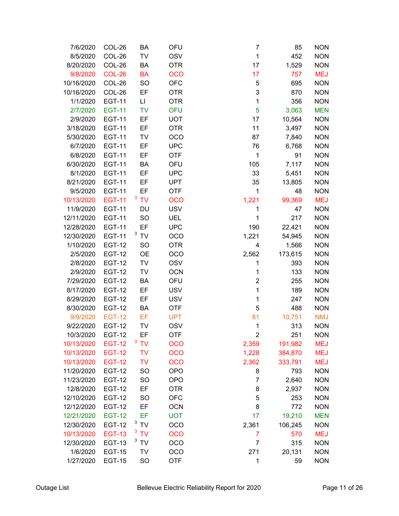| 7/6/2020   | COL-26        | BA             | OFU        | 7           | 85      | <b>NON</b> |
|------------|---------------|----------------|------------|-------------|---------|------------|
| 8/5/2020   | COL-26        | TV             | <b>OSV</b> | $\mathbf 1$ | 452     | <b>NON</b> |
| 8/20/2020  | COL-26        | BA             | <b>OTR</b> | 17          | 1,529   | <b>NON</b> |
| 9/8/2020   | <b>COL-26</b> | <b>BA</b>      | <b>OCO</b> | 17          | 757     | <b>MEJ</b> |
| 10/16/2020 | COL-26        | SO             | <b>OFC</b> | 5           | 695     | <b>NON</b> |
| 10/16/2020 | COL-26        | EF             | <b>OTR</b> | 3           | 870     | <b>NON</b> |
| 1/1/2020   | <b>EGT-11</b> | LI             | <b>OTR</b> | 1           | 356     | <b>NON</b> |
| 2/7/2020   | <b>EGT-11</b> | <b>TV</b>      | <b>OFU</b> | 5           | 3,063   | <b>MEN</b> |
| 2/9/2020   | <b>EGT-11</b> | EF             | <b>UOT</b> | 17          | 10,564  | <b>NON</b> |
| 3/18/2020  | <b>EGT-11</b> | EF             | <b>OTR</b> | 11          | 3,497   | <b>NON</b> |
| 5/30/2020  | <b>EGT-11</b> | <b>TV</b>      | OCO        | 87          | 7,840   | <b>NON</b> |
| 6/7/2020   | <b>EGT-11</b> | EF             | <b>UPC</b> | 76          | 6,768   | <b>NON</b> |
| 6/8/2020   | <b>EGT-11</b> | EF             | <b>OTF</b> | 1           | 91      | <b>NON</b> |
| 6/30/2020  | <b>EGT-11</b> | BA             | OFU        | 105         | 7,117   | <b>NON</b> |
| 8/1/2020   | <b>EGT-11</b> | EF             | <b>UPC</b> | 33          | 5,451   | <b>NON</b> |
| 8/21/2020  | <b>EGT-11</b> | EF             | <b>UPT</b> | 35          | 13,805  | <b>NON</b> |
| 9/5/2020   | <b>EGT-11</b> | EF             | <b>OTF</b> | 1           | 48      | <b>NON</b> |
| 10/13/2020 | <b>EGT-11</b> | 3 TV           | OCO        | 1,221       | 99,369  | <b>MEJ</b> |
| 11/9/2020  | <b>EGT-11</b> | DU             | <b>USV</b> | 1           | 47      | <b>NON</b> |
| 12/11/2020 | <b>EGT-11</b> | <b>SO</b>      | UEL        | 1           | 217     | <b>NON</b> |
| 12/28/2020 | <b>EGT-11</b> | EF             | <b>UPC</b> | 190         | 22,421  | <b>NON</b> |
| 12/30/2020 | <b>EGT-11</b> | $3$ TV         | OCO        | 1,221       | 54,945  | <b>NON</b> |
| 1/10/2020  | <b>EGT-12</b> | <b>SO</b>      | <b>OTR</b> | 4           | 1,566   | <b>NON</b> |
| 2/5/2020   | <b>EGT-12</b> | <b>OE</b>      | OCO        | 2,562       | 173,615 | <b>NON</b> |
| 2/8/2020   | <b>EGT-12</b> | TV             | <b>OSV</b> | 1           | 393     | <b>NON</b> |
| 2/9/2020   | <b>EGT-12</b> | <b>TV</b>      | <b>OCN</b> | 1           | 133     | <b>NON</b> |
| 7/29/2020  | <b>EGT-12</b> | BA             | OFU        | 2           | 255     | <b>NON</b> |
| 8/17/2020  | <b>EGT-12</b> | EF             | <b>USV</b> | $\mathbf 1$ | 189     | <b>NON</b> |
| 8/29/2020  | <b>EGT-12</b> | EF             | <b>USV</b> | 1           | 247     | <b>NON</b> |
| 8/30/2020  | <b>EGT-12</b> | BA             | <b>OTF</b> | 5           | 488     | <b>NON</b> |
| 9/9/2020   | <b>EGT-12</b> | EF             | <b>UPT</b> | 81          | 10,751  | <b>NMJ</b> |
| 9/22/2020  | <b>EGT-12</b> | TV             | <b>OSV</b> | 1           | 313     | <b>NON</b> |
| 10/3/2020  | <b>EGT-12</b> | EF             | <b>OTF</b> | 2           | 251     | <b>NON</b> |
| 10/13/2020 | <b>EGT-12</b> | 3<br><b>TV</b> | OCO        | 2,359       | 191,982 | MEJ        |
| 10/13/2020 | <b>EGT-12</b> | <b>TV</b>      | OCO        | 1,228       | 384,870 | <b>MEJ</b> |
| 10/13/2020 | <b>EGT-12</b> | <b>TV</b>      | OCO        | 2,362       | 333,791 | <b>MEJ</b> |
| 11/20/2020 | <b>EGT-12</b> | <b>SO</b>      | <b>OPO</b> | 8           | 793     | <b>NON</b> |
| 11/23/2020 | <b>EGT-12</b> | SO             | <b>OPO</b> | 7           | 2,640   | <b>NON</b> |
| 12/8/2020  | <b>EGT-12</b> | EF             | <b>OTR</b> | 8           | 2,937   | <b>NON</b> |
| 12/10/2020 | <b>EGT-12</b> | <b>SO</b>      | <b>OFC</b> | 5           | 253     | <b>NON</b> |
| 12/12/2020 | <b>EGT-12</b> | EF             | <b>OCN</b> | 8           | 772     | <b>NON</b> |
| 12/21/2020 | <b>EGT-12</b> | EF             | <b>UOT</b> | 17          | 19,210  | <b>MEN</b> |
| 12/30/2020 | <b>EGT-12</b> | 3TV            | OCO        | 2,361       | 106,245 | <b>NON</b> |
| 10/13/2020 | <b>EGT-13</b> | 3 TV           | OCO        | 7           | 570     | <b>MEJ</b> |
| 12/30/2020 | <b>EGT-13</b> | $3$ TV         | OCO        | 7           | 315     | <b>NON</b> |
| 1/6/2020   | <b>EGT-15</b> | TV             | OCO        | 271         | 20,131  | <b>NON</b> |
| 1/27/2020  | <b>EGT-15</b> | <b>SO</b>      | <b>OTF</b> | 1           | 59      | <b>NON</b> |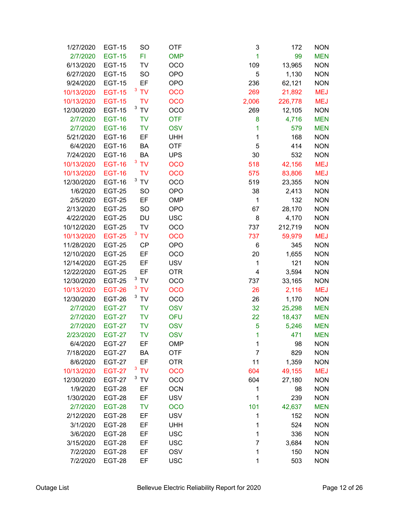| 1/27/2020  | <b>EGT-15</b> | SO        | <b>OTF</b> | 3              | 172     | <b>NON</b> |
|------------|---------------|-----------|------------|----------------|---------|------------|
| 2/7/2020   | <b>EGT-15</b> | FI        | <b>OMP</b> | 1              | 99      | <b>MEN</b> |
| 6/13/2020  | <b>EGT-15</b> | TV        | <b>OCO</b> | 109            | 13,965  | <b>NON</b> |
| 6/27/2020  | <b>EGT-15</b> | <b>SO</b> | <b>OPO</b> | 5              | 1,130   | <b>NON</b> |
| 9/24/2020  | <b>EGT-15</b> | EF        | <b>OPO</b> | 236            | 62,121  | <b>NON</b> |
| 10/13/2020 | <b>EGT-15</b> | 3 TV      | <b>OCO</b> | 269            | 21,892  | <b>MEJ</b> |
| 10/13/2020 | <b>EGT-15</b> | <b>TV</b> | <b>OCO</b> | 2,006          | 226,778 | <b>MEJ</b> |
| 12/30/2020 | <b>EGT-15</b> | $3$ TV    | OCO        | 269            | 12,105  | <b>NON</b> |
| 2/7/2020   | <b>EGT-16</b> | <b>TV</b> | <b>OTF</b> | 8              | 4,716   | <b>MEN</b> |
| 2/7/2020   | <b>EGT-16</b> | <b>TV</b> | <b>OSV</b> | 1              | 579     | <b>MEN</b> |
| 5/21/2020  | <b>EGT-16</b> | EF        | <b>UHH</b> | 1              | 168     | <b>NON</b> |
| 6/4/2020   | <b>EGT-16</b> | BA        | <b>OTF</b> | 5              | 414     | <b>NON</b> |
| 7/24/2020  | <b>EGT-16</b> | BA        | <b>UPS</b> | 30             | 532     | <b>NON</b> |
| 10/13/2020 | <b>EGT-16</b> | 3 TV      | <b>OCO</b> | 518            | 42,156  | <b>MEJ</b> |
| 10/13/2020 | <b>EGT-16</b> | <b>TV</b> | <b>OCO</b> | 575            | 83,806  | <b>MEJ</b> |
| 12/30/2020 | <b>EGT-16</b> | $3$ TV    | <b>OCO</b> | 519            | 23,355  | <b>NON</b> |
| 1/6/2020   | <b>EGT-25</b> | <b>SO</b> | <b>OPO</b> | 38             | 2,413   | <b>NON</b> |
| 2/5/2020   | <b>EGT-25</b> | EF        | OMP        | 1              | 132     | <b>NON</b> |
| 2/13/2020  | <b>EGT-25</b> | SO        | <b>OPO</b> | 67             | 28,170  | <b>NON</b> |
| 4/22/2020  | <b>EGT-25</b> | DU        | <b>USC</b> | 8              | 4,170   | <b>NON</b> |
| 10/12/2020 | <b>EGT-25</b> | TV        | <b>OCO</b> | 737            | 212,719 | <b>NON</b> |
| 10/13/2020 | <b>EGT-25</b> | <b>TV</b> | <b>OCO</b> | 737            | 59,979  | <b>MEJ</b> |
| 11/28/2020 | <b>EGT-25</b> | <b>CP</b> | <b>OPO</b> | 6              | 345     | <b>NON</b> |
| 12/10/2020 | <b>EGT-25</b> | EF        | OCO        | 20             | 1,655   | <b>NON</b> |
| 12/14/2020 | <b>EGT-25</b> | EF        | <b>USV</b> | 1              | 121     | <b>NON</b> |
| 12/22/2020 | <b>EGT-25</b> | EF        | <b>OTR</b> | $\overline{4}$ | 3,594   | <b>NON</b> |
| 12/30/2020 | <b>EGT-25</b> | $3$ TV    | OCO        | 737            | 33,165  | <b>NON</b> |
| 10/13/2020 | <b>EGT-26</b> | 3 TV      | <b>OCO</b> | 26             | 2,116   | <b>MEJ</b> |
| 12/30/2020 | <b>EGT-26</b> | <b>TV</b> | OCO        | 26             | 1,170   | <b>NON</b> |
| 2/7/2020   | <b>EGT-27</b> | <b>TV</b> | <b>OSV</b> | 32             | 25,298  | <b>MEN</b> |
| 2/7/2020   | <b>EGT-27</b> | <b>TV</b> | <b>OFU</b> | 22             | 18,437  | <b>MEN</b> |
| 2/7/2020   | <b>EGT-27</b> | <b>TV</b> | <b>OSV</b> | 5              | 5,246   | <b>MEN</b> |
| 2/23/2020  | <b>EGT-27</b> | <b>TV</b> | <b>OSV</b> | $\overline{1}$ | 471     | <b>MEN</b> |
| 6/4/2020   | <b>EGT-27</b> | EF        | <b>OMP</b> | 1              | 98      | <b>NON</b> |
| 7/18/2020  | <b>EGT-27</b> | BA        | <b>OTF</b> | $\overline{7}$ | 829     | <b>NON</b> |
| 8/6/2020   | <b>EGT-27</b> | EF        | <b>OTR</b> | 11             | 1,359   | <b>NON</b> |
| 10/13/2020 | <b>EGT-27</b> | 3TV<br>3  | <b>OCO</b> | 604            | 49,155  | <b>MEJ</b> |
| 12/30/2020 | <b>EGT-27</b> | <b>TV</b> | <b>OCO</b> | 604            | 27,180  | <b>NON</b> |
| 1/9/2020   | <b>EGT-28</b> | ΕF        | <b>OCN</b> | 1              | 98      | <b>NON</b> |
| 1/30/2020  | <b>EGT-28</b> | EF        | <b>USV</b> | 1              | 239     | <b>NON</b> |
| 2/7/2020   | <b>EGT-28</b> | <b>TV</b> | <b>OCO</b> | 101            | 42,637  | <b>MEN</b> |
| 2/12/2020  | <b>EGT-28</b> | EF        | <b>USV</b> | 1              | 152     | <b>NON</b> |
| 3/1/2020   | <b>EGT-28</b> | EF        | <b>UHH</b> | 1              | 524     | <b>NON</b> |
| 3/6/2020   | <b>EGT-28</b> | EF        | <b>USC</b> | 1              | 336     | <b>NON</b> |
| 3/15/2020  | <b>EGT-28</b> | EF        | <b>USC</b> | 7              | 3,684   | <b>NON</b> |
| 7/2/2020   | <b>EGT-28</b> | EF        | <b>OSV</b> | 1              | 150     | <b>NON</b> |
| 7/2/2020   | <b>EGT-28</b> | EF        | <b>USC</b> | 1              | 503     | <b>NON</b> |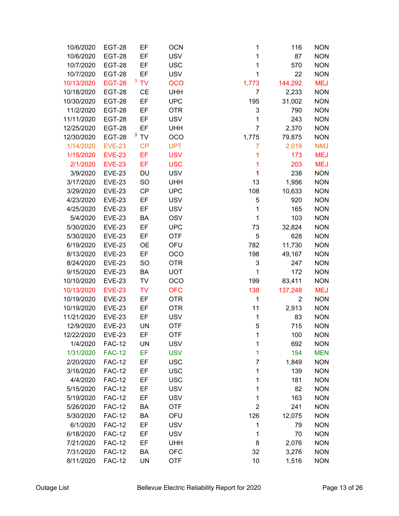| 10/6/2020  | <b>EGT-28</b> | EF        | <b>OCN</b> | 1              | 116            | <b>NON</b> |
|------------|---------------|-----------|------------|----------------|----------------|------------|
| 10/6/2020  | <b>EGT-28</b> | EF        | <b>USV</b> | 1              | 87             | <b>NON</b> |
| 10/7/2020  | <b>EGT-28</b> | EF        | <b>USC</b> | 1              | 570            | <b>NON</b> |
| 10/7/2020  | <b>EGT-28</b> | EF        | <b>USV</b> | 1              | 22             | <b>NON</b> |
| 10/13/2020 | <b>EGT-28</b> | <b>TV</b> | <b>OCO</b> | 1,773          | 144,292        | <b>MEJ</b> |
| 10/18/2020 | <b>EGT-28</b> | <b>CE</b> | <b>UHH</b> | 7              | 2,233          | <b>NON</b> |
| 10/30/2020 | <b>EGT-28</b> | EF        | <b>UPC</b> | 195            | 31,002         | <b>NON</b> |
| 11/2/2020  | <b>EGT-28</b> | EF        | <b>OTR</b> | 3              | 790            | <b>NON</b> |
| 11/11/2020 | <b>EGT-28</b> | EF        | <b>USV</b> | 1              | 243            | <b>NON</b> |
| 12/25/2020 | <b>EGT-28</b> | EF        | <b>UHH</b> | $\overline{7}$ | 2,370          | <b>NON</b> |
| 12/30/2020 | <b>EGT-28</b> | $3$ TV    | OCO        | 1,775          | 79,875         | <b>NON</b> |
| 1/14/2020  | <b>EVE-23</b> | <b>CP</b> | <b>UPT</b> | 7              | 2,019          | <b>NMJ</b> |
| 1/15/2020  | <b>EVE-23</b> | EF        | <b>USV</b> | 1              | 173            | <b>MEJ</b> |
| 2/1/2020   | <b>EVE-23</b> | EF        | <b>USC</b> | 1              | 203            | <b>MEJ</b> |
| 3/9/2020   | <b>EVE-23</b> | DU        | <b>USV</b> | 1              | 238            | <b>NON</b> |
| 3/17/2020  | <b>EVE-23</b> | <b>SO</b> | <b>UHH</b> | 13             | 1,956          | <b>NON</b> |
| 3/29/2020  | <b>EVE-23</b> | CP        | <b>UPC</b> | 108            | 10,633         | <b>NON</b> |
| 4/23/2020  | <b>EVE-23</b> | EF        | <b>USV</b> | 5              | 920            | <b>NON</b> |
| 4/25/2020  | <b>EVE-23</b> | EF        | <b>USV</b> | 1              | 165            | <b>NON</b> |
| 5/4/2020   | <b>EVE-23</b> | BA        | <b>OSV</b> | 1              | 103            | <b>NON</b> |
| 5/30/2020  | <b>EVE-23</b> | EF        | <b>UPC</b> | 73             | 32,824         | <b>NON</b> |
| 5/30/2020  | <b>EVE-23</b> | EF        | <b>OTF</b> | 5              | 628            | <b>NON</b> |
| 6/19/2020  | <b>EVE-23</b> | <b>OE</b> | OFU        | 782            | 11,730         | <b>NON</b> |
| 8/13/2020  | <b>EVE-23</b> | EF        | OCO        | 198            | 49,167         | <b>NON</b> |
| 8/24/2020  | <b>EVE-23</b> | SO        | <b>OTR</b> | 3              | 247            | <b>NON</b> |
| 9/15/2020  | <b>EVE-23</b> | BA        | <b>UOT</b> | 1              | 172            | <b>NON</b> |
| 10/10/2020 | <b>EVE-23</b> | TV        | OCO        | 199            | 83,411         | <b>NON</b> |
| 10/13/2020 | <b>EVE-23</b> | <b>TV</b> | <b>OFC</b> | 138            | 137,248        | <b>MEJ</b> |
| 10/19/2020 | <b>EVE-23</b> | EF        | <b>OTR</b> | 1              | $\overline{2}$ | <b>NON</b> |
| 10/19/2020 | <b>EVE-23</b> | EF        | <b>OTR</b> | 11             | 2,913          | <b>NON</b> |
| 11/21/2020 | <b>EVE-23</b> | EF        | <b>USV</b> | 1              | 83             | <b>NON</b> |
| 12/9/2020  | <b>EVE-23</b> | <b>UN</b> | <b>OTF</b> | 5              | 715            | <b>NON</b> |
| 12/22/2020 | <b>EVE-23</b> | EF        | <b>OTF</b> | 1              | 100            | <b>NON</b> |
| 1/4/2020   | <b>FAC-12</b> | UN        | <b>USV</b> | 1              | 692            | <b>NON</b> |
| 1/31/2020  | <b>FAC-12</b> | EF        | <b>USV</b> | 1              | 154            | <b>MEN</b> |
| 2/20/2020  | <b>FAC-12</b> | EF        | <b>USC</b> | 7              | 1,849          | <b>NON</b> |
| 3/16/2020  | <b>FAC-12</b> | EF        | <b>USC</b> | 1              | 139            | <b>NON</b> |
| 4/4/2020   | <b>FAC-12</b> | EF        | <b>USC</b> | 1              | 181            | <b>NON</b> |
| 5/15/2020  | <b>FAC-12</b> | EF        | <b>USV</b> | 1              | 82             | <b>NON</b> |
| 5/19/2020  | <b>FAC-12</b> | EF        | <b>USV</b> | 1              | 163            | <b>NON</b> |
| 5/26/2020  | <b>FAC-12</b> | BA        | <b>OTF</b> | $\overline{c}$ | 241            | <b>NON</b> |
| 5/30/2020  | <b>FAC-12</b> | BA        | OFU        | 126            | 12,075         | <b>NON</b> |
| 6/1/2020   | <b>FAC-12</b> | EF        | <b>USV</b> | 1              | 79             | <b>NON</b> |
| 6/18/2020  | <b>FAC-12</b> | EF        | <b>USV</b> | 1              | 70             | <b>NON</b> |
| 7/21/2020  | <b>FAC-12</b> | EF        | <b>UHH</b> | 8              | 2,076          | <b>NON</b> |
| 7/31/2020  | <b>FAC-12</b> | BA        | <b>OFC</b> | 32             | 3,276          | <b>NON</b> |
| 8/11/2020  | <b>FAC-12</b> | UN        | <b>OTF</b> | 10             | 1,516          | <b>NON</b> |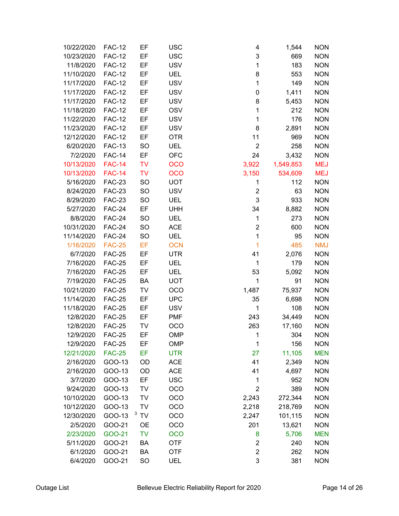| 10/22/2020            | <b>FAC-12</b>    | EF        | <b>USC</b> | 4                       | 1,544      | <b>NON</b>               |
|-----------------------|------------------|-----------|------------|-------------------------|------------|--------------------------|
| 10/23/2020            | <b>FAC-12</b>    | EF        | <b>USC</b> | 3                       | 669        | <b>NON</b>               |
| 11/8/2020             | <b>FAC-12</b>    | EF        | <b>USV</b> | 1                       | 183        | <b>NON</b>               |
| 11/10/2020            | <b>FAC-12</b>    | EF        | UEL        | 8                       | 553        | <b>NON</b>               |
| 11/17/2020            | <b>FAC-12</b>    | EF        | <b>USV</b> | 1                       | 149        | <b>NON</b>               |
| 11/17/2020            | <b>FAC-12</b>    | EF        | <b>USV</b> | 0                       | 1,411      | <b>NON</b>               |
| 11/17/2020            | <b>FAC-12</b>    | EF        | <b>USV</b> | 8                       | 5,453      | <b>NON</b>               |
| 11/18/2020            | <b>FAC-12</b>    | EF        | <b>OSV</b> | 1                       | 212        | <b>NON</b>               |
| 11/22/2020            | <b>FAC-12</b>    | EF        | <b>USV</b> | 1                       | 176        | <b>NON</b>               |
| 11/23/2020            | <b>FAC-12</b>    | EF        | <b>USV</b> | 8                       | 2,891      | <b>NON</b>               |
| 12/12/2020            | <b>FAC-12</b>    | EF        | <b>OTR</b> | 11                      | 969        | <b>NON</b>               |
| 6/20/2020             | <b>FAC-13</b>    | <b>SO</b> | <b>UEL</b> | $\overline{2}$          | 258        | <b>NON</b>               |
| 7/2/2020              | <b>FAC-14</b>    | EF        | <b>OFC</b> | 24                      | 3,432      | <b>NON</b>               |
| 10/13/2020            | <b>FAC-14</b>    | <b>TV</b> | <b>OCO</b> | 3,922                   | 1,549,853  | <b>MEJ</b>               |
| 10/13/2020            | <b>FAC-14</b>    | <b>TV</b> | <b>OCO</b> | 3,150                   | 534,609    | <b>MEJ</b>               |
| 5/16/2020             | <b>FAC-23</b>    | SO        | <b>UOT</b> | 1                       | 112        | <b>NON</b>               |
| 8/24/2020             | <b>FAC-23</b>    | SO        | <b>USV</b> | $\overline{\mathbf{c}}$ | 63         | <b>NON</b>               |
| 8/29/2020             | <b>FAC-23</b>    | SO        | UEL        | 3                       | 933        | <b>NON</b>               |
| 5/27/2020             | <b>FAC-24</b>    | EF        | <b>UHH</b> | 34                      | 8,882      | <b>NON</b>               |
| 8/8/2020              | <b>FAC-24</b>    | <b>SO</b> | UEL        | $\mathbf 1$             | 273        | <b>NON</b>               |
| 10/31/2020            | <b>FAC-24</b>    | SO        | <b>ACE</b> | $\overline{2}$          | 600        | <b>NON</b>               |
| 11/14/2020            | <b>FAC-24</b>    | <b>SO</b> | <b>UEL</b> | 1                       | 95         | <b>NON</b>               |
| 1/16/2020             | <b>FAC-25</b>    | EF        | <b>OCN</b> | 1                       | 485        | <b>NMJ</b>               |
| 6/7/2020              | <b>FAC-25</b>    | EF        | <b>UTR</b> | 41                      | 2,076      | <b>NON</b>               |
| 7/16/2020             | <b>FAC-25</b>    | EF        | UEL        | 1                       | 179        | <b>NON</b>               |
| 7/16/2020             | <b>FAC-25</b>    | EF        | <b>UEL</b> | 53                      | 5,092      | <b>NON</b>               |
| 7/19/2020             | <b>FAC-25</b>    | BA        | <b>UOT</b> | 1                       | 91         | <b>NON</b>               |
| 10/21/2020            | <b>FAC-25</b>    | TV        | OCO        | 1,487                   | 75,937     | <b>NON</b>               |
| 11/14/2020            | <b>FAC-25</b>    | EF        | <b>UPC</b> | 35                      | 6,698      | <b>NON</b>               |
| 11/18/2020            | <b>FAC-25</b>    | EF        | <b>USV</b> | 1                       | 108        | <b>NON</b>               |
| 12/8/2020             | <b>FAC-25</b>    | EF        | <b>PMF</b> | 243                     | 34,449     | <b>NON</b>               |
| 12/8/2020             | <b>FAC-25</b>    | TV        | <b>OCO</b> | 263                     | 17,160     | <b>NON</b>               |
| 12/9/2020             | <b>FAC-25</b>    | EF        | <b>OMP</b> | $\mathbf 1$             | 304        | <b>NON</b>               |
| 12/9/2020             | <b>FAC-25</b>    | EF        | <b>OMP</b> | 1                       | 156        | <b>NON</b>               |
| 12/21/2020            | <b>FAC-25</b>    | EF        | <b>UTR</b> | 27                      | 11,105     | <b>MEN</b>               |
| 2/16/2020             | GOO-13           | OD        | <b>ACE</b> | 41                      | 2,349      | <b>NON</b>               |
| 2/16/2020             | GOO-13           | OD<br>EF  | <b>ACE</b> | 41                      | 4,697      | <b>NON</b>               |
| 3/7/2020<br>9/24/2020 | GOO-13           |           | <b>USC</b> | 1<br>$\overline{2}$     | 952<br>389 | <b>NON</b><br><b>NON</b> |
| 10/10/2020            | GOO-13<br>GOO-13 | TV<br>TV  | OCO<br>OCO | 2,243                   | 272,344    | <b>NON</b>               |
| 10/12/2020            | GOO-13           | TV        | OCO        | 2,218                   | 218,769    | <b>NON</b>               |
| 12/30/2020            | GOO-13           | TV        | OCO        | 2,247                   | 101,115    | <b>NON</b>               |
| 2/5/2020              | GOO-21           | <b>OE</b> | OCO        | 201                     | 13,621     | <b>NON</b>               |
| 2/23/2020             | GOO-21           | <b>TV</b> | <b>OCO</b> | 8                       | 5,706      | <b>MEN</b>               |
| 5/11/2020             | GOO-21           | BA        | <b>OTF</b> | $\overline{2}$          | 240        | <b>NON</b>               |
| 6/1/2020              | GOO-21           | BA        | <b>OTF</b> | $\overline{2}$          | 262        | <b>NON</b>               |
| 6/4/2020              | GOO-21           | SO        | UEL        | 3                       | 381        | <b>NON</b>               |
|                       |                  |           |            |                         |            |                          |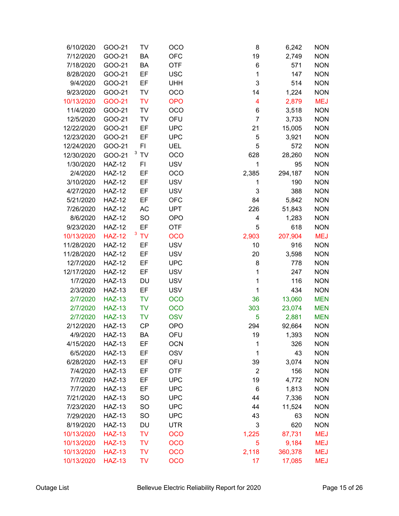| 6/10/2020  | GOO-21        | TV        | OCO        | 8              | 6,242   | <b>NON</b> |
|------------|---------------|-----------|------------|----------------|---------|------------|
| 7/12/2020  | GOO-21        | BA        | <b>OFC</b> | 19             | 2,749   | <b>NON</b> |
| 7/18/2020  | GOO-21        | BA        | <b>OTF</b> | 6              | 571     | <b>NON</b> |
| 8/28/2020  | GOO-21        | EF        | <b>USC</b> | 1              | 147     | <b>NON</b> |
| 9/4/2020   | GOO-21        | EF        | <b>UHH</b> | 3              | 514     | <b>NON</b> |
| 9/23/2020  | GOO-21        | TV        | OCO        | 14             | 1,224   | <b>NON</b> |
| 10/13/2020 | GOO-21        | <b>TV</b> | <b>OPO</b> | 4              | 2,879   | <b>MEJ</b> |
| 11/4/2020  | GOO-21        | TV        | OCO        | 6              | 3,518   | <b>NON</b> |
| 12/5/2020  | GOO-21        | TV        | OFU        | $\overline{7}$ | 3,733   | <b>NON</b> |
| 12/22/2020 | GOO-21        | EF        | <b>UPC</b> | 21             | 15,005  | <b>NON</b> |
| 12/23/2020 | GOO-21        | EF        | <b>UPC</b> | 5              | 3,921   | <b>NON</b> |
| 12/24/2020 | GOO-21        | FI        | <b>UEL</b> | 5              | 572     | <b>NON</b> |
| 12/30/2020 | GOO-21        | $3$ TV    | OCO        | 628            | 28,260  | <b>NON</b> |
| 1/30/2020  | <b>HAZ-12</b> | FI        | <b>USV</b> | 1              | 95      | <b>NON</b> |
| 2/4/2020   | <b>HAZ-12</b> | EF        | OCO        | 2,385          | 294,187 | <b>NON</b> |
| 3/10/2020  | <b>HAZ-12</b> | EF        | <b>USV</b> | 1              | 190     | <b>NON</b> |
| 4/27/2020  | <b>HAZ-12</b> | EF        | <b>USV</b> | 3              | 388     | <b>NON</b> |
| 5/21/2020  | <b>HAZ-12</b> | EF        | <b>OFC</b> | 84             | 5,842   | <b>NON</b> |
| 7/26/2020  | <b>HAZ-12</b> | <b>AC</b> | <b>UPT</b> | 226            | 51,843  | <b>NON</b> |
| 8/6/2020   | <b>HAZ-12</b> | <b>SO</b> | <b>OPO</b> | 4              | 1,283   | <b>NON</b> |
| 9/23/2020  | <b>HAZ-12</b> | EF        | <b>OTF</b> | 5              | 618     | <b>NON</b> |
| 10/13/2020 | <b>HAZ-12</b> | 3 TV      | <b>OCO</b> | 2,903          | 207,904 | <b>MEJ</b> |
| 11/28/2020 | <b>HAZ-12</b> | EF        | <b>USV</b> | 10             | 916     | <b>NON</b> |
| 11/28/2020 | <b>HAZ-12</b> | EF        | <b>USV</b> | 20             | 3,598   | <b>NON</b> |
| 12/7/2020  | <b>HAZ-12</b> | EF        | <b>UPC</b> | 8              | 778     | <b>NON</b> |
| 12/17/2020 | <b>HAZ-12</b> | EF        | <b>USV</b> | 1              | 247     | <b>NON</b> |
| 1/7/2020   | <b>HAZ-13</b> | DU        | <b>USV</b> | 1              | 116     | <b>NON</b> |
| 2/3/2020   | <b>HAZ-13</b> | EF        | <b>USV</b> | 1              | 434     | <b>NON</b> |
| 2/7/2020   | <b>HAZ-13</b> | <b>TV</b> | <b>OCO</b> | 36             | 13,060  | <b>MEN</b> |
| 2/7/2020   | <b>HAZ-13</b> | <b>TV</b> | <b>OCO</b> | 303            | 23,074  | <b>MEN</b> |
| 2/7/2020   | <b>HAZ-13</b> | <b>TV</b> | <b>OSV</b> | 5              | 2,881   | <b>MEN</b> |
| 2/12/2020  | <b>HAZ-13</b> | CP        | <b>OPO</b> | 294            | 92,664  | <b>NON</b> |
| 4/9/2020   | <b>HAZ-13</b> | BA        | OFU        | 19             | 1,393   | <b>NON</b> |
| 4/15/2020  | <b>HAZ-13</b> | EF        | <b>OCN</b> | 1              | 326     | <b>NON</b> |
| 6/5/2020   | <b>HAZ-13</b> | EF        | <b>OSV</b> | 1              | 43      | <b>NON</b> |
| 6/28/2020  | <b>HAZ-13</b> | EF        | OFU        | 39             | 3,074   | <b>NON</b> |
| 7/4/2020   | <b>HAZ-13</b> | EF        | <b>OTF</b> | $\overline{2}$ | 156     | <b>NON</b> |
| 7/7/2020   | <b>HAZ-13</b> | EF        | <b>UPC</b> | 19             | 4,772   | <b>NON</b> |
| 7/7/2020   | <b>HAZ-13</b> | EF        | <b>UPC</b> | 6              | 1,813   | <b>NON</b> |
| 7/21/2020  | <b>HAZ-13</b> | <b>SO</b> | <b>UPC</b> | 44             | 7,336   | <b>NON</b> |
| 7/23/2020  | <b>HAZ-13</b> | <b>SO</b> | <b>UPC</b> | 44             | 11,524  | <b>NON</b> |
| 7/29/2020  | <b>HAZ-13</b> | SO        | <b>UPC</b> | 43             | 63      | <b>NON</b> |
| 8/19/2020  | <b>HAZ-13</b> | DU        | <b>UTR</b> | 3              | 620     | <b>NON</b> |
| 10/13/2020 | <b>HAZ-13</b> | <b>TV</b> | <b>OCO</b> | 1,225          | 87,731  | <b>MEJ</b> |
| 10/13/2020 | <b>HAZ-13</b> | <b>TV</b> | <b>OCO</b> | 5              | 9,184   | <b>MEJ</b> |
| 10/13/2020 | <b>HAZ-13</b> | <b>TV</b> | <b>OCO</b> | 2,118          | 360,378 | <b>MEJ</b> |
| 10/13/2020 | <b>HAZ-13</b> | <b>TV</b> | OCO        | 17             | 17,085  | <b>MEJ</b> |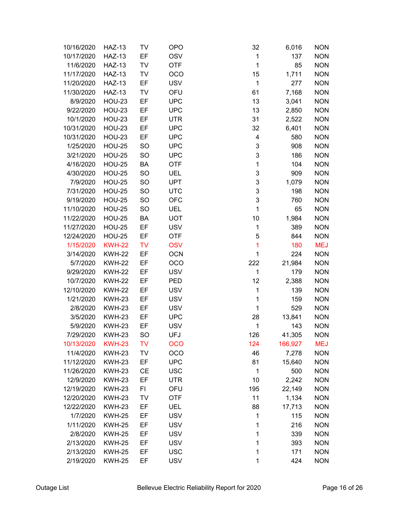| 10/16/2020 | <b>HAZ-13</b> | TV        | <b>OPO</b> | 32           | 6,016   | <b>NON</b> |
|------------|---------------|-----------|------------|--------------|---------|------------|
| 10/17/2020 | <b>HAZ-13</b> | EF        | <b>OSV</b> | 1            | 137     | <b>NON</b> |
| 11/6/2020  | <b>HAZ-13</b> | TV        | <b>OTF</b> | $\mathbf{1}$ | 85      | <b>NON</b> |
| 11/17/2020 | <b>HAZ-13</b> | <b>TV</b> | <b>OCO</b> | 15           | 1,711   | <b>NON</b> |
| 11/20/2020 | <b>HAZ-13</b> | EF        | <b>USV</b> | 1            | 277     | <b>NON</b> |
| 11/30/2020 | <b>HAZ-13</b> | <b>TV</b> | OFU        | 61           | 7,168   | <b>NON</b> |
| 8/9/2020   | <b>HOU-23</b> | EF        | <b>UPC</b> | 13           | 3,041   | <b>NON</b> |
| 9/22/2020  | <b>HOU-23</b> | EF        | <b>UPC</b> | 13           | 2,850   | <b>NON</b> |
| 10/1/2020  | <b>HOU-23</b> | EF        | <b>UTR</b> | 31           | 2,522   | <b>NON</b> |
| 10/31/2020 | <b>HOU-23</b> | EF        | <b>UPC</b> | 32           | 6,401   | <b>NON</b> |
| 10/31/2020 | <b>HOU-23</b> | EF        | <b>UPC</b> | 4            | 580     | <b>NON</b> |
| 1/25/2020  | <b>HOU-25</b> | <b>SO</b> | <b>UPC</b> | 3            | 908     | <b>NON</b> |
| 3/21/2020  | <b>HOU-25</b> | <b>SO</b> | <b>UPC</b> | 3            | 186     | <b>NON</b> |
| 4/16/2020  | <b>HOU-25</b> | BA        | <b>OTF</b> | $\mathbf{1}$ | 104     | <b>NON</b> |
| 4/30/2020  | <b>HOU-25</b> | <b>SO</b> | <b>UEL</b> | 3            | 909     | <b>NON</b> |
| 7/9/2020   | <b>HOU-25</b> | SO        | <b>UPT</b> | 3            | 1,079   | <b>NON</b> |
| 7/31/2020  | <b>HOU-25</b> | <b>SO</b> | <b>UTC</b> | 3            | 198     | <b>NON</b> |
| 9/19/2020  | <b>HOU-25</b> | <b>SO</b> | <b>OFC</b> | 3            | 760     | <b>NON</b> |
| 11/10/2020 | <b>HOU-25</b> | <b>SO</b> | <b>UEL</b> | 1            | 65      | <b>NON</b> |
| 11/22/2020 | <b>HOU-25</b> | <b>BA</b> | <b>UOT</b> | 10           | 1,984   | <b>NON</b> |
| 11/27/2020 | <b>HOU-25</b> | EF        | <b>USV</b> | 1            | 389     | <b>NON</b> |
| 12/24/2020 | <b>HOU-25</b> | EF        | <b>OTF</b> | 5            | 844     | <b>NON</b> |
| 1/15/2020  | <b>KWH-22</b> | <b>TV</b> | <b>OSV</b> | 1            | 180     | <b>MEJ</b> |
| 3/14/2020  | <b>KWH-22</b> | EF        | <b>OCN</b> | 1            | 224     | <b>NON</b> |
| 5/7/2020   | <b>KWH-22</b> | EF        | OCO        | 222          | 21,984  | <b>NON</b> |
| 9/29/2020  | <b>KWH-22</b> | EF        | <b>USV</b> | 1            | 179     | <b>NON</b> |
| 10/7/2020  | <b>KWH-22</b> | EF        | PED        | 12           | 2,388   | <b>NON</b> |
| 12/10/2020 | <b>KWH-22</b> | EF        | <b>USV</b> | 1            | 139     | <b>NON</b> |
| 1/21/2020  | <b>KWH-23</b> | EF        | <b>USV</b> | 1            | 159     | <b>NON</b> |
| 2/8/2020   | <b>KWH-23</b> | EF        | <b>USV</b> | 1            | 529     | <b>NON</b> |
| 3/5/2020   | <b>KWH-23</b> | EF        | <b>UPC</b> | 28           | 13,841  | <b>NON</b> |
| 5/9/2020   | <b>KWH-23</b> | EF        | <b>USV</b> | 1            | 143     | <b>NON</b> |
| 7/29/2020  | <b>KWH-23</b> | SO        | <b>UFJ</b> | 126          | 41,305  | <b>NON</b> |
| 10/13/2020 | <b>KWH-23</b> | <b>TV</b> | <b>OCO</b> | 124          | 166,927 | <b>MEJ</b> |
| 11/4/2020  | <b>KWH-23</b> | <b>TV</b> | OCO        | 46           | 7,278   | <b>NON</b> |
| 11/12/2020 | <b>KWH-23</b> | EF        | <b>UPC</b> | 81           | 15,640  | <b>NON</b> |
| 11/26/2020 | <b>KWH-23</b> | <b>CE</b> | <b>USC</b> | 1            | 500     | <b>NON</b> |
| 12/9/2020  | <b>KWH-23</b> | EF        | <b>UTR</b> | 10           | 2,242   | <b>NON</b> |
| 12/19/2020 | <b>KWH-23</b> | F1        | OFU        | 195          | 22,149  | <b>NON</b> |
| 12/20/2020 | <b>KWH-23</b> | <b>TV</b> | <b>OTF</b> | 11           | 1,134   | <b>NON</b> |
| 12/22/2020 | <b>KWH-23</b> | EF        | <b>UEL</b> | 88           | 17,713  | <b>NON</b> |
| 1/7/2020   | <b>KWH-25</b> | EF        | <b>USV</b> | 1            | 115     | <b>NON</b> |
| 1/11/2020  | <b>KWH-25</b> | EF        | <b>USV</b> | 1            | 216     | <b>NON</b> |
| 2/8/2020   | <b>KWH-25</b> | EF        | <b>USV</b> | 1            | 339     | <b>NON</b> |
| 2/13/2020  | <b>KWH-25</b> | EF        | <b>USV</b> | 1            | 393     | <b>NON</b> |
| 2/13/2020  | <b>KWH-25</b> | EF        | <b>USC</b> | 1            | 171     | <b>NON</b> |
| 2/19/2020  | <b>KWH-25</b> | EF        | <b>USV</b> | 1            | 424     | <b>NON</b> |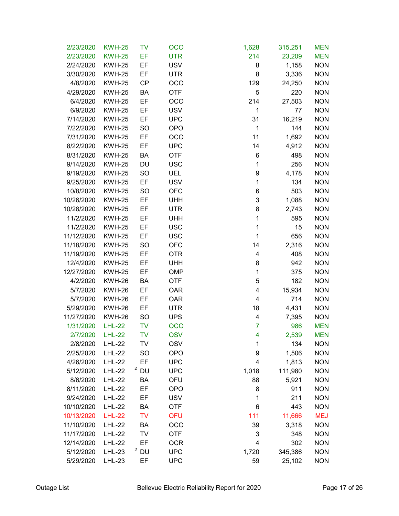| 2/23/2020       | <b>KWH-25</b> | TV        | <b>OCO</b> | 1,628        | 315,251 | <b>MEN</b> |
|-----------------|---------------|-----------|------------|--------------|---------|------------|
| 2/23/2020       | <b>KWH-25</b> | EF        | <b>UTR</b> | 214          | 23,209  | <b>MEN</b> |
| 2/24/2020       | <b>KWH-25</b> | EF        | <b>USV</b> | 8            | 1,158   | <b>NON</b> |
| 3/30/2020       | <b>KWH-25</b> | EF        | <b>UTR</b> | 8            | 3,336   | <b>NON</b> |
| 4/8/2020        | <b>KWH-25</b> | <b>CP</b> | <b>OCO</b> | 129          | 24,250  | <b>NON</b> |
| 4/29/2020       | <b>KWH-25</b> | BA        | <b>OTF</b> | 5            | 220     | <b>NON</b> |
| 6/4/2020        | <b>KWH-25</b> | EF        | <b>OCO</b> | 214          | 27,503  | <b>NON</b> |
| 6/9/2020        | <b>KWH-25</b> | EF        | <b>USV</b> | 1            | 77      | <b>NON</b> |
| 7/14/2020       | <b>KWH-25</b> | EF        | <b>UPC</b> | 31           | 16,219  | <b>NON</b> |
| 7/22/2020       | <b>KWH-25</b> | <b>SO</b> | <b>OPO</b> | $\mathbf{1}$ | 144     | <b>NON</b> |
| 7/31/2020       | <b>KWH-25</b> | EF        | OCO        | 11           | 1,692   | <b>NON</b> |
| 8/22/2020       | <b>KWH-25</b> | EF        | <b>UPC</b> | 14           | 4,912   | <b>NON</b> |
| 8/31/2020       | <b>KWH-25</b> | BA        | <b>OTF</b> | 6            | 498     | <b>NON</b> |
| 9/14/2020       | <b>KWH-25</b> | DU        | <b>USC</b> | 1            | 256     | <b>NON</b> |
| 9/19/2020       | <b>KWH-25</b> | <b>SO</b> | UEL        | 9            | 4,178   | <b>NON</b> |
| 9/25/2020       | <b>KWH-25</b> | EF        | <b>USV</b> | 1            | 134     | <b>NON</b> |
| 10/8/2020       | <b>KWH-25</b> | <b>SO</b> | <b>OFC</b> | 6            | 503     | <b>NON</b> |
| 10/26/2020      | <b>KWH-25</b> | EF        | <b>UHH</b> | 3            | 1,088   | <b>NON</b> |
| 10/28/2020      | <b>KWH-25</b> | EF        | <b>UTR</b> | 8            | 2,743   | <b>NON</b> |
| 11/2/2020       | <b>KWH-25</b> | EF        | <b>UHH</b> | 1            | 595     | <b>NON</b> |
| 11/2/2020       | <b>KWH-25</b> | EF        | <b>USC</b> | 1            | 15      | <b>NON</b> |
| 11/12/2020      | <b>KWH-25</b> | EF        | <b>USC</b> | 1            | 656     | <b>NON</b> |
| 11/18/2020      | <b>KWH-25</b> | <b>SO</b> | <b>OFC</b> | 14           | 2,316   | <b>NON</b> |
| 11/19/2020      | <b>KWH-25</b> | EF        | <b>OTR</b> | 4            | 408     | <b>NON</b> |
| 12/4/2020       | <b>KWH-25</b> | EF        | <b>UHH</b> | 8            | 942     | <b>NON</b> |
| 12/27/2020      | <b>KWH-25</b> | EF        | <b>OMP</b> | 1            | 375     | <b>NON</b> |
| 4/2/2020        | <b>KWH-26</b> | BA        | <b>OTF</b> | 5            | 182     | <b>NON</b> |
| 5/7/2020        | <b>KWH-26</b> | EF        | <b>OAR</b> | 4            | 15,934  | <b>NON</b> |
| 5/7/2020        | <b>KWH-26</b> | EF        | <b>OAR</b> | 4            | 714     | <b>NON</b> |
| 5/29/2020       | <b>KWH-26</b> | EF        | <b>UTR</b> | 18           | 4,431   | <b>NON</b> |
| 11/27/2020      | <b>KWH-26</b> | <b>SO</b> | <b>UPS</b> | 4            | 7,395   | <b>NON</b> |
| 1/31/2020       | <b>LHL-22</b> | <b>TV</b> | <b>OCO</b> | 7            | 986     | <b>MEN</b> |
| 2/7/2020 LHL-22 |               | <b>TV</b> | <b>OSV</b> | Δ            | 2,539   | <b>MEN</b> |
| 2/8/2020        | <b>LHL-22</b> | TV        | <b>OSV</b> | 1            | 134     | <b>NON</b> |
| 2/25/2020       | <b>LHL-22</b> | <b>SO</b> | <b>OPO</b> | 9            | 1,506   | <b>NON</b> |
| 4/26/2020       | <b>LHL-22</b> | EF        | <b>UPC</b> | 4            | 1,813   | <b>NON</b> |
| 5/12/2020       | <b>LHL-22</b> | $2$ DU    | <b>UPC</b> | 1,018        | 111,980 | <b>NON</b> |
| 8/6/2020        | <b>LHL-22</b> | BA        | OFU        | 88           | 5,921   | <b>NON</b> |
| 8/11/2020       | <b>LHL-22</b> | EF        | <b>OPO</b> | 8            | 911     | <b>NON</b> |
| 9/24/2020       | <b>LHL-22</b> | EF        | <b>USV</b> | 1            | 211     | <b>NON</b> |
| 10/10/2020      | <b>LHL-22</b> | BA        | <b>OTF</b> | 6            | 443     | <b>NON</b> |
| 10/13/2020      | <b>LHL-22</b> | <b>TV</b> | <b>OFU</b> | 111          | 11,666  | <b>MEJ</b> |
| 11/10/2020      | <b>LHL-22</b> | BA        | OCO        | 39           | 3,318   | <b>NON</b> |
| 11/17/2020      | <b>LHL-22</b> | TV        | <b>OTF</b> | 3            | 348     | <b>NON</b> |
| 12/14/2020      | <b>LHL-22</b> | EF        | <b>OCR</b> | 4            | 302     | <b>NON</b> |
| 5/12/2020       | <b>LHL-23</b> | $2$ DU    | <b>UPC</b> | 1,720        | 345,386 | <b>NON</b> |
| 5/29/2020       | <b>LHL-23</b> | EF        | <b>UPC</b> | 59           | 25,102  | <b>NON</b> |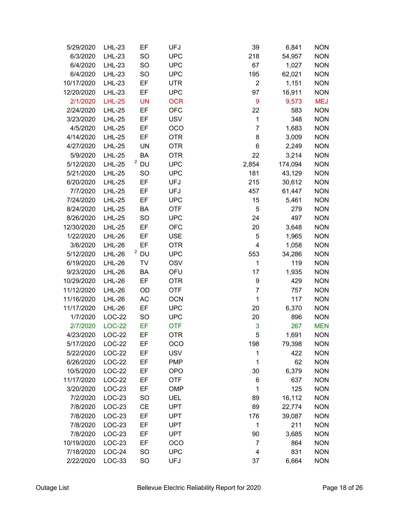| 5/29/2020  | <b>LHL-23</b> | EF        | UFJ        | 39                      | 6,841   | <b>NON</b> |
|------------|---------------|-----------|------------|-------------------------|---------|------------|
| 6/3/2020   | <b>LHL-23</b> | SO        | <b>UPC</b> | 218                     | 54,957  | <b>NON</b> |
| 6/4/2020   | <b>LHL-23</b> | SO        | <b>UPC</b> | 67                      | 1,027   | <b>NON</b> |
| 6/4/2020   | <b>LHL-23</b> | <b>SO</b> | <b>UPC</b> | 195                     | 62,021  | <b>NON</b> |
| 10/17/2020 | $LHL-23$      | EF        | <b>UTR</b> | $\overline{2}$          | 1,151   | <b>NON</b> |
| 12/20/2020 | <b>LHL-23</b> | EF        | <b>UPC</b> | 97                      | 16,911  | <b>NON</b> |
| 2/1/2020   | <b>LHL-25</b> | <b>UN</b> | <b>OCR</b> | 9                       | 9,573   | <b>MEJ</b> |
| 2/24/2020  | <b>LHL-25</b> | EF        | <b>OFC</b> | 22                      | 583     | <b>NON</b> |
| 3/23/2020  | <b>LHL-25</b> | EF        | <b>USV</b> | 1                       | 348     | <b>NON</b> |
| 4/5/2020   | <b>LHL-25</b> | EF        | OCO        | 7                       | 1,683   | <b>NON</b> |
| 4/14/2020  | <b>LHL-25</b> | EF        | <b>OTR</b> | 8                       | 3,009   | <b>NON</b> |
| 4/27/2020  | <b>LHL-25</b> | <b>UN</b> | <b>OTR</b> | 6                       | 2,249   | <b>NON</b> |
| 5/9/2020   | <b>LHL-25</b> | BA        | <b>OTR</b> | 22                      | 3,214   | <b>NON</b> |
| 5/12/2020  | <b>LHL-25</b> | $2$ DU    | <b>UPC</b> | 2,854                   | 174,094 | <b>NON</b> |
| 5/21/2020  | <b>LHL-25</b> | <b>SO</b> | <b>UPC</b> | 181                     | 43,129  | <b>NON</b> |
| 6/20/2020  | <b>LHL-25</b> | EF        | <b>UFJ</b> | 215                     | 30,612  | <b>NON</b> |
| 7/7/2020   | <b>LHL-25</b> | EF        | <b>UFJ</b> | 457                     | 61,447  | <b>NON</b> |
| 7/24/2020  | <b>LHL-25</b> | EF        | <b>UPC</b> | 15                      | 5,461   | <b>NON</b> |
| 8/24/2020  | <b>LHL-25</b> | BA        | <b>OTF</b> | 5                       | 279     | <b>NON</b> |
| 8/26/2020  | <b>LHL-25</b> | SO        | <b>UPC</b> | 24                      | 497     | <b>NON</b> |
| 12/30/2020 | <b>LHL-25</b> | EF        | <b>OFC</b> | 20                      | 3,648   | <b>NON</b> |
| 1/22/2020  | $LHL-26$      | EF        | <b>USE</b> | 5                       | 1,965   | <b>NON</b> |
| 3/6/2020   | <b>LHL-26</b> | EF        | <b>OTR</b> | $\overline{\mathbf{4}}$ | 1,058   | <b>NON</b> |
| 5/12/2020  | <b>LHL-26</b> | $2$ DU    | <b>UPC</b> | 553                     | 34,286  | <b>NON</b> |
| 6/19/2020  | <b>LHL-26</b> | TV        | <b>OSV</b> | 1                       | 119     | <b>NON</b> |
| 9/23/2020  | <b>LHL-26</b> | BA        | OFU        | 17                      | 1,935   | <b>NON</b> |
| 10/29/2020 | <b>LHL-26</b> | EF        | <b>OTR</b> | 9                       | 429     | <b>NON</b> |
| 11/12/2020 | <b>LHL-26</b> | OD        | <b>OTF</b> | 7                       | 757     | <b>NON</b> |
| 11/16/2020 | <b>LHL-26</b> | AC        | <b>OCN</b> | 1                       | 117     | <b>NON</b> |
| 11/17/2020 | <b>LHL-26</b> | EF        | <b>UPC</b> | 20                      | 6,370   | <b>NON</b> |
| 1/7/2020   | <b>LOC-22</b> | <b>SO</b> | <b>UPC</b> | 20                      | 896     | <b>NON</b> |
| 2/7/2020   | <b>LOC-22</b> | EF        | <b>OTF</b> | 3                       | 267     | <b>MEN</b> |
| 4/23/2020  | $LOC-22$      | EF        | <b>OTR</b> | 5                       | 1,691   | <b>NON</b> |
| 5/17/2020  | LOC-22        | EF        | OCO        | 198                     | 79,398  | <b>NON</b> |
| 5/22/2020  | $LOC-22$      | EF        | <b>USV</b> | 1                       | 422     | <b>NON</b> |
| 6/26/2020  | $LOC-22$      | EF        | <b>PMP</b> | 1                       | 62      | <b>NON</b> |
| 10/5/2020  | LOC-22        | EF        | <b>OPO</b> | 30                      | 6,379   | <b>NON</b> |
| 11/17/2020 | LOC-22        | EF        | <b>OTF</b> | 6                       | 637     | <b>NON</b> |
| 3/20/2020  | LOC-23        | EF        | <b>OMP</b> | 1                       | 125     | <b>NON</b> |
| 7/2/2020   | LOC-23        | <b>SO</b> | <b>UEL</b> | 89                      | 16,112  | <b>NON</b> |
| 7/8/2020   | LOC-23        | <b>CE</b> | <b>UPT</b> | 89                      | 22,774  | <b>NON</b> |
| 7/8/2020   | LOC-23        | EF        | <b>UPT</b> | 176                     | 39,087  | <b>NON</b> |
| 7/8/2020   | LOC-23        | EF        | <b>UPT</b> | 1                       | 211     | <b>NON</b> |
| 7/8/2020   | LOC-23        | EF        | <b>UPT</b> | 90                      | 3,685   | <b>NON</b> |
| 10/19/2020 | LOC-23        | EF        | OCO        | 7                       | 864     | <b>NON</b> |
| 7/18/2020  | LOC-24        | <b>SO</b> | <b>UPC</b> | 4                       | 831     | <b>NON</b> |
| 2/22/2020  | LOC-33        | <b>SO</b> | <b>UFJ</b> | 37                      | 6,664   | <b>NON</b> |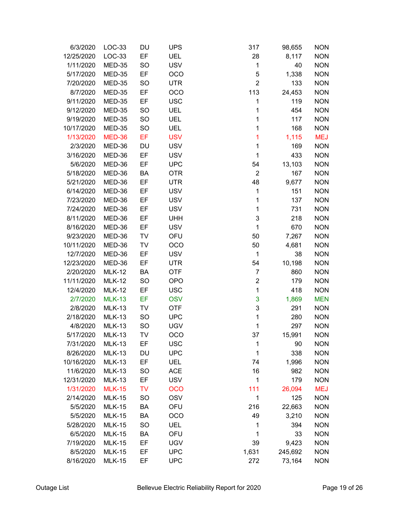| 6/3/2020   | LOC-33        | DU        | <b>UPS</b> | 317            | 98,655  | <b>NON</b> |
|------------|---------------|-----------|------------|----------------|---------|------------|
| 12/25/2020 | LOC-33        | EF        | <b>UEL</b> | 28             | 8,117   | <b>NON</b> |
| 1/11/2020  | MED-35        | <b>SO</b> | <b>USV</b> | 1              | 40      | <b>NON</b> |
| 5/17/2020  | MED-35        | EF        | OCO        | 5              | 1,338   | <b>NON</b> |
| 7/20/2020  | MED-35        | <b>SO</b> | <b>UTR</b> | $\overline{2}$ | 133     | <b>NON</b> |
| 8/7/2020   | MED-35        | EF        | OCO        | 113            | 24,453  | <b>NON</b> |
| 9/11/2020  | MED-35        | EF        | <b>USC</b> | 1              | 119     | <b>NON</b> |
| 9/12/2020  | MED-35        | SO        | <b>UEL</b> | 1              | 454     | <b>NON</b> |
| 9/19/2020  | MED-35        | <b>SO</b> | <b>UEL</b> | 1              | 117     | <b>NON</b> |
| 10/17/2020 | MED-35        | <b>SO</b> | <b>UEL</b> | 1              | 168     | <b>NON</b> |
| 1/13/2020  | <b>MED-36</b> | EF        | <b>USV</b> | 1              | 1,115   | <b>MEJ</b> |
| 2/3/2020   | MED-36        | DU        | <b>USV</b> | 1              | 169     | <b>NON</b> |
| 3/16/2020  | MED-36        | EF        | <b>USV</b> | 1              | 433     | <b>NON</b> |
| 5/6/2020   | MED-36        | EF        | <b>UPC</b> | 54             | 13,103  | <b>NON</b> |
| 5/18/2020  | MED-36        | BA        | <b>OTR</b> | $\overline{2}$ | 167     | <b>NON</b> |
| 5/21/2020  | MED-36        | EF        | <b>UTR</b> | 48             | 9,677   | <b>NON</b> |
| 6/14/2020  | MED-36        | EF        | <b>USV</b> | 1              | 151     | <b>NON</b> |
| 7/23/2020  | MED-36        | EF        | <b>USV</b> | 1              | 137     | <b>NON</b> |
| 7/24/2020  | MED-36        | EF        | <b>USV</b> | 1              | 731     | <b>NON</b> |
| 8/11/2020  | MED-36        | EF        | <b>UHH</b> | 3              | 218     | <b>NON</b> |
| 8/16/2020  | MED-36        | EF        | <b>USV</b> | 1              | 670     | <b>NON</b> |
| 9/23/2020  | MED-36        | TV        | OFU        | 50             | 7,267   | <b>NON</b> |
| 10/11/2020 | MED-36        | TV        | OCO        | 50             | 4,681   | <b>NON</b> |
| 12/7/2020  | MED-36        | EF        | <b>USV</b> | 1              | 38      | <b>NON</b> |
| 12/23/2020 | MED-36        | EF        | <b>UTR</b> | 54             | 10,198  | <b>NON</b> |
| 2/20/2020  | <b>MLK-12</b> | BA        | <b>OTF</b> | $\overline{7}$ | 860     | <b>NON</b> |
| 11/11/2020 | <b>MLK-12</b> | <b>SO</b> | <b>OPO</b> | $\overline{2}$ | 179     | <b>NON</b> |
| 12/4/2020  | <b>MLK-12</b> | EF        | <b>USC</b> | 1              | 418     | <b>NON</b> |
| 2/7/2020   | <b>MLK-13</b> | EF        | <b>OSV</b> | 3              | 1,869   | <b>MEN</b> |
| 2/8/2020   | <b>MLK-13</b> | TV        | <b>OTF</b> | 3              | 291     | <b>NON</b> |
| 2/18/2020  | <b>MLK-13</b> | <b>SO</b> | <b>UPC</b> | 1              | 280     | <b>NON</b> |
| 4/8/2020   | <b>MLK-13</b> | SO        | <b>UGV</b> | 1              | 297     | <b>NON</b> |
| 5/17/2020  | <b>MLK-13</b> | TV        | OCO        | 37             | 15,991  | <b>NON</b> |
| 7/31/2020  | <b>MLK-13</b> | EF        | <b>USC</b> | 1              | 90      | <b>NON</b> |
| 8/26/2020  | <b>MLK-13</b> | DU        | <b>UPC</b> | 1              | 338     | <b>NON</b> |
| 10/16/2020 | <b>MLK-13</b> | EF        | <b>UEL</b> | 74             | 1,996   | <b>NON</b> |
| 11/6/2020  | <b>MLK-13</b> | <b>SO</b> | <b>ACE</b> | 16             | 982     | <b>NON</b> |
| 12/31/2020 | <b>MLK-13</b> | EF        | <b>USV</b> | 1              | 179     | <b>NON</b> |
| 1/31/2020  | <b>MLK-15</b> | <b>TV</b> | <b>OCO</b> | 111            | 26,094  | <b>MEJ</b> |
| 2/14/2020  | <b>MLK-15</b> | <b>SO</b> | <b>OSV</b> | 1              | 125     | <b>NON</b> |
| 5/5/2020   | <b>MLK-15</b> | BA        | OFU        | 216            | 22,663  | <b>NON</b> |
| 5/5/2020   | <b>MLK-15</b> | BA        | OCO        | 49             | 3,210   | <b>NON</b> |
| 5/28/2020  | <b>MLK-15</b> | <b>SO</b> | <b>UEL</b> | 1              | 394     | <b>NON</b> |
| 6/5/2020   | <b>MLK-15</b> | BA        | OFU        | 1              | 33      | <b>NON</b> |
| 7/19/2020  | <b>MLK-15</b> | EF        | <b>UGV</b> | 39             | 9,423   | <b>NON</b> |
| 8/5/2020   | <b>MLK-15</b> | EF        | <b>UPC</b> | 1,631          | 245,692 | <b>NON</b> |
| 8/16/2020  | <b>MLK-15</b> | EF        | <b>UPC</b> | 272            | 73,164  | <b>NON</b> |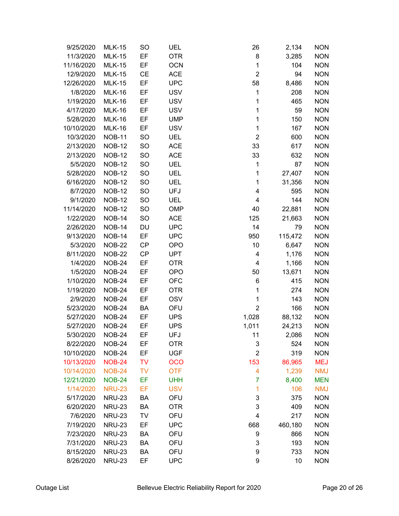| 9/25/2020  | <b>MLK-15</b> | <b>SO</b> | <b>UEL</b> | 26                      | 2,134   | <b>NON</b> |
|------------|---------------|-----------|------------|-------------------------|---------|------------|
| 11/3/2020  | <b>MLK-15</b> | EF        | <b>OTR</b> | 8                       | 3,285   | <b>NON</b> |
| 11/16/2020 | <b>MLK-15</b> | EF        | <b>OCN</b> | $\mathbf 1$             | 104     | <b>NON</b> |
| 12/9/2020  | <b>MLK-15</b> | <b>CE</b> | <b>ACE</b> | $\overline{2}$          | 94      | <b>NON</b> |
| 12/26/2020 | <b>MLK-15</b> | EF        | <b>UPC</b> | 58                      | 8,486   | <b>NON</b> |
| 1/8/2020   | <b>MLK-16</b> | EF        | <b>USV</b> | 1                       | 208     | <b>NON</b> |
| 1/19/2020  | <b>MLK-16</b> | EF        | <b>USV</b> | 1                       | 465     | <b>NON</b> |
| 4/17/2020  | <b>MLK-16</b> | EF        | <b>USV</b> | 1                       | 59      | <b>NON</b> |
| 5/28/2020  | <b>MLK-16</b> | EF        | <b>UMP</b> | $\mathbf 1$             | 150     | <b>NON</b> |
| 10/10/2020 | <b>MLK-16</b> | EF        | <b>USV</b> | $\mathbf 1$             | 167     | <b>NON</b> |
| 10/3/2020  | <b>NOB-11</b> | <b>SO</b> | UEL        | $\overline{2}$          | 600     | <b>NON</b> |
| 2/13/2020  | <b>NOB-12</b> | <b>SO</b> | <b>ACE</b> | 33                      | 617     | <b>NON</b> |
| 2/13/2020  | <b>NOB-12</b> | SO        | <b>ACE</b> | 33                      | 632     | <b>NON</b> |
| 5/5/2020   | <b>NOB-12</b> | <b>SO</b> | <b>UEL</b> | 1                       | 87      | <b>NON</b> |
| 5/28/2020  | <b>NOB-12</b> | <b>SO</b> | <b>UEL</b> | 1                       | 27,407  | <b>NON</b> |
| 6/16/2020  | <b>NOB-12</b> | <b>SO</b> | <b>UEL</b> | 1                       | 31,356  | <b>NON</b> |
| 8/7/2020   | <b>NOB-12</b> | <b>SO</b> | <b>UFJ</b> | $\overline{\mathbf{4}}$ | 595     | <b>NON</b> |
| 9/1/2020   | <b>NOB-12</b> | <b>SO</b> | <b>UEL</b> | 4                       | 144     | <b>NON</b> |
| 11/14/2020 | <b>NOB-12</b> | <b>SO</b> | OMP        | 40                      | 22,881  | <b>NON</b> |
| 1/22/2020  | <b>NOB-14</b> | <b>SO</b> | <b>ACE</b> | 125                     | 21,663  | <b>NON</b> |
| 2/26/2020  | <b>NOB-14</b> | DU        | <b>UPC</b> | 14                      | 79      | <b>NON</b> |
| 9/13/2020  | <b>NOB-14</b> | EF        | <b>UPC</b> | 950                     | 115,472 | <b>NON</b> |
| 5/3/2020   | <b>NOB-22</b> | CP        | <b>OPO</b> | 10                      | 6,647   | <b>NON</b> |
| 8/11/2020  | <b>NOB-22</b> | CP        | <b>UPT</b> | 4                       | 1,176   | <b>NON</b> |
| 1/4/2020   | <b>NOB-24</b> | EF        | <b>OTR</b> | 4                       | 1,166   | <b>NON</b> |
| 1/5/2020   | <b>NOB-24</b> | EF        | <b>OPO</b> | 50                      | 13,671  | <b>NON</b> |
| 1/10/2020  | <b>NOB-24</b> | EF        | <b>OFC</b> | 6                       | 415     | <b>NON</b> |
| 1/19/2020  | <b>NOB-24</b> | EF        | <b>OTR</b> | 1                       | 274     | <b>NON</b> |
| 2/9/2020   | <b>NOB-24</b> | EF        | <b>OSV</b> | 1                       | 143     | <b>NON</b> |
| 5/23/2020  | <b>NOB-24</b> | BA        | OFU        | $\overline{2}$          | 166     | <b>NON</b> |
| 5/27/2020  | <b>NOB-24</b> | EF        | <b>UPS</b> | 1,028                   | 88,132  | <b>NON</b> |
| 5/27/2020  | <b>NOB-24</b> | EF        | <b>UPS</b> | 1,011                   | 24,213  | <b>NON</b> |
| 5/30/2020  | <b>NOB-24</b> | EF        | UFJ        | 11                      | 2,086   | <b>NON</b> |
| 8/22/2020  | <b>NOB-24</b> | EF        | <b>OTR</b> | 3                       | 524     | <b>NON</b> |
| 10/10/2020 | <b>NOB-24</b> | EF        | <b>UGF</b> | $\overline{2}$          | 319     | <b>NON</b> |
| 10/13/2020 | <b>NOB-24</b> | <b>TV</b> | <b>OCO</b> | 153                     | 86,965  | <b>MEJ</b> |
| 10/14/2020 | <b>NOB-24</b> | <b>TV</b> | <b>OTF</b> | 4                       | 1,239   | <b>NMJ</b> |
| 12/21/2020 | <b>NOB-24</b> | EF        | <b>UHH</b> | 7                       | 8,400   | <b>MEN</b> |
| 1/14/2020  | <b>NRU-23</b> | EF        | <b>USV</b> | 1                       | 106     | <b>NMJ</b> |
| 5/17/2020  | <b>NRU-23</b> | BA        | OFU        | 3                       | 375     | <b>NON</b> |
| 6/20/2020  | <b>NRU-23</b> | BA        | <b>OTR</b> | 3                       | 409     | <b>NON</b> |
| 7/6/2020   | <b>NRU-23</b> | TV        | OFU        | 4                       | 217     | <b>NON</b> |
| 7/19/2020  | <b>NRU-23</b> | EF        | <b>UPC</b> | 668                     | 460,180 | <b>NON</b> |
| 7/23/2020  | <b>NRU-23</b> | BA        | OFU        | 9                       | 866     | <b>NON</b> |
| 7/31/2020  | <b>NRU-23</b> | BA        | OFU        | 3                       | 193     | <b>NON</b> |
| 8/15/2020  | <b>NRU-23</b> | BA        | OFU        | 9                       | 733     | <b>NON</b> |
| 8/26/2020  | <b>NRU-23</b> | EF        | <b>UPC</b> | 9                       | 10      | <b>NON</b> |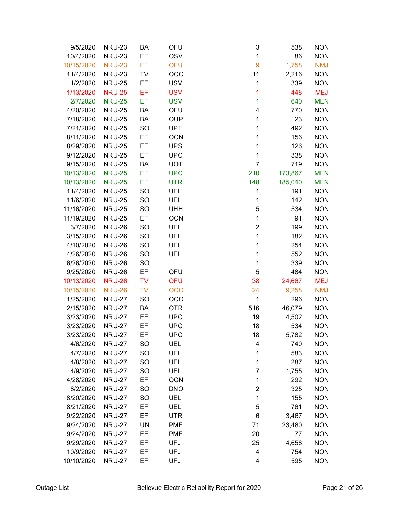| 9/5/2020   | <b>NRU-23</b> | BA        | OFU        | 3              | 538     | <b>NON</b> |
|------------|---------------|-----------|------------|----------------|---------|------------|
| 10/4/2020  | <b>NRU-23</b> | EF        | <b>OSV</b> | 1              | 86      | <b>NON</b> |
| 10/15/2020 | <b>NRU-23</b> | EF        | <b>OFU</b> | $\overline{9}$ | 1,758   | <b>NMJ</b> |
| 11/4/2020  | <b>NRU-23</b> | TV        | <b>OCO</b> | 11             | 2,216   | <b>NON</b> |
| 1/2/2020   | <b>NRU-25</b> | EF        | <b>USV</b> | 1              | 339     | <b>NON</b> |
| 1/13/2020  | <b>NRU-25</b> | EF        | <b>USV</b> | 1              | 448     | <b>MEJ</b> |
| 2/7/2020   | <b>NRU-25</b> | EF        | <b>USV</b> | 1              | 640     | <b>MEN</b> |
| 4/20/2020  | <b>NRU-25</b> | BA        | OFU        | 4              | 770     | <b>NON</b> |
| 7/18/2020  | <b>NRU-25</b> | BA        | <b>OUP</b> | 1              | 23      | <b>NON</b> |
| 7/21/2020  | <b>NRU-25</b> | <b>SO</b> | <b>UPT</b> | 1              | 492     | <b>NON</b> |
| 8/11/2020  | <b>NRU-25</b> | EF        | <b>OCN</b> | 1              | 156     | <b>NON</b> |
| 8/29/2020  | <b>NRU-25</b> | EF        | <b>UPS</b> | 1              | 126     | <b>NON</b> |
| 9/12/2020  | <b>NRU-25</b> | EF        | <b>UPC</b> | 1              | 338     | <b>NON</b> |
| 9/15/2020  | <b>NRU-25</b> | BA        | <b>UOT</b> | $\overline{7}$ | 719     | <b>NON</b> |
| 10/13/2020 | <b>NRU-25</b> | EF        | <b>UPC</b> | 210            | 173,867 | <b>MEN</b> |
| 10/13/2020 | <b>NRU-25</b> | EF        | <b>UTR</b> | 148            | 185,040 | <b>MEN</b> |
| 11/4/2020  | <b>NRU-25</b> | <b>SO</b> | UEL        | 1              | 191     | <b>NON</b> |
| 11/6/2020  | <b>NRU-25</b> | SO        | <b>UEL</b> | 1              | 142     | <b>NON</b> |
| 11/16/2020 | <b>NRU-25</b> | <b>SO</b> | <b>UHH</b> | 5              | 534     | <b>NON</b> |
| 11/19/2020 | <b>NRU-25</b> | EF        | <b>OCN</b> | 1              | 91      | <b>NON</b> |
| 3/7/2020   | <b>NRU-26</b> | <b>SO</b> | UEL        | $\overline{c}$ | 199     | <b>NON</b> |
| 3/15/2020  | <b>NRU-26</b> | <b>SO</b> | UEL        | 1              | 182     | <b>NON</b> |
| 4/10/2020  | <b>NRU-26</b> | <b>SO</b> | <b>UEL</b> | 1              | 254     | <b>NON</b> |
| 4/26/2020  | <b>NRU-26</b> | <b>SO</b> | UEL        | 1              | 552     | <b>NON</b> |
| 6/26/2020  | <b>NRU-26</b> | <b>SO</b> |            | 1              | 339     | <b>NON</b> |
| 9/25/2020  | <b>NRU-26</b> | EF        | OFU        | 5              | 484     | <b>NON</b> |
| 10/13/2020 | <b>NRU-26</b> | <b>TV</b> | OFU        | 38             | 24,667  | <b>MEJ</b> |
| 10/15/2020 | <b>NRU-26</b> | <b>TV</b> | <b>OCO</b> | 24             | 9,258   | <b>NMJ</b> |
| 1/25/2020  | <b>NRU-27</b> | <b>SO</b> | <b>OCO</b> | 1              | 296     | <b>NON</b> |
| 2/15/2020  | <b>NRU-27</b> | BA        | <b>OTR</b> | 516            | 46,079  | <b>NON</b> |
| 3/23/2020  | <b>NRU-27</b> | EF        | <b>UPC</b> | 19             | 4,502   | <b>NON</b> |
| 3/23/2020  | <b>NRU-27</b> | EF        | <b>UPC</b> | 18             | 534     | <b>NON</b> |
| 3/23/2020  | <b>NRU-27</b> | EF        | <b>UPC</b> | 18             | 5,782   | <b>NON</b> |
| 4/6/2020   | <b>NRU-27</b> | <b>SO</b> | UEL        | 4              | 740     | <b>NON</b> |
| 4/7/2020   | <b>NRU-27</b> | SO        | UEL        | 1              | 583     | <b>NON</b> |
| 4/8/2020   | <b>NRU-27</b> | SO        | <b>UEL</b> | 1              | 287     | <b>NON</b> |
| 4/9/2020   | <b>NRU-27</b> | <b>SO</b> | <b>UEL</b> | 7              | 1,755   | <b>NON</b> |
| 4/28/2020  | <b>NRU-27</b> | EF        | <b>OCN</b> | 1              | 292     | <b>NON</b> |
| 8/2/2020   | <b>NRU-27</b> | SO        | <b>DNO</b> | $\overline{c}$ | 325     | <b>NON</b> |
| 8/20/2020  | <b>NRU-27</b> | <b>SO</b> | UEL        | 1              | 155     | <b>NON</b> |
| 8/21/2020  | <b>NRU-27</b> | EF        | UEL        | 5              | 761     | <b>NON</b> |
| 9/22/2020  | <b>NRU-27</b> | EF        | <b>UTR</b> | 6              | 3,467   | <b>NON</b> |
| 9/24/2020  | <b>NRU-27</b> | <b>UN</b> | <b>PMF</b> | 71             | 23,480  | <b>NON</b> |
| 9/24/2020  | <b>NRU-27</b> | EF        | <b>PMF</b> | 20             | 77      | <b>NON</b> |
| 9/29/2020  | <b>NRU-27</b> | EF        | UFJ        | 25             | 4,658   | <b>NON</b> |
| 10/9/2020  | <b>NRU-27</b> | EF        | <b>UFJ</b> | 4              | 754     | <b>NON</b> |
| 10/10/2020 | <b>NRU-27</b> | EF        | <b>UFJ</b> | 4              | 595     | <b>NON</b> |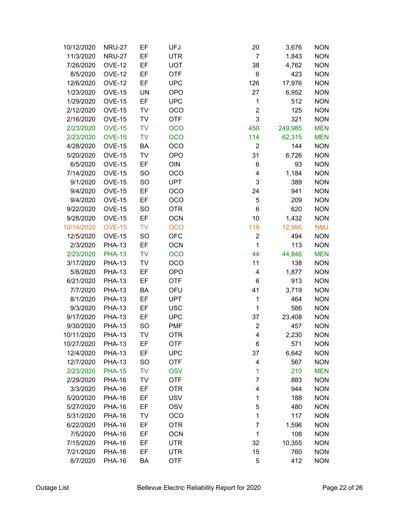| 10/12/2020 | <b>NRU-27</b> | EF        | UFJ        | 20             | 3,676   | <b>NON</b> |
|------------|---------------|-----------|------------|----------------|---------|------------|
| 11/3/2020  | <b>NRU-27</b> | EF        | <b>UTR</b> | $\overline{7}$ | 1,843   | <b>NON</b> |
| 7/26/2020  | <b>OVE-12</b> | EF        | <b>UOT</b> | 38             | 4,762   | <b>NON</b> |
| 8/5/2020   | <b>OVE-12</b> | EF        | <b>OTF</b> | 6              | 423     | <b>NON</b> |
| 12/6/2020  | <b>OVE-12</b> | EF        | <b>UPC</b> | 126            | 17,976  | <b>NON</b> |
| 1/23/2020  | <b>OVE-15</b> | <b>UN</b> | <b>OPO</b> | 27             | 6,952   | <b>NON</b> |
| 1/29/2020  | <b>OVE-15</b> | EF        | <b>UPC</b> | 1              | 512     | <b>NON</b> |
| 2/12/2020  | <b>OVE-15</b> | TV        | OCO        | $\overline{2}$ | 125     | <b>NON</b> |
| 2/16/2020  | <b>OVE-15</b> | TV        | <b>OTF</b> | 3              | 321     | <b>NON</b> |
| 2/23/2020  | <b>OVE-15</b> | <b>TV</b> | OCO        | 450            | 249,985 | <b>MEN</b> |
| 2/23/2020  | <b>OVE-15</b> | <b>TV</b> | <b>OCO</b> | 114            | 62,315  | <b>MEN</b> |
| 4/28/2020  | <b>OVE-15</b> | BA        | OCO        | 2              | 144     | <b>NON</b> |
| 5/20/2020  | <b>OVE-15</b> | TV        | <b>OPO</b> | 31             | 6,726   | <b>NON</b> |
| 6/5/2020   | <b>OVE-15</b> | EF        | OIN        | 6              | 93      | <b>NON</b> |
| 7/14/2020  | <b>OVE-15</b> | <b>SO</b> | OCO        | 4              | 1,184   | <b>NON</b> |
| 9/1/2020   | <b>OVE-15</b> | SO        | <b>UPT</b> | 3              | 389     | <b>NON</b> |
| 9/4/2020   | <b>OVE-15</b> | EF        | <b>OCO</b> | 24             | 941     | <b>NON</b> |
| 9/4/2020   | <b>OVE-15</b> | EF        | OCO        | 5              | 209     | <b>NON</b> |
| 9/22/2020  | <b>OVE-15</b> | SO        | <b>OTR</b> | 6              | 620     | <b>NON</b> |
| 9/28/2020  | <b>OVE-15</b> | EF        | <b>OCN</b> | 10             | 1,432   | <b>NON</b> |
| 10/14/2020 | <b>OVE-15</b> | <b>TV</b> | <b>OCO</b> | 118            | 12,995  | <b>NMJ</b> |
| 12/5/2020  | <b>OVE-15</b> | <b>SO</b> | <b>OFC</b> | $\overline{2}$ | 494     | <b>NON</b> |
| 2/3/2020   | <b>PHA-13</b> | EF        | <b>OCN</b> | $\mathbf 1$    | 113     | <b>NON</b> |
| 2/23/2020  | <b>PHA-13</b> | <b>TV</b> | <b>OCO</b> | 44             | 44,846  | <b>MEN</b> |
| 3/17/2020  | <b>PHA-13</b> | TV        | OCO        | 11             | 138     | <b>NON</b> |
| 5/8/2020   | <b>PHA-13</b> | EF        | <b>OPO</b> | 4              | 1,877   | <b>NON</b> |
| 6/21/2020  | <b>PHA-13</b> | EF        | <b>OTF</b> | 6              | 913     | <b>NON</b> |
| 7/7/2020   | <b>PHA-13</b> | BA        | OFU        | 41             | 3,719   | <b>NON</b> |
| 8/1/2020   | <b>PHA-13</b> | EF        | <b>UPT</b> | 1              | 464     | <b>NON</b> |
| 9/3/2020   | <b>PHA-13</b> | EF        | <b>USC</b> | 1              | 586     | <b>NON</b> |
| 9/17/2020  | <b>PHA-13</b> | EF        | <b>UPC</b> | 37             | 23,408  | <b>NON</b> |
| 9/30/2020  | <b>PHA-13</b> | SO        | <b>PMF</b> | $\overline{c}$ | 457     | <b>NON</b> |
| 10/11/2020 | <b>PHA-13</b> | TV        | <b>OTR</b> | 4              | 2,230   | <b>NON</b> |
| 10/27/2020 | <b>PHA-13</b> | EF        | <b>OTF</b> | 6              | 571     | <b>NON</b> |
| 12/4/2020  | <b>PHA-13</b> | EF        | <b>UPC</b> | 37             | 6,642   | <b>NON</b> |
| 12/7/2020  | <b>PHA-13</b> | SO        | <b>OTF</b> | 4              | 567     | <b>NON</b> |
| 2/23/2020  | <b>PHA-15</b> | TV        | <b>OSV</b> | 1              | 210     | <b>MEN</b> |
| 2/29/2020  | <b>PHA-16</b> | TV        | <b>OTF</b> | 7              | 883     | <b>NON</b> |
| 3/3/2020   | <b>PHA-16</b> | EF        | <b>OTR</b> | 4              | 944     | <b>NON</b> |
| 5/20/2020  | <b>PHA-16</b> | EF        | <b>USV</b> | 1              | 188     | <b>NON</b> |
| 5/27/2020  | <b>PHA-16</b> | EF        | <b>OSV</b> | 5              | 480     | <b>NON</b> |
| 5/31/2020  | <b>PHA-16</b> | TV        | OCO        | 1              | 117     | <b>NON</b> |
| 6/22/2020  | <b>PHA-16</b> | EF        | <b>OTR</b> | 7              | 1,596   | <b>NON</b> |
| 7/5/2020   | <b>PHA-16</b> | EF        | <b>OCN</b> | 1              | 108     | <b>NON</b> |
| 7/15/2020  | <b>PHA-16</b> | EF        | <b>UTR</b> | 32             | 10,355  | <b>NON</b> |
| 7/21/2020  | <b>PHA-16</b> | EF        | UTR        | 15             | 760     | <b>NON</b> |
| 8/7/2020   | <b>PHA-16</b> | BA        | <b>OTF</b> | 5              | 412     | <b>NON</b> |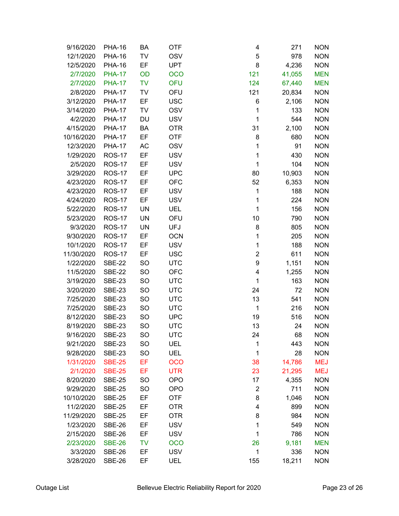| 9/16/2020  | <b>PHA-16</b> | BA        | <b>OTF</b> | 4              | 271    | <b>NON</b> |
|------------|---------------|-----------|------------|----------------|--------|------------|
| 12/1/2020  | <b>PHA-16</b> | TV        | <b>OSV</b> | 5              | 978    | <b>NON</b> |
| 12/5/2020  | <b>PHA-16</b> | EF        | <b>UPT</b> | 8              | 4,236  | <b>NON</b> |
| 2/7/2020   | <b>PHA-17</b> | OD        | <b>OCO</b> | 121            | 41,055 | <b>MEN</b> |
| 2/7/2020   | <b>PHA-17</b> | <b>TV</b> | <b>OFU</b> | 124            | 67,440 | <b>MEN</b> |
| 2/8/2020   | <b>PHA-17</b> | <b>TV</b> | OFU        | 121            | 20,834 | <b>NON</b> |
| 3/12/2020  | <b>PHA-17</b> | EF        | <b>USC</b> | 6              | 2,106  | <b>NON</b> |
| 3/14/2020  | <b>PHA-17</b> | TV        | <b>OSV</b> | 1              | 133    | <b>NON</b> |
| 4/2/2020   | <b>PHA-17</b> | DU        | <b>USV</b> | 1              | 544    | <b>NON</b> |
| 4/15/2020  | <b>PHA-17</b> | BA        | <b>OTR</b> | 31             | 2,100  | <b>NON</b> |
| 10/16/2020 | <b>PHA-17</b> | EF        | <b>OTF</b> | 8              | 680    | <b>NON</b> |
| 12/3/2020  | <b>PHA-17</b> | AC        | <b>OSV</b> | 1              | 91     | <b>NON</b> |
| 1/29/2020  | <b>ROS-17</b> | EF        | <b>USV</b> | 1              | 430    | <b>NON</b> |
| 2/5/2020   | <b>ROS-17</b> | EF        | <b>USV</b> | 1              | 104    | <b>NON</b> |
| 3/29/2020  | <b>ROS-17</b> | EF        | <b>UPC</b> | 80             | 10,903 | <b>NON</b> |
| 4/23/2020  | <b>ROS-17</b> | EF        | <b>OFC</b> | 52             | 6,353  | <b>NON</b> |
| 4/23/2020  | <b>ROS-17</b> | EF        | <b>USV</b> | $\mathbf{1}$   | 188    | <b>NON</b> |
| 4/24/2020  | <b>ROS-17</b> | EF        | <b>USV</b> | $\mathbf 1$    | 224    | <b>NON</b> |
| 5/22/2020  | <b>ROS-17</b> | <b>UN</b> | UEL        | 1              | 156    | <b>NON</b> |
| 5/23/2020  | <b>ROS-17</b> | <b>UN</b> | OFU        | 10             | 790    | <b>NON</b> |
| 9/3/2020   | <b>ROS-17</b> | UN        | <b>UFJ</b> | 8              | 805    | <b>NON</b> |
| 9/30/2020  | <b>ROS-17</b> | EF        | <b>OCN</b> | 1              | 205    | <b>NON</b> |
| 10/1/2020  | <b>ROS-17</b> | EF        | <b>USV</b> | $\mathbf{1}$   | 188    | <b>NON</b> |
| 11/30/2020 | <b>ROS-17</b> | EF        | <b>USC</b> | $\overline{2}$ | 611    | <b>NON</b> |
| 1/22/2020  | <b>SBE-22</b> | <b>SO</b> | <b>UTC</b> | 9              | 1,151  | <b>NON</b> |
| 11/5/2020  | <b>SBE-22</b> | SO        | <b>OFC</b> | 4              | 1,255  | <b>NON</b> |
| 3/19/2020  | <b>SBE-23</b> | <b>SO</b> | <b>UTC</b> | 1              | 163    | <b>NON</b> |
| 3/20/2020  | <b>SBE-23</b> | <b>SO</b> | <b>UTC</b> | 24             | 72     | <b>NON</b> |
| 7/25/2020  | <b>SBE-23</b> | <b>SO</b> | <b>UTC</b> | 13             | 541    | <b>NON</b> |
| 7/25/2020  | <b>SBE-23</b> | <b>SO</b> | <b>UTC</b> | $\mathbf 1$    | 216    | <b>NON</b> |
| 8/12/2020  | <b>SBE-23</b> | <b>SO</b> | <b>UPC</b> | 19             | 516    | <b>NON</b> |
| 8/19/2020  | <b>SBE-23</b> | <b>SO</b> | <b>UTC</b> | 13             | 24     | <b>NON</b> |
| 9/16/2020  | <b>SBE-23</b> | <b>SO</b> | <b>UTC</b> | 24             | 68     | <b>NON</b> |
| 9/21/2020  | <b>SBE-23</b> | <b>SO</b> | UEL        | 1              | 443    | <b>NON</b> |
| 9/28/2020  | <b>SBE-23</b> | SO        | <b>UEL</b> | 1              | 28     | <b>NON</b> |
| 1/31/2020  | <b>SBE-25</b> | EF        | <b>OCO</b> | 38             | 14,786 | <b>MEJ</b> |
| 2/1/2020   | <b>SBE-25</b> | EF        | <b>UTR</b> | 23             | 21,295 | <b>MEJ</b> |
| 8/20/2020  | <b>SBE-25</b> | <b>SO</b> | <b>OPO</b> | 17             | 4,355  | <b>NON</b> |
| 9/29/2020  | <b>SBE-25</b> | SO        | <b>OPO</b> | $\overline{c}$ | 711    | <b>NON</b> |
| 10/10/2020 | <b>SBE-25</b> | EF        | <b>OTF</b> | 8              | 1,046  | <b>NON</b> |
| 11/2/2020  | <b>SBE-25</b> | EF        | <b>OTR</b> | 4              | 899    | <b>NON</b> |
| 11/29/2020 | <b>SBE-25</b> | EF        | <b>OTR</b> | 8              | 984    | <b>NON</b> |
| 1/23/2020  | <b>SBE-26</b> | EF        | <b>USV</b> | 1              | 549    | <b>NON</b> |
| 2/15/2020  | <b>SBE-26</b> | EF        | <b>USV</b> | 1              | 786    | <b>NON</b> |
| 2/23/2020  | <b>SBE-26</b> | <b>TV</b> | <b>OCO</b> | 26             | 9,181  | <b>MEN</b> |
| 3/3/2020   | <b>SBE-26</b> | EF        | <b>USV</b> | 1              | 336    | <b>NON</b> |
| 3/28/2020  | <b>SBE-26</b> | EF        | <b>UEL</b> | 155            | 18,211 | <b>NON</b> |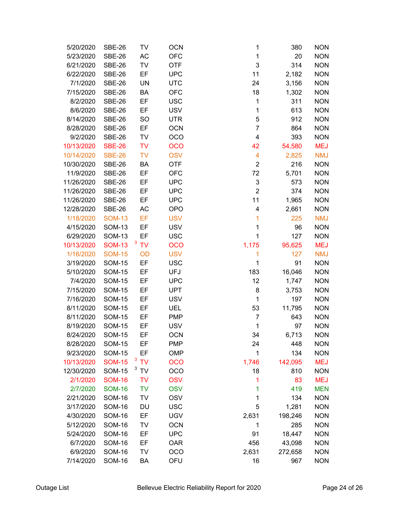| 5/20/2020             | <b>SBE-26</b>                  | TV              | <b>OCN</b>               | 1                       | 380     | <b>NON</b>               |
|-----------------------|--------------------------------|-----------------|--------------------------|-------------------------|---------|--------------------------|
| 5/23/2020             | <b>SBE-26</b>                  | <b>AC</b>       | <b>OFC</b>               | 1                       | 20      | <b>NON</b>               |
| 6/21/2020             | <b>SBE-26</b>                  | TV              | <b>OTF</b>               | 3                       | 314     | <b>NON</b>               |
| 6/22/2020             | <b>SBE-26</b>                  | EF              | <b>UPC</b>               | 11                      | 2,182   | <b>NON</b>               |
| 7/1/2020              | <b>SBE-26</b>                  | <b>UN</b>       | <b>UTC</b>               | 24                      | 3,156   | <b>NON</b>               |
| 7/15/2020             | <b>SBE-26</b>                  | BA              | <b>OFC</b>               | 18                      | 1,302   | <b>NON</b>               |
| 8/2/2020              | <b>SBE-26</b>                  | EF              | <b>USC</b>               | 1                       | 311     | <b>NON</b>               |
| 8/6/2020              | <b>SBE-26</b>                  | EF              | <b>USV</b>               | 1                       | 613     | <b>NON</b>               |
| 8/14/2020             | <b>SBE-26</b>                  | <b>SO</b>       | <b>UTR</b>               | 5                       | 912     | <b>NON</b>               |
| 8/28/2020             | <b>SBE-26</b>                  | EF              | <b>OCN</b>               | $\overline{7}$          | 864     | <b>NON</b>               |
| 9/2/2020              | <b>SBE-26</b>                  | TV              | OCO                      | $\overline{\mathbf{4}}$ | 393     | <b>NON</b>               |
| 10/13/2020            | <b>SBE-26</b>                  | <b>TV</b>       | <b>OCO</b>               | 42                      | 54,580  | <b>MEJ</b>               |
| 10/14/2020            | <b>SBE-26</b>                  | <b>TV</b>       | <b>OSV</b>               | $\overline{\mathbf{4}}$ | 2,825   | <b>NMJ</b>               |
| 10/30/2020            | <b>SBE-26</b>                  | BA              | <b>OTF</b>               | $\boldsymbol{2}$        | 216     | <b>NON</b>               |
| 11/9/2020             | <b>SBE-26</b>                  | EF              | <b>OFC</b>               | 72                      | 5,701   | <b>NON</b>               |
| 11/26/2020            | <b>SBE-26</b>                  | EF              | <b>UPC</b>               | 3                       | 573     | <b>NON</b>               |
| 11/26/2020            | <b>SBE-26</b>                  | EF              | <b>UPC</b>               | $\overline{2}$          | 374     | <b>NON</b>               |
| 11/26/2020            | <b>SBE-26</b>                  | EF              | <b>UPC</b>               | 11                      | 1,965   | <b>NON</b>               |
| 12/28/2020            | <b>SBE-26</b>                  | <b>AC</b>       | <b>OPO</b>               | $\overline{\mathbf{4}}$ | 2,661   | <b>NON</b>               |
| 1/18/2020             | <b>SOM-13</b>                  | EF              | <b>USV</b>               | 1                       | 225     | <b>NMJ</b>               |
| 4/15/2020             | <b>SOM-13</b>                  | EF              | <b>USV</b>               | 1                       | 96      | <b>NON</b>               |
| 6/29/2020             | <b>SOM-13</b>                  | EF              | <b>USC</b>               | 1                       | 127     | <b>NON</b>               |
| 10/13/2020            | <b>SOM-13</b>                  | $3^{\circ}$ TV  | <b>OCO</b>               | 1,175                   | 95,625  | <b>MEJ</b>               |
| 1/16/2020             | <b>SOM-15</b>                  | OD              | <b>USV</b>               | 1                       | 127     | <b>NMJ</b>               |
| 3/19/2020             | <b>SOM-15</b>                  | EF              | <b>USC</b>               | 1                       | 91      | <b>NON</b>               |
| 5/10/2020             | <b>SOM-15</b>                  | EF              | <b>UFJ</b>               | 183                     | 16,046  | <b>NON</b>               |
| 7/4/2020              | <b>SOM-15</b>                  | EF              | <b>UPC</b>               | 12                      | 1,747   | <b>NON</b>               |
| 7/15/2020             | <b>SOM-15</b>                  | EF              | <b>UPT</b>               | 8                       | 3,753   | <b>NON</b>               |
| 7/16/2020             | <b>SOM-15</b>                  | EF              | <b>USV</b>               | 1                       | 197     | <b>NON</b>               |
| 8/11/2020             | <b>SOM-15</b>                  | EF              | UEL                      | 53                      | 11,795  | <b>NON</b>               |
| 8/11/2020             | <b>SOM-15</b>                  | EF              | <b>PMP</b>               | 7                       | 643     | <b>NON</b>               |
| 8/19/2020             | <b>SOM-15</b>                  | EF              | <b>USV</b>               | 1                       | 97      | <b>NON</b>               |
| 8/24/2020             | <b>SOM-15</b>                  | EF              | <b>OCN</b>               | 34                      | 6,713   | <b>NON</b>               |
| 8/28/2020             | <b>SOM-15</b>                  | EF              | <b>PMP</b>               | 24                      | 448     | <b>NON</b>               |
| 9/23/2020             | <b>SOM-15</b>                  | EF              | <b>OMP</b>               | 1                       | 134     | <b>NON</b>               |
| 10/13/2020            | <b>SOM-15</b>                  | $3^{\circ}$ TV  | <b>OCO</b>               | 1,746                   | 142,095 | <b>MEJ</b>               |
| 12/30/2020            | <b>SOM-15</b>                  | $3$ TV          | OCO                      | 18                      | 810     | <b>NON</b>               |
| 2/1/2020              | <b>SOM-16</b>                  | <b>TV</b>       | <b>OSV</b>               | 1                       | 83      | <b>MEJ</b>               |
| 2/7/2020              | <b>SOM-16</b>                  | <b>TV</b>       | <b>OSV</b>               | 1                       | 419     | <b>MEN</b>               |
| 2/21/2020             | <b>SOM-16</b>                  | <b>TV</b>       | <b>OSV</b>               | 1                       | 134     | <b>NON</b>               |
| 3/17/2020             | <b>SOM-16</b>                  | DU              | <b>USC</b>               | 5                       | 1,281   | <b>NON</b>               |
| 4/30/2020             | <b>SOM-16</b><br><b>SOM-16</b> | EF              | <b>UGV</b>               | 2,631                   | 198,246 | <b>NON</b>               |
| 5/12/2020             | <b>SOM-16</b>                  | <b>TV</b><br>EF | <b>OCN</b><br><b>UPC</b> | 1<br>91                 | 285     | <b>NON</b><br><b>NON</b> |
| 5/24/2020<br>6/7/2020 | <b>SOM-16</b>                  | EF              | <b>OAR</b>               | 456                     | 18,447  | <b>NON</b>               |
| 6/9/2020              | <b>SOM-16</b>                  | TV              | OCO                      | 2,631                   | 43,098  |                          |
| 7/14/2020             | <b>SOM-16</b>                  |                 | OFU                      |                         | 272,658 | <b>NON</b><br><b>NON</b> |
|                       |                                | BA              |                          | 16                      | 967     |                          |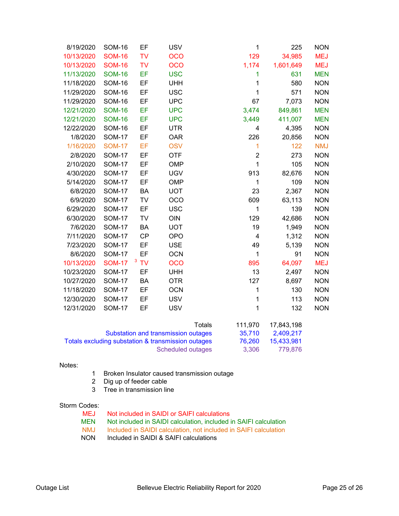| 8/19/2020  | <b>SOM-16</b> | EF        | <b>USV</b> |        | $\mathbf 1$             | 225        | <b>NON</b> |
|------------|---------------|-----------|------------|--------|-------------------------|------------|------------|
| 10/13/2020 | <b>SOM-16</b> | <b>TV</b> | <b>OCO</b> |        | 129                     | 34,985     | <b>MEJ</b> |
| 10/13/2020 | <b>SOM-16</b> | <b>TV</b> | <b>OCO</b> |        | 1,174                   | 1,601,649  | <b>MEJ</b> |
| 11/13/2020 | <b>SOM-16</b> | EF        | <b>USC</b> |        | 1                       | 631        | <b>MEN</b> |
| 11/18/2020 | <b>SOM-16</b> | EF        | <b>UHH</b> |        | 1                       | 580        | <b>NON</b> |
| 11/29/2020 | <b>SOM-16</b> | EF        | <b>USC</b> |        | $\mathbf{1}$            | 571        | <b>NON</b> |
| 11/29/2020 | <b>SOM-16</b> | EF        | <b>UPC</b> |        | 67                      | 7,073      | <b>NON</b> |
| 12/21/2020 | <b>SOM-16</b> | EF        | <b>UPC</b> |        | 3,474                   | 849,861    | <b>MEN</b> |
| 12/21/2020 | <b>SOM-16</b> | EF        | <b>UPC</b> |        | 3,449                   | 411,007    | <b>MEN</b> |
| 12/22/2020 | <b>SOM-16</b> | EF        | <b>UTR</b> |        | 4                       | 4,395      | <b>NON</b> |
| 1/8/2020   | <b>SOM-17</b> | EF        | <b>OAR</b> |        | 226                     | 20,856     | <b>NON</b> |
| 1/16/2020  | <b>SOM-17</b> | EF        | <b>OSV</b> |        | $\mathbf{1}$            | 122        | <b>NMJ</b> |
| 2/8/2020   | <b>SOM-17</b> | EF        | <b>OTF</b> |        | $\overline{2}$          | 273        | <b>NON</b> |
| 2/10/2020  | <b>SOM-17</b> | EF        | <b>OMP</b> |        | $\mathbf{1}$            | 105        | <b>NON</b> |
| 4/30/2020  | <b>SOM-17</b> | EF        | <b>UGV</b> |        | 913                     | 82,676     | <b>NON</b> |
| 5/14/2020  | <b>SOM-17</b> | EF        | <b>OMP</b> |        | 1                       | 109        | <b>NON</b> |
| 6/8/2020   | <b>SOM-17</b> | BA        | <b>UOT</b> |        | 23                      | 2,367      | <b>NON</b> |
| 6/9/2020   | <b>SOM-17</b> | TV        | <b>OCO</b> |        | 609                     | 63,113     | <b>NON</b> |
| 6/29/2020  | <b>SOM-17</b> | EF        | <b>USC</b> |        | $\mathbf{1}$            | 139        | <b>NON</b> |
| 6/30/2020  | <b>SOM-17</b> | TV        | OIN        |        | 129                     | 42,686     | <b>NON</b> |
| 7/6/2020   | <b>SOM-17</b> | BA        | <b>UOT</b> |        | 19                      | 1,949      | <b>NON</b> |
| 7/11/2020  | <b>SOM-17</b> | <b>CP</b> | <b>OPO</b> |        | $\overline{\mathbf{4}}$ | 1,312      | <b>NON</b> |
| 7/23/2020  | <b>SOM-17</b> | EF        | <b>USE</b> |        | 49                      | 5,139      | <b>NON</b> |
| 8/6/2020   | <b>SOM-17</b> | EF        | <b>OCN</b> |        | $\mathbf 1$             | 91         | <b>NON</b> |
| 10/13/2020 | <b>SOM-17</b> | 3TV       | <b>OCO</b> |        | 895                     | 64,097     | <b>MEJ</b> |
| 10/23/2020 | <b>SOM-17</b> | EF        | <b>UHH</b> |        | 13                      | 2,497      | <b>NON</b> |
| 10/27/2020 | <b>SOM-17</b> | BA        | <b>OTR</b> |        | 127                     | 8,697      | <b>NON</b> |
| 11/18/2020 | <b>SOM-17</b> | EF        | <b>OCN</b> |        | $\mathbf{1}$            | 130        | <b>NON</b> |
| 12/30/2020 | <b>SOM-17</b> | EF        | <b>USV</b> |        | $\mathbf{1}$            | 113        | <b>NON</b> |
| 12/31/2020 | <b>SOM-17</b> | EF        | <b>USV</b> |        | 1                       | 132        | <b>NON</b> |
|            |               |           |            | Totals | 111,970                 | 17,843,198 |            |

| 111.970 | 17.843.198 |
|---------|------------|
| 35.710  | 2.409.217  |
| 76.260  | 15.433.981 |
| 3.306   | 779.876    |
|         |            |

#### Notes:

- 1 Broken Insulator caused transmission outage
- 2 Dig up of feeder cable
- 3 Tree in transmission line

# Storm Codes:<br>MEJ

- Not included in SAIDI or SAIFI calculations
- MEN Not included in SAIDI calculation, included in SAIFI calculation<br>NMJ Included in SAIDI calculation, not included in SAIFI calculation
- NMJ Included in SAIDI calculation, not included in SAIFI calculation<br>NON Included in SAIDI & SAIFI calculations
- Included in SAIDI & SAIFI calculations